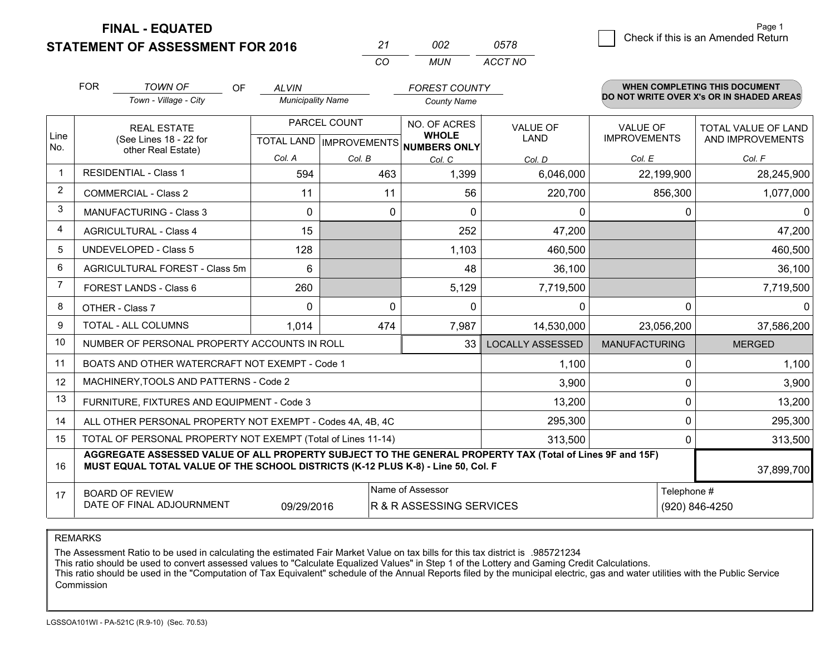**STATEMENT OF ASSESSMENT FOR 2016** 

| ンユ       | mp  | 0578    |
|----------|-----|---------|
| $\alpha$ | MUN | ACCT NO |

|                      | <b>FOR</b>                                                                                                                                                                                   | <b>TOWN OF</b><br>OF                                      | <b>ALVIN</b>             |              | <b>FOREST COUNTY</b>                                 |                         |                      | <b>WHEN COMPLETING THIS DOCUMENT</b>     |
|----------------------|----------------------------------------------------------------------------------------------------------------------------------------------------------------------------------------------|-----------------------------------------------------------|--------------------------|--------------|------------------------------------------------------|-------------------------|----------------------|------------------------------------------|
|                      |                                                                                                                                                                                              | Town - Village - City                                     | <b>Municipality Name</b> |              | <b>County Name</b>                                   |                         |                      | DO NOT WRITE OVER X's OR IN SHADED AREAS |
|                      |                                                                                                                                                                                              | PARCEL COUNT<br><b>REAL ESTATE</b>                        |                          |              | NO. OF ACRES                                         | <b>VALUE OF</b>         | <b>VALUE OF</b>      | <b>TOTAL VALUE OF LAND</b>               |
| Line<br>No.          |                                                                                                                                                                                              | (See Lines 18 - 22 for<br>other Real Estate)              |                          |              | <b>WHOLE</b><br>TOTAL LAND IMPROVEMENTS NUMBERS ONLY | <b>LAND</b>             | <b>IMPROVEMENTS</b>  | AND IMPROVEMENTS                         |
|                      |                                                                                                                                                                                              |                                                           | Col. A                   | Col. B       | Col. C                                               | Col. D                  | Col. E               | Col. F                                   |
| $\blacktriangleleft$ |                                                                                                                                                                                              | <b>RESIDENTIAL - Class 1</b>                              | 594                      | 463          | 1,399                                                | 6,046,000               | 22,199,900           | 28,245,900                               |
| 2                    |                                                                                                                                                                                              | <b>COMMERCIAL - Class 2</b>                               | 11                       | 11           | 56                                                   | 220,700                 | 856,300              | 1,077,000                                |
| 3                    |                                                                                                                                                                                              | <b>MANUFACTURING - Class 3</b>                            | $\Omega$                 | $\Omega$     | $\Omega$                                             | $\Omega$                | $\Omega$             |                                          |
| $\overline{4}$       |                                                                                                                                                                                              | <b>AGRICULTURAL - Class 4</b>                             | 15                       |              | 252                                                  | 47,200                  |                      | 47,200                                   |
| 5                    |                                                                                                                                                                                              | <b>UNDEVELOPED - Class 5</b>                              | 128                      |              | 1,103                                                | 460,500                 |                      | 460,500                                  |
| 6                    | AGRICULTURAL FOREST - Class 5m                                                                                                                                                               |                                                           | 6                        |              | 48                                                   | 36,100                  |                      | 36,100                                   |
| 7                    | FOREST LANDS - Class 6                                                                                                                                                                       |                                                           | 260                      |              | 5,129                                                | 7,719,500               |                      | 7,719,500                                |
| 8                    |                                                                                                                                                                                              | OTHER - Class 7                                           | $\Omega$                 | $\mathbf{0}$ | 0                                                    | 0                       | $\mathbf{0}$         |                                          |
| 9                    |                                                                                                                                                                                              | TOTAL - ALL COLUMNS                                       | 1,014<br>474             |              | 7,987                                                | 14,530,000              | 23,056,200           | 37,586,200                               |
| 10                   |                                                                                                                                                                                              | NUMBER OF PERSONAL PROPERTY ACCOUNTS IN ROLL              |                          |              | 33                                                   | <b>LOCALLY ASSESSED</b> | <b>MANUFACTURING</b> | <b>MERGED</b>                            |
| 11                   |                                                                                                                                                                                              | BOATS AND OTHER WATERCRAFT NOT EXEMPT - Code 1            |                          |              |                                                      | 1,100                   | $\mathbf 0$          | 1,100                                    |
| 12                   |                                                                                                                                                                                              | MACHINERY, TOOLS AND PATTERNS - Code 2                    |                          |              |                                                      | 3,900                   | $\mathbf 0$          | 3,900                                    |
| 13                   |                                                                                                                                                                                              | FURNITURE, FIXTURES AND EQUIPMENT - Code 3                |                          |              |                                                      | 13,200                  | 0                    | 13,200                                   |
| 14                   |                                                                                                                                                                                              | ALL OTHER PERSONAL PROPERTY NOT EXEMPT - Codes 4A, 4B, 4C |                          |              |                                                      | 295,300                 | $\mathbf 0$          | 295,300                                  |
| 15                   | TOTAL OF PERSONAL PROPERTY NOT EXEMPT (Total of Lines 11-14)<br>313,500                                                                                                                      |                                                           |                          |              |                                                      |                         | $\mathbf 0$          | 313,500                                  |
| 16                   | AGGREGATE ASSESSED VALUE OF ALL PROPERTY SUBJECT TO THE GENERAL PROPERTY TAX (Total of Lines 9F and 15F)<br>MUST EQUAL TOTAL VALUE OF THE SCHOOL DISTRICTS (K-12 PLUS K-8) - Line 50, Col. F |                                                           |                          |              |                                                      |                         | 37,899,700           |                                          |
| 17                   | <b>BOARD OF REVIEW</b>                                                                                                                                                                       |                                                           |                          |              | Name of Assessor                                     |                         | Telephone #          |                                          |
|                      | DATE OF FINAL ADJOURNMENT<br>R & R ASSESSING SERVICES<br>09/29/2016                                                                                                                          |                                                           |                          |              |                                                      |                         | (920) 846-4250       |                                          |

REMARKS

The Assessment Ratio to be used in calculating the estimated Fair Market Value on tax bills for this tax district is .985721234

This ratio should be used to convert assessed values to "Calculate Equalized Values" in Step 1 of the Lottery and Gaming Credit Calculations.<br>This ratio should be used in the "Computation of Tax Equivalent" schedule of the Commission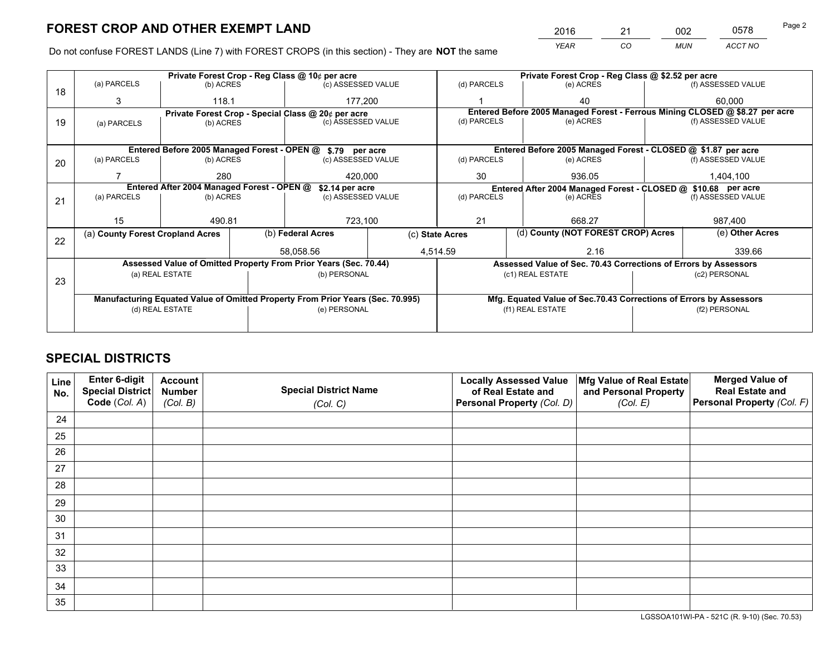*YEAR CO MUN ACCT NO* 2016 <u>21 002 0578</u>

Do not confuse FOREST LANDS (Line 7) with FOREST CROPS (in this section) - They are **NOT** the same

|    |                                                                                |                                 | Private Forest Crop - Reg Class @ \$2.52 per acre |                                                                  |                 |                                                               |                                    |                                                                    |  |                                                                              |  |
|----|--------------------------------------------------------------------------------|---------------------------------|---------------------------------------------------|------------------------------------------------------------------|-----------------|---------------------------------------------------------------|------------------------------------|--------------------------------------------------------------------|--|------------------------------------------------------------------------------|--|
| 18 | (a) PARCELS                                                                    | (b) ACRES                       |                                                   | (c) ASSESSED VALUE                                               |                 | (d) PARCELS                                                   |                                    | (e) ACRES                                                          |  | (f) ASSESSED VALUE                                                           |  |
|    | 3                                                                              | 118.1                           |                                                   | 177.200                                                          |                 |                                                               |                                    | 40                                                                 |  | 60.000                                                                       |  |
|    |                                                                                |                                 |                                                   | Private Forest Crop - Special Class @ 20¢ per acre               |                 |                                                               |                                    |                                                                    |  | Entered Before 2005 Managed Forest - Ferrous Mining CLOSED @ \$8.27 per acre |  |
| 19 | (a) PARCELS                                                                    | (c) ASSESSED VALUE<br>(b) ACRES |                                                   | (d) PARCELS                                                      |                 | (e) ACRES                                                     |                                    | (f) ASSESSED VALUE                                                 |  |                                                                              |  |
|    |                                                                                |                                 |                                                   |                                                                  |                 |                                                               |                                    |                                                                    |  |                                                                              |  |
|    |                                                                                |                                 |                                                   | Entered Before 2005 Managed Forest - OPEN @ \$.79 per acre       |                 |                                                               |                                    | Entered Before 2005 Managed Forest - CLOSED @ \$1.87 per acre      |  |                                                                              |  |
| 20 | (a) PARCELS                                                                    | (b) ACRES                       |                                                   | (c) ASSESSED VALUE                                               |                 | (d) PARCELS                                                   |                                    | (e) ACRES                                                          |  | (f) ASSESSED VALUE                                                           |  |
|    |                                                                                | 280                             |                                                   | 420.000                                                          | 30              |                                                               |                                    | 936.05                                                             |  | 1,404,100                                                                    |  |
|    | Entered After 2004 Managed Forest - OPEN @<br>\$2.14 per acre                  |                                 |                                                   |                                                                  |                 | Entered After 2004 Managed Forest - CLOSED @ \$10.68 per acre |                                    |                                                                    |  |                                                                              |  |
| 21 | (a) PARCELS                                                                    | (b) ACRES                       |                                                   | (c) ASSESSED VALUE                                               |                 | (d) PARCELS<br>(e) ACRES                                      |                                    | (f) ASSESSED VALUE                                                 |  |                                                                              |  |
|    |                                                                                |                                 |                                                   |                                                                  |                 |                                                               |                                    |                                                                    |  |                                                                              |  |
|    | 15                                                                             | 490.81                          |                                                   | 723,100                                                          |                 | 21                                                            |                                    | 668.27                                                             |  | 987,400                                                                      |  |
| 22 | (a) County Forest Cropland Acres                                               |                                 |                                                   | (b) Federal Acres                                                | (c) State Acres |                                                               | (d) County (NOT FOREST CROP) Acres |                                                                    |  | (e) Other Acres                                                              |  |
|    |                                                                                |                                 |                                                   | 58,058.56                                                        |                 | 4,514.59                                                      |                                    | 2.16                                                               |  | 339.66                                                                       |  |
|    |                                                                                |                                 |                                                   | Assessed Value of Omitted Property From Prior Years (Sec. 70.44) |                 |                                                               |                                    | Assessed Value of Sec. 70.43 Corrections of Errors by Assessors    |  |                                                                              |  |
|    |                                                                                | (a) REAL ESTATE                 |                                                   | (b) PERSONAL                                                     |                 |                                                               |                                    | (c1) REAL ESTATE                                                   |  | (c2) PERSONAL                                                                |  |
| 23 |                                                                                |                                 |                                                   |                                                                  |                 |                                                               |                                    |                                                                    |  |                                                                              |  |
|    | Manufacturing Equated Value of Omitted Property From Prior Years (Sec. 70.995) |                                 |                                                   |                                                                  |                 |                                                               |                                    | Mfg. Equated Value of Sec.70.43 Corrections of Errors by Assessors |  |                                                                              |  |
|    | (d) REAL ESTATE<br>(e) PERSONAL                                                |                                 |                                                   | (f1) REAL ESTATE<br>(f2) PERSONAL                                |                 |                                                               |                                    |                                                                    |  |                                                                              |  |
|    |                                                                                |                                 |                                                   |                                                                  |                 |                                                               |                                    |                                                                    |  |                                                                              |  |

# **SPECIAL DISTRICTS**

| Line<br>No. | Enter 6-digit<br><b>Special District</b> | <b>Account</b><br><b>Number</b> | <b>Special District Name</b> | <b>Locally Assessed Value</b><br>of Real Estate and | Mfg Value of Real Estate<br>and Personal Property | <b>Merged Value of</b><br><b>Real Estate and</b> |
|-------------|------------------------------------------|---------------------------------|------------------------------|-----------------------------------------------------|---------------------------------------------------|--------------------------------------------------|
|             | Code (Col. A)                            | (Col. B)                        | (Col. C)                     | Personal Property (Col. D)                          | (Col. E)                                          | Personal Property (Col. F)                       |
| 24          |                                          |                                 |                              |                                                     |                                                   |                                                  |
| 25          |                                          |                                 |                              |                                                     |                                                   |                                                  |
| 26          |                                          |                                 |                              |                                                     |                                                   |                                                  |
| 27          |                                          |                                 |                              |                                                     |                                                   |                                                  |
| 28          |                                          |                                 |                              |                                                     |                                                   |                                                  |
| 29          |                                          |                                 |                              |                                                     |                                                   |                                                  |
| 30          |                                          |                                 |                              |                                                     |                                                   |                                                  |
| 31          |                                          |                                 |                              |                                                     |                                                   |                                                  |
| 32          |                                          |                                 |                              |                                                     |                                                   |                                                  |
| 33          |                                          |                                 |                              |                                                     |                                                   |                                                  |
| 34          |                                          |                                 |                              |                                                     |                                                   |                                                  |
| 35          |                                          |                                 |                              |                                                     |                                                   |                                                  |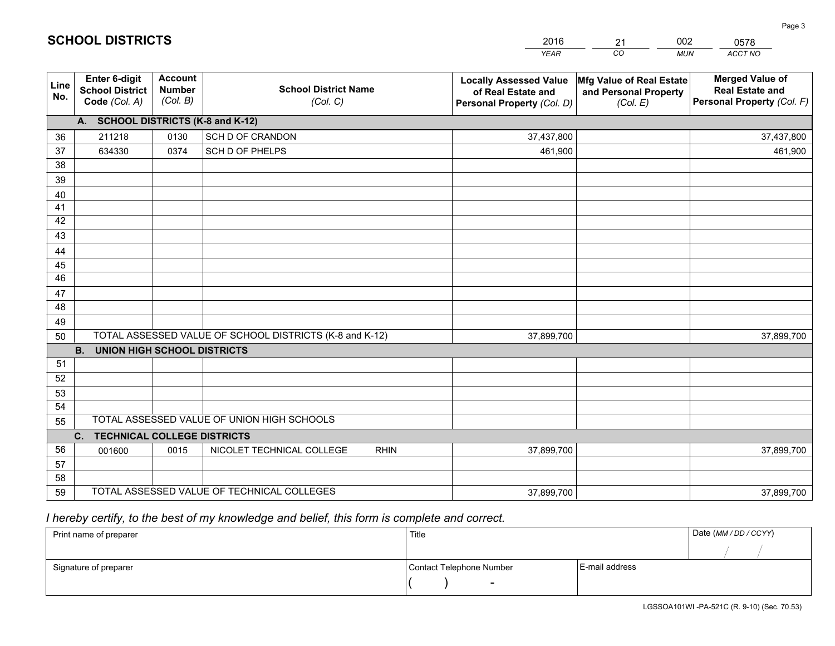|             |                                                          |                                             |                                                         | <b>YEAR</b>                                                                       | CO<br><b>MUN</b>                                              | ACCT NO                                                                        |
|-------------|----------------------------------------------------------|---------------------------------------------|---------------------------------------------------------|-----------------------------------------------------------------------------------|---------------------------------------------------------------|--------------------------------------------------------------------------------|
| Line<br>No. | Enter 6-digit<br><b>School District</b><br>Code (Col. A) | <b>Account</b><br><b>Number</b><br>(Col. B) | <b>School District Name</b><br>(Col. C)                 | <b>Locally Assessed Value</b><br>of Real Estate and<br>Personal Property (Col. D) | Mfg Value of Real Estate<br>and Personal Property<br>(Col. E) | <b>Merged Value of</b><br><b>Real Estate and</b><br>Personal Property (Col. F) |
|             | A. SCHOOL DISTRICTS (K-8 and K-12)                       |                                             |                                                         |                                                                                   |                                                               |                                                                                |
| 36          | 211218                                                   | 0130                                        | SCH D OF CRANDON                                        | 37,437,800                                                                        |                                                               | 37,437,800                                                                     |
| 37          | 634330                                                   | 0374                                        | SCH D OF PHELPS                                         | 461,900                                                                           |                                                               | 461,900                                                                        |
| 38          |                                                          |                                             |                                                         |                                                                                   |                                                               |                                                                                |
| 39          |                                                          |                                             |                                                         |                                                                                   |                                                               |                                                                                |
| 40          |                                                          |                                             |                                                         |                                                                                   |                                                               |                                                                                |
| 41          |                                                          |                                             |                                                         |                                                                                   |                                                               |                                                                                |
| 42          |                                                          |                                             |                                                         |                                                                                   |                                                               |                                                                                |
| 43          |                                                          |                                             |                                                         |                                                                                   |                                                               |                                                                                |
| 44          |                                                          |                                             |                                                         |                                                                                   |                                                               |                                                                                |
| 45          |                                                          |                                             |                                                         |                                                                                   |                                                               |                                                                                |
| 46          |                                                          |                                             |                                                         |                                                                                   |                                                               |                                                                                |
| 47          |                                                          |                                             |                                                         |                                                                                   |                                                               |                                                                                |
| 48          |                                                          |                                             |                                                         |                                                                                   |                                                               |                                                                                |
| 49          |                                                          |                                             | TOTAL ASSESSED VALUE OF SCHOOL DISTRICTS (K-8 and K-12) |                                                                                   |                                                               |                                                                                |
| 50          | <b>B.</b><br><b>UNION HIGH SCHOOL DISTRICTS</b>          |                                             |                                                         | 37,899,700                                                                        |                                                               | 37,899,700                                                                     |
| 51          |                                                          |                                             |                                                         |                                                                                   |                                                               |                                                                                |
| 52          |                                                          |                                             |                                                         |                                                                                   |                                                               |                                                                                |
| 53          |                                                          |                                             |                                                         |                                                                                   |                                                               |                                                                                |
| 54          |                                                          |                                             |                                                         |                                                                                   |                                                               |                                                                                |
| 55          |                                                          |                                             | TOTAL ASSESSED VALUE OF UNION HIGH SCHOOLS              |                                                                                   |                                                               |                                                                                |
|             | C. TECHNICAL COLLEGE DISTRICTS                           |                                             |                                                         |                                                                                   |                                                               |                                                                                |
| 56          | 001600                                                   | 0015                                        | NICOLET TECHNICAL COLLEGE<br><b>RHIN</b>                | 37,899,700                                                                        |                                                               | 37,899,700                                                                     |
| 57          |                                                          |                                             |                                                         |                                                                                   |                                                               |                                                                                |
| 58          |                                                          |                                             |                                                         |                                                                                   |                                                               |                                                                                |
| 59          |                                                          |                                             | TOTAL ASSESSED VALUE OF TECHNICAL COLLEGES              | 37,899,700                                                                        |                                                               | 37,899,700                                                                     |

21

002

 *I hereby certify, to the best of my knowledge and belief, this form is complete and correct.*

**SCHOOL DISTRICTS**

| Print name of preparer | Title                    |                | Date (MM / DD / CCYY) |
|------------------------|--------------------------|----------------|-----------------------|
|                        |                          |                |                       |
| Signature of preparer  | Contact Telephone Number | E-mail address |                       |
|                        |                          |                |                       |

0578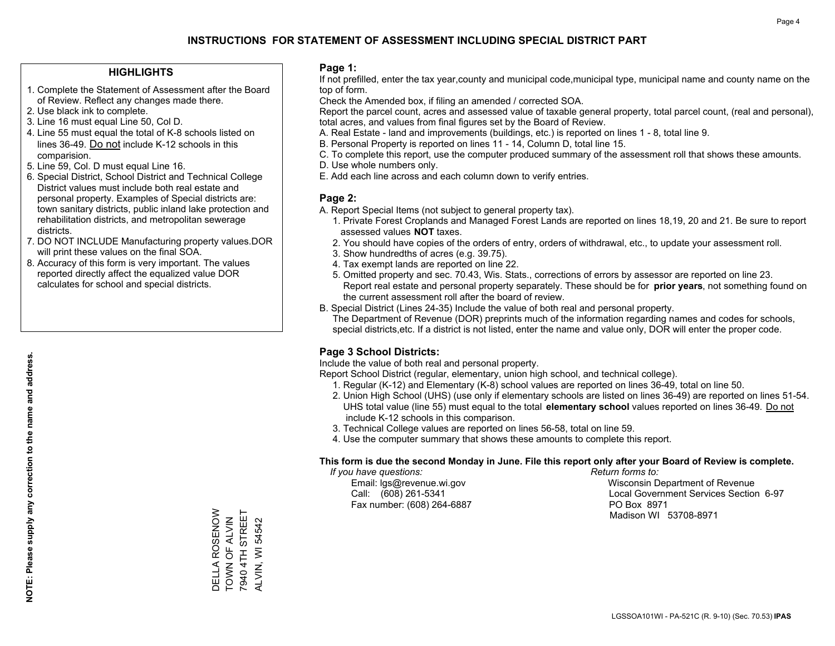### **HIGHLIGHTS**

- 1. Complete the Statement of Assessment after the Board of Review. Reflect any changes made there.
- 2. Use black ink to complete.

**NOTE: Please supply any correction to the name and address.**

NOTE: Please supply any correction to the name and address.

- 3. Line 16 must equal Line 50, Col D.
- 4. Line 55 must equal the total of K-8 schools listed on lines 36-49. Do not include K-12 schools in this comparision.
- 5. Line 59, Col. D must equal Line 16.
- 6. Special District, School District and Technical College District values must include both real estate and personal property. Examples of Special districts are: town sanitary districts, public inland lake protection and rehabilitation districts, and metropolitan sewerage districts.
- 7. DO NOT INCLUDE Manufacturing property values.DOR will print these values on the final SOA.
- 8. Accuracy of this form is very important. The values reported directly affect the equalized value DOR calculates for school and special districts.

### **Page 1:**

 If not prefilled, enter the tax year,county and municipal code,municipal type, municipal name and county name on the top of form.

Check the Amended box, if filing an amended / corrected SOA.

 Report the parcel count, acres and assessed value of taxable general property, total parcel count, (real and personal), total acres, and values from final figures set by the Board of Review.

- A. Real Estate land and improvements (buildings, etc.) is reported on lines 1 8, total line 9.
- B. Personal Property is reported on lines 11 14, Column D, total line 15.
- C. To complete this report, use the computer produced summary of the assessment roll that shows these amounts.
- D. Use whole numbers only.
- E. Add each line across and each column down to verify entries.

### **Page 2:**

- A. Report Special Items (not subject to general property tax).
- 1. Private Forest Croplands and Managed Forest Lands are reported on lines 18,19, 20 and 21. Be sure to report assessed values **NOT** taxes.
- 2. You should have copies of the orders of entry, orders of withdrawal, etc., to update your assessment roll.
	- 3. Show hundredths of acres (e.g. 39.75).
- 4. Tax exempt lands are reported on line 22.
- 5. Omitted property and sec. 70.43, Wis. Stats., corrections of errors by assessor are reported on line 23. Report real estate and personal property separately. These should be for **prior years**, not something found on the current assessment roll after the board of review.
- B. Special District (Lines 24-35) Include the value of both real and personal property.
- The Department of Revenue (DOR) preprints much of the information regarding names and codes for schools, special districts,etc. If a district is not listed, enter the name and value only, DOR will enter the proper code.

### **Page 3 School Districts:**

Include the value of both real and personal property.

Report School District (regular, elementary, union high school, and technical college).

- 1. Regular (K-12) and Elementary (K-8) school values are reported on lines 36-49, total on line 50.
- 2. Union High School (UHS) (use only if elementary schools are listed on lines 36-49) are reported on lines 51-54. UHS total value (line 55) must equal to the total **elementary school** values reported on lines 36-49. Do notinclude K-12 schools in this comparison.
- 3. Technical College values are reported on lines 56-58, total on line 59.
- 4. Use the computer summary that shows these amounts to complete this report.

#### **This form is due the second Monday in June. File this report only after your Board of Review is complete.**

 *If you have questions: Return forms to:*

Fax number: (608) 264-6887 PO Box 8971

 Email: lgs@revenue.wi.gov Wisconsin Department of Revenue Call: (608) 261-5341 Local Government Services Section 6-97Madison WI 53708-8971

DELLA ROSENOW<br>TOWN OF ALVIN<br>7940 4TH STREET DELLA ROSENOW 7940 4TH STREET TOWN OF ALVIN **ALVIN, WI 54542** ALVIN, WI 54542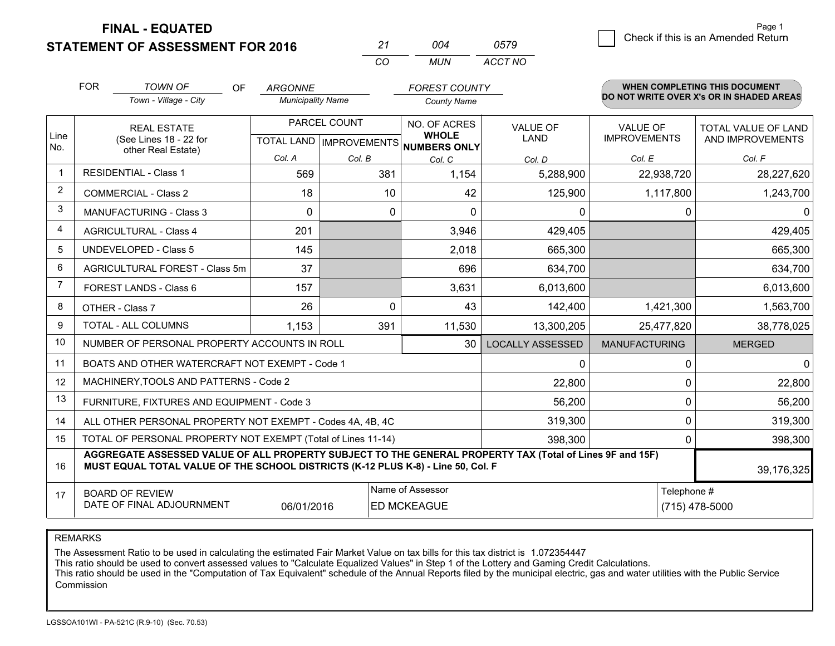**STATEMENT OF ASSESSMENT FOR 2016** 

| 21  | ∩∩⊿ | 0579    |
|-----|-----|---------|
| CO. | MUN | ACCT NO |

|              | <b>FOR</b>                                                                                                                                                                                   | <b>TOWN OF</b><br><b>OF</b>                                  | <b>ARGONNE</b>           |          | <b>FOREST COUNTY</b>                                |                         |                      | <b>WHEN COMPLETING THIS DOCUMENT</b><br>DO NOT WRITE OVER X's OR IN SHADED AREAS |
|--------------|----------------------------------------------------------------------------------------------------------------------------------------------------------------------------------------------|--------------------------------------------------------------|--------------------------|----------|-----------------------------------------------------|-------------------------|----------------------|----------------------------------------------------------------------------------|
|              |                                                                                                                                                                                              | Town - Village - City                                        | <b>Municipality Name</b> |          | <b>County Name</b>                                  |                         |                      |                                                                                  |
|              |                                                                                                                                                                                              | <b>REAL ESTATE</b>                                           | PARCEL COUNT             |          | NO. OF ACRES                                        | <b>VALUE OF</b>         | <b>VALUE OF</b>      | <b>TOTAL VALUE OF LAND</b>                                                       |
| Line<br>No.  |                                                                                                                                                                                              | (See Lines 18 - 22 for<br>other Real Estate)                 |                          |          | <b>WHOLE</b><br>TOTAL LAND MPROVEMENTS NUMBERS ONLY | <b>LAND</b>             | <b>IMPROVEMENTS</b>  | AND IMPROVEMENTS                                                                 |
|              |                                                                                                                                                                                              |                                                              | Col. A                   | Col. B   | Col. C                                              | Col. D                  | Col. E               | Col. F                                                                           |
| $\mathbf{1}$ |                                                                                                                                                                                              | <b>RESIDENTIAL - Class 1</b>                                 | 569                      | 381      | 1,154                                               | 5,288,900               | 22,938,720           | 28,227,620                                                                       |
| 2            |                                                                                                                                                                                              | <b>COMMERCIAL - Class 2</b>                                  | 18                       | 10       | 42                                                  | 125,900                 | 1,117,800            | 1,243,700                                                                        |
| 3            |                                                                                                                                                                                              | MANUFACTURING - Class 3                                      | $\Omega$                 | $\Omega$ | $\Omega$                                            | $\Omega$                | 0                    | 0                                                                                |
| 4            |                                                                                                                                                                                              | <b>AGRICULTURAL - Class 4</b>                                | 201                      |          | 3,946                                               | 429,405                 |                      | 429,405                                                                          |
| 5            |                                                                                                                                                                                              | UNDEVELOPED - Class 5                                        | 145                      |          | 2,018                                               | 665,300                 |                      | 665,300                                                                          |
| 6            | AGRICULTURAL FOREST - Class 5m                                                                                                                                                               |                                                              | 37                       |          | 696                                                 | 634,700                 |                      | 634,700                                                                          |
| 7            |                                                                                                                                                                                              | FOREST LANDS - Class 6                                       | 157                      |          | 3,631                                               | 6,013,600               |                      | 6,013,600                                                                        |
| 8            |                                                                                                                                                                                              | OTHER - Class 7                                              | 26                       | $\Omega$ | 43                                                  | 142,400                 | 1,421,300            | 1,563,700                                                                        |
| 9            |                                                                                                                                                                                              | TOTAL - ALL COLUMNS                                          | 1,153                    | 391      | 11,530                                              | 13,300,205              | 25,477,820           | 38,778,025                                                                       |
| 10           |                                                                                                                                                                                              | NUMBER OF PERSONAL PROPERTY ACCOUNTS IN ROLL                 |                          |          | 30                                                  | <b>LOCALLY ASSESSED</b> | <b>MANUFACTURING</b> | <b>MERGED</b>                                                                    |
| 11           |                                                                                                                                                                                              | BOATS AND OTHER WATERCRAFT NOT EXEMPT - Code 1               |                          |          |                                                     | $\mathbf{0}$            | 0                    | 0                                                                                |
| 12           |                                                                                                                                                                                              | MACHINERY, TOOLS AND PATTERNS - Code 2                       |                          |          |                                                     | 22,800                  | 0                    | 22,800                                                                           |
| 13           |                                                                                                                                                                                              | FURNITURE, FIXTURES AND EQUIPMENT - Code 3                   |                          |          |                                                     | 56,200                  | 0                    | 56,200                                                                           |
| 14           |                                                                                                                                                                                              | ALL OTHER PERSONAL PROPERTY NOT EXEMPT - Codes 4A, 4B, 4C    |                          |          |                                                     | 319,300                 | 0                    | 319,300                                                                          |
| 15           |                                                                                                                                                                                              | TOTAL OF PERSONAL PROPERTY NOT EXEMPT (Total of Lines 11-14) |                          |          |                                                     | 398,300                 | 0                    | 398,300                                                                          |
| 16           | AGGREGATE ASSESSED VALUE OF ALL PROPERTY SUBJECT TO THE GENERAL PROPERTY TAX (Total of Lines 9F and 15F)<br>MUST EQUAL TOTAL VALUE OF THE SCHOOL DISTRICTS (K-12 PLUS K-8) - Line 50, Col. F |                                                              |                          |          |                                                     |                         | 39,176,325           |                                                                                  |
| 17           |                                                                                                                                                                                              | <b>BOARD OF REVIEW</b>                                       |                          |          | Name of Assessor                                    |                         | Telephone #          |                                                                                  |
|              |                                                                                                                                                                                              | DATE OF FINAL ADJOURNMENT                                    | 06/01/2016               |          | <b>ED MCKEAGUE</b>                                  |                         |                      | (715) 478-5000                                                                   |

REMARKS

The Assessment Ratio to be used in calculating the estimated Fair Market Value on tax bills for this tax district is 1.072354447

This ratio should be used to convert assessed values to "Calculate Equalized Values" in Step 1 of the Lottery and Gaming Credit Calculations.<br>This ratio should be used in the "Computation of Tax Equivalent" schedule of the Commission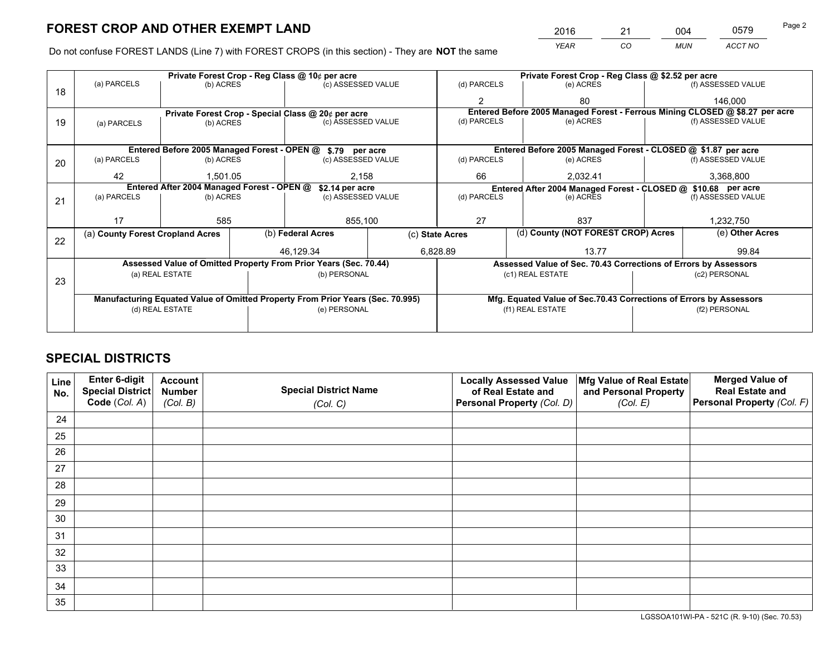*YEAR CO MUN ACCT NO* 2016 21 004 0579

Do not confuse FOREST LANDS (Line 7) with FOREST CROPS (in this section) - They are **NOT** the same

|    |                                                                                |                 | Private Forest Crop - Reg Class @ 10¢ per acre |                                                                  | Private Forest Crop - Reg Class @ \$2.52 per acre                  |                                                       |                                                               |                                                                 |                    |                                                                              |
|----|--------------------------------------------------------------------------------|-----------------|------------------------------------------------|------------------------------------------------------------------|--------------------------------------------------------------------|-------------------------------------------------------|---------------------------------------------------------------|-----------------------------------------------------------------|--------------------|------------------------------------------------------------------------------|
| 18 | (a) PARCELS                                                                    | (b) ACRES       |                                                | (c) ASSESSED VALUE                                               |                                                                    | (d) PARCELS                                           |                                                               | (e) ACRES                                                       |                    | (f) ASSESSED VALUE                                                           |
|    |                                                                                |                 |                                                |                                                                  |                                                                    |                                                       |                                                               | 80                                                              |                    | 146,000                                                                      |
|    |                                                                                |                 |                                                | Private Forest Crop - Special Class @ 20¢ per acre               |                                                                    |                                                       |                                                               |                                                                 |                    | Entered Before 2005 Managed Forest - Ferrous Mining CLOSED @ \$8.27 per acre |
| 19 | (c) ASSESSED VALUE<br>(b) ACRES<br>(a) PARCELS                                 |                 | (d) PARCELS                                    |                                                                  | (e) ACRES                                                          |                                                       | (f) ASSESSED VALUE                                            |                                                                 |                    |                                                                              |
|    |                                                                                |                 |                                                |                                                                  |                                                                    |                                                       |                                                               |                                                                 |                    |                                                                              |
|    |                                                                                |                 |                                                | Entered Before 2005 Managed Forest - OPEN @ \$.79 per acre       |                                                                    |                                                       |                                                               | Entered Before 2005 Managed Forest - CLOSED @ \$1.87 per acre   |                    |                                                                              |
| 20 | (a) PARCELS                                                                    | (b) ACRES       |                                                | (c) ASSESSED VALUE                                               |                                                                    | (d) PARCELS                                           |                                                               | (e) ACRES                                                       |                    | (f) ASSESSED VALUE                                                           |
|    | 42                                                                             | 1,501.05        |                                                |                                                                  | 2,158<br>66                                                        |                                                       |                                                               | 2,032.41                                                        |                    | 3,368,800                                                                    |
|    | Entered After 2004 Managed Forest - OPEN @<br>\$2.14 per acre                  |                 |                                                |                                                                  |                                                                    |                                                       | Entered After 2004 Managed Forest - CLOSED @ \$10.68 per acre |                                                                 |                    |                                                                              |
| 21 | (a) PARCELS                                                                    | (b) ACRES       |                                                | (c) ASSESSED VALUE                                               |                                                                    | (d) PARCELS<br>(e) ACRES                              |                                                               |                                                                 | (f) ASSESSED VALUE |                                                                              |
|    |                                                                                |                 |                                                |                                                                  |                                                                    |                                                       |                                                               |                                                                 |                    |                                                                              |
|    | 17                                                                             | 585             |                                                | 855,100                                                          |                                                                    | 27                                                    |                                                               | 837                                                             |                    | 1,232,750                                                                    |
|    | (a) County Forest Cropland Acres                                               |                 |                                                | (b) Federal Acres                                                |                                                                    | (d) County (NOT FOREST CROP) Acres<br>(c) State Acres |                                                               |                                                                 | (e) Other Acres    |                                                                              |
| 22 |                                                                                |                 |                                                | 46.129.34                                                        |                                                                    | 6,828.89<br>13.77                                     |                                                               |                                                                 | 99.84              |                                                                              |
|    |                                                                                |                 |                                                |                                                                  |                                                                    |                                                       |                                                               |                                                                 |                    |                                                                              |
|    |                                                                                |                 |                                                | Assessed Value of Omitted Property From Prior Years (Sec. 70.44) |                                                                    |                                                       |                                                               | Assessed Value of Sec. 70.43 Corrections of Errors by Assessors |                    |                                                                              |
| 23 |                                                                                | (a) REAL ESTATE |                                                | (b) PERSONAL                                                     |                                                                    |                                                       |                                                               | (c1) REAL ESTATE                                                |                    | (c2) PERSONAL                                                                |
|    |                                                                                |                 |                                                |                                                                  |                                                                    |                                                       |                                                               |                                                                 |                    |                                                                              |
|    | Manufacturing Equated Value of Omitted Property From Prior Years (Sec. 70.995) |                 |                                                |                                                                  | Mfg. Equated Value of Sec.70.43 Corrections of Errors by Assessors |                                                       |                                                               |                                                                 |                    |                                                                              |
|    |                                                                                | (d) REAL ESTATE |                                                | (e) PERSONAL                                                     |                                                                    |                                                       |                                                               | (f1) REAL ESTATE                                                |                    | (f2) PERSONAL                                                                |
|    |                                                                                |                 |                                                |                                                                  |                                                                    |                                                       |                                                               |                                                                 |                    |                                                                              |

# **SPECIAL DISTRICTS**

| Line<br>No. | Enter 6-digit<br>Special District<br>Code (Col. A) | <b>Account</b><br><b>Number</b> | <b>Special District Name</b> | <b>Locally Assessed Value</b><br>of Real Estate and | Mfg Value of Real Estate<br>and Personal Property | <b>Merged Value of</b><br><b>Real Estate and</b><br>Personal Property (Col. F) |
|-------------|----------------------------------------------------|---------------------------------|------------------------------|-----------------------------------------------------|---------------------------------------------------|--------------------------------------------------------------------------------|
|             |                                                    | (Col. B)                        | (Col. C)                     | Personal Property (Col. D)                          | (Col. E)                                          |                                                                                |
| 24          |                                                    |                                 |                              |                                                     |                                                   |                                                                                |
| 25          |                                                    |                                 |                              |                                                     |                                                   |                                                                                |
| 26          |                                                    |                                 |                              |                                                     |                                                   |                                                                                |
| 27          |                                                    |                                 |                              |                                                     |                                                   |                                                                                |
| 28          |                                                    |                                 |                              |                                                     |                                                   |                                                                                |
| 29          |                                                    |                                 |                              |                                                     |                                                   |                                                                                |
| 30          |                                                    |                                 |                              |                                                     |                                                   |                                                                                |
| 31          |                                                    |                                 |                              |                                                     |                                                   |                                                                                |
| 32          |                                                    |                                 |                              |                                                     |                                                   |                                                                                |
| 33          |                                                    |                                 |                              |                                                     |                                                   |                                                                                |
| 34          |                                                    |                                 |                              |                                                     |                                                   |                                                                                |
| 35          |                                                    |                                 |                              |                                                     |                                                   |                                                                                |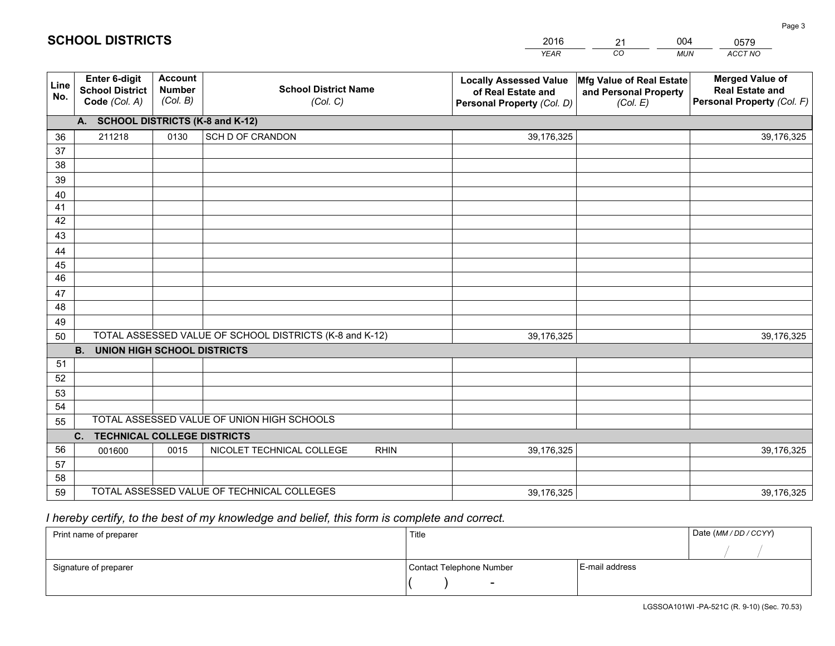|             |                                                          |                                             |                                                         | <b>YEAR</b>                                                                       | CO<br><b>MUN</b>                                              | ACCT NO                                                                        |
|-------------|----------------------------------------------------------|---------------------------------------------|---------------------------------------------------------|-----------------------------------------------------------------------------------|---------------------------------------------------------------|--------------------------------------------------------------------------------|
| Line<br>No. | Enter 6-digit<br><b>School District</b><br>Code (Col. A) | <b>Account</b><br><b>Number</b><br>(Col. B) | <b>School District Name</b><br>(Col. C)                 | <b>Locally Assessed Value</b><br>of Real Estate and<br>Personal Property (Col. D) | Mfg Value of Real Estate<br>and Personal Property<br>(Col. E) | <b>Merged Value of</b><br><b>Real Estate and</b><br>Personal Property (Col. F) |
|             | A. SCHOOL DISTRICTS (K-8 and K-12)                       |                                             |                                                         |                                                                                   |                                                               |                                                                                |
| 36          | 211218                                                   | 0130                                        | SCH D OF CRANDON                                        | 39,176,325                                                                        |                                                               | 39,176,325                                                                     |
| 37          |                                                          |                                             |                                                         |                                                                                   |                                                               |                                                                                |
| 38          |                                                          |                                             |                                                         |                                                                                   |                                                               |                                                                                |
| 39          |                                                          |                                             |                                                         |                                                                                   |                                                               |                                                                                |
| 40          |                                                          |                                             |                                                         |                                                                                   |                                                               |                                                                                |
| 41          |                                                          |                                             |                                                         |                                                                                   |                                                               |                                                                                |
| 42          |                                                          |                                             |                                                         |                                                                                   |                                                               |                                                                                |
| 43          |                                                          |                                             |                                                         |                                                                                   |                                                               |                                                                                |
| 44<br>45    |                                                          |                                             |                                                         |                                                                                   |                                                               |                                                                                |
| 46          |                                                          |                                             |                                                         |                                                                                   |                                                               |                                                                                |
| 47          |                                                          |                                             |                                                         |                                                                                   |                                                               |                                                                                |
| 48          |                                                          |                                             |                                                         |                                                                                   |                                                               |                                                                                |
| 49          |                                                          |                                             |                                                         |                                                                                   |                                                               |                                                                                |
| 50          |                                                          |                                             | TOTAL ASSESSED VALUE OF SCHOOL DISTRICTS (K-8 and K-12) | 39,176,325                                                                        |                                                               | 39,176,325                                                                     |
|             | <b>B.</b><br><b>UNION HIGH SCHOOL DISTRICTS</b>          |                                             |                                                         |                                                                                   |                                                               |                                                                                |
| 51          |                                                          |                                             |                                                         |                                                                                   |                                                               |                                                                                |
| 52          |                                                          |                                             |                                                         |                                                                                   |                                                               |                                                                                |
| 53          |                                                          |                                             |                                                         |                                                                                   |                                                               |                                                                                |
| 54          |                                                          |                                             |                                                         |                                                                                   |                                                               |                                                                                |
| 55          |                                                          |                                             | TOTAL ASSESSED VALUE OF UNION HIGH SCHOOLS              |                                                                                   |                                                               |                                                                                |
|             | C.<br><b>TECHNICAL COLLEGE DISTRICTS</b>                 |                                             |                                                         |                                                                                   |                                                               |                                                                                |
| 56          | 001600                                                   | 0015                                        | NICOLET TECHNICAL COLLEGE<br><b>RHIN</b>                | 39,176,325                                                                        |                                                               | 39,176,325                                                                     |
| 57          |                                                          |                                             |                                                         |                                                                                   |                                                               |                                                                                |
| 58          |                                                          |                                             |                                                         |                                                                                   |                                                               |                                                                                |
| 59          |                                                          |                                             | TOTAL ASSESSED VALUE OF TECHNICAL COLLEGES              | 39,176,325                                                                        |                                                               | 39,176,325                                                                     |

21

004

# *I hereby certify, to the best of my knowledge and belief, this form is complete and correct.*

**SCHOOL DISTRICTS**

| Print name of preparer | Title                    |                | Date (MM / DD / CCYY) |
|------------------------|--------------------------|----------------|-----------------------|
|                        |                          |                |                       |
| Signature of preparer  | Contact Telephone Number | E-mail address |                       |
|                        | $\sim$                   |                |                       |

0579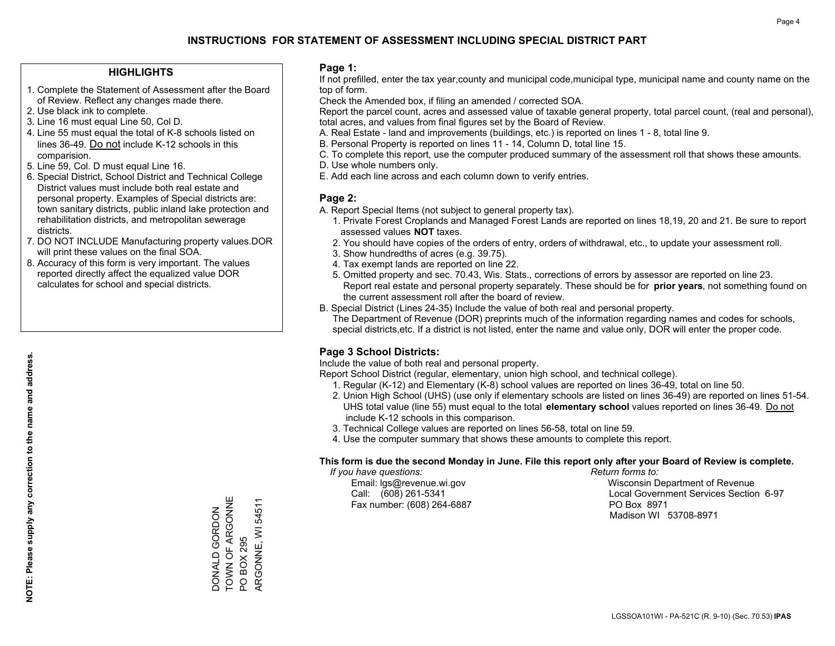### **HIGHLIGHTS**

- 1. Complete the Statement of Assessment after the Board of Review. Reflect any changes made there.
- 2. Use black ink to complete.
- 3. Line 16 must equal Line 50, Col D.
- 4. Line 55 must equal the total of K-8 schools listed on lines 36-49. Do not include K-12 schools in this comparision.
- 5. Line 59, Col. D must equal Line 16.
- 6. Special District, School District and Technical College District values must include both real estate and personal property. Examples of Special districts are: town sanitary districts, public inland lake protection and rehabilitation districts, and metropolitan sewerage districts.
- 7. DO NOT INCLUDE Manufacturing property values.DOR will print these values on the final SOA.
- 8. Accuracy of this form is very important. The values reported directly affect the equalized value DOR calculates for school and special districts.

### **Page 1:**

 If not prefilled, enter the tax year,county and municipal code,municipal type, municipal name and county name on the top of form.

Check the Amended box, if filing an amended / corrected SOA.

 Report the parcel count, acres and assessed value of taxable general property, total parcel count, (real and personal), total acres, and values from final figures set by the Board of Review.

- A. Real Estate land and improvements (buildings, etc.) is reported on lines 1 8, total line 9.
- B. Personal Property is reported on lines 11 14, Column D, total line 15.
- C. To complete this report, use the computer produced summary of the assessment roll that shows these amounts.
- D. Use whole numbers only.
- E. Add each line across and each column down to verify entries.

### **Page 2:**

- A. Report Special Items (not subject to general property tax).
- 1. Private Forest Croplands and Managed Forest Lands are reported on lines 18,19, 20 and 21. Be sure to report assessed values **NOT** taxes.
- 2. You should have copies of the orders of entry, orders of withdrawal, etc., to update your assessment roll.
	- 3. Show hundredths of acres (e.g. 39.75).
- 4. Tax exempt lands are reported on line 22.
- 5. Omitted property and sec. 70.43, Wis. Stats., corrections of errors by assessor are reported on line 23. Report real estate and personal property separately. These should be for **prior years**, not something found on the current assessment roll after the board of review.
- B. Special District (Lines 24-35) Include the value of both real and personal property.
- The Department of Revenue (DOR) preprints much of the information regarding names and codes for schools, special districts,etc. If a district is not listed, enter the name and value only, DOR will enter the proper code.

### **Page 3 School Districts:**

Include the value of both real and personal property.

Report School District (regular, elementary, union high school, and technical college).

- 1. Regular (K-12) and Elementary (K-8) school values are reported on lines 36-49, total on line 50.
- 2. Union High School (UHS) (use only if elementary schools are listed on lines 36-49) are reported on lines 51-54. UHS total value (line 55) must equal to the total **elementary school** values reported on lines 36-49. Do notinclude K-12 schools in this comparison.
- 3. Technical College values are reported on lines 56-58, total on line 59.
- 4. Use the computer summary that shows these amounts to complete this report.

#### **This form is due the second Monday in June. File this report only after your Board of Review is complete.**

 *If you have questions: Return forms to:*

Fax number: (608) 264-6887 PO Box 8971

 Email: lgs@revenue.wi.gov Wisconsin Department of Revenue Call: (608) 261-5341 Local Government Services Section 6-97Madison WI 53708-8971

TOWN OF ARGONNE DONALD GORDON<br>TOWN OF ARGONNE ARGONNE, WI 54511 ARGONNE, WI 54511 DONALD GORDON PO BOX 295 PO BOX 295

**NOTE: Please supply any correction to the name and address.**

NOTE: Please supply any correction to the name and address.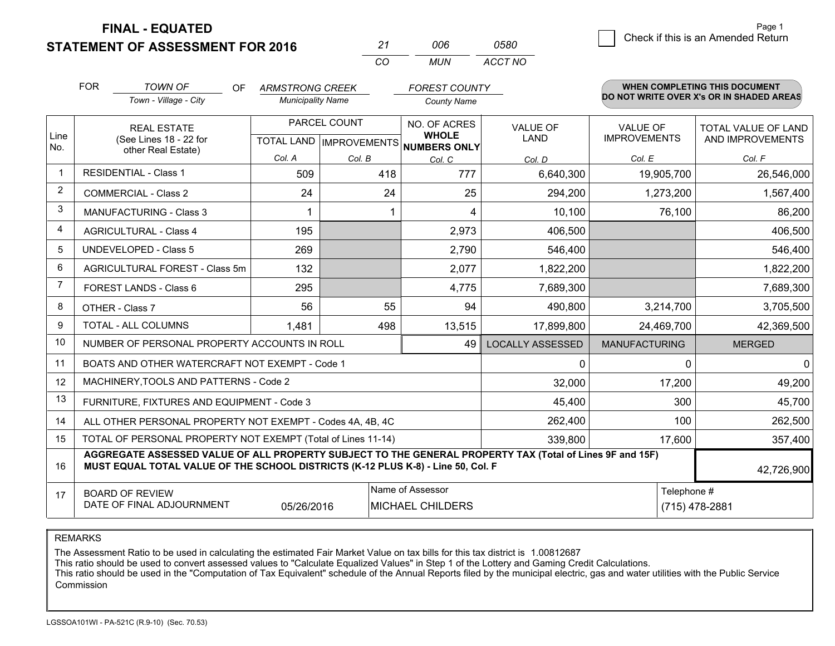**STATEMENT OF ASSESSMENT FOR 2016 FINAL - EQUATED**

0 **Check if this is an Amended Return** Page 1

|                | <b>FOR</b>                                                                                                                                                                                   | <b>TOWN OF</b><br><b>OF</b><br>Town - Village - City               | <b>ARMSTRONG CREEK</b><br><b>Municipality Name</b> |               | <b>FOREST COUNTY</b><br><b>County Name</b>                          |                                |                                        | WHEN COMPLETING THIS DOCUMENT<br>DO NOT WRITE OVER X's OR IN SHADED AREAS |
|----------------|----------------------------------------------------------------------------------------------------------------------------------------------------------------------------------------------|--------------------------------------------------------------------|----------------------------------------------------|---------------|---------------------------------------------------------------------|--------------------------------|----------------------------------------|---------------------------------------------------------------------------|
| Line<br>No.    |                                                                                                                                                                                              | <b>REAL ESTATE</b><br>(See Lines 18 - 22 for<br>other Real Estate) |                                                    | PARCEL COUNT  | NO. OF ACRES<br><b>WHOLE</b><br>TOTAL LAND MPROVEMENTS NUMBERS ONLY | <b>VALUE OF</b><br><b>LAND</b> | <b>VALUE OF</b><br><b>IMPROVEMENTS</b> | <b>TOTAL VALUE OF LAND</b><br>AND IMPROVEMENTS                            |
| $\mathbf 1$    |                                                                                                                                                                                              | <b>RESIDENTIAL - Class 1</b>                                       | Col. A<br>509                                      | Col. B<br>418 | Col. C<br>777                                                       | Col. D<br>6,640,300            | Col. E<br>19,905,700                   | Col. F<br>26,546,000                                                      |
| $\overline{2}$ |                                                                                                                                                                                              | <b>COMMERCIAL - Class 2</b>                                        | 24                                                 | 24            | 25                                                                  | 294,200                        | 1,273,200                              | 1,567,400                                                                 |
| 3              |                                                                                                                                                                                              | <b>MANUFACTURING - Class 3</b>                                     |                                                    |               | 4                                                                   | 10,100                         |                                        |                                                                           |
| 4              |                                                                                                                                                                                              |                                                                    |                                                    |               |                                                                     |                                | 76,100                                 | 86,200                                                                    |
|                |                                                                                                                                                                                              | <b>AGRICULTURAL - Class 4</b>                                      | 195                                                |               | 2,973                                                               | 406,500                        |                                        | 406,500                                                                   |
| 5              |                                                                                                                                                                                              | <b>UNDEVELOPED - Class 5</b>                                       | 269                                                |               | 2,790                                                               | 546,400                        |                                        | 546,400                                                                   |
| 6              |                                                                                                                                                                                              | AGRICULTURAL FOREST - Class 5m                                     | 132                                                |               | 2,077                                                               | 1,822,200                      |                                        | 1,822,200                                                                 |
| 7              |                                                                                                                                                                                              | FOREST LANDS - Class 6                                             | 295                                                |               | 4,775                                                               | 7,689,300                      |                                        | 7,689,300                                                                 |
| 8              |                                                                                                                                                                                              | OTHER - Class 7                                                    | 56                                                 | 55            | 94                                                                  | 490,800                        | 3,214,700                              | 3,705,500                                                                 |
| 9              |                                                                                                                                                                                              | <b>TOTAL - ALL COLUMNS</b>                                         | 1,481                                              | 498           | 13,515                                                              | 17,899,800                     | 24,469,700                             | 42,369,500                                                                |
| 10             |                                                                                                                                                                                              | NUMBER OF PERSONAL PROPERTY ACCOUNTS IN ROLL                       |                                                    |               | 49                                                                  | <b>LOCALLY ASSESSED</b>        | <b>MANUFACTURING</b>                   | <b>MERGED</b>                                                             |
| 11             |                                                                                                                                                                                              | BOATS AND OTHER WATERCRAFT NOT EXEMPT - Code 1                     |                                                    |               |                                                                     | 0                              | $\Omega$                               | $\Omega$                                                                  |
| 12             |                                                                                                                                                                                              | MACHINERY, TOOLS AND PATTERNS - Code 2                             |                                                    |               |                                                                     | 32,000                         | 17,200                                 | 49,200                                                                    |
| 13             |                                                                                                                                                                                              | FURNITURE, FIXTURES AND EQUIPMENT - Code 3                         |                                                    |               |                                                                     | 45,400                         | 300                                    | 45,700                                                                    |
| 14             |                                                                                                                                                                                              | ALL OTHER PERSONAL PROPERTY NOT EXEMPT - Codes 4A, 4B, 4C          |                                                    |               | 262,400                                                             | 100                            | 262,500                                |                                                                           |
| 15             |                                                                                                                                                                                              | TOTAL OF PERSONAL PROPERTY NOT EXEMPT (Total of Lines 11-14)       |                                                    |               | 339,800                                                             | 17,600                         | 357,400                                |                                                                           |
| 16             | AGGREGATE ASSESSED VALUE OF ALL PROPERTY SUBJECT TO THE GENERAL PROPERTY TAX (Total of Lines 9F and 15F)<br>MUST EQUAL TOTAL VALUE OF THE SCHOOL DISTRICTS (K-12 PLUS K-8) - Line 50, Col. F |                                                                    |                                                    |               |                                                                     |                                |                                        | 42,726,900                                                                |
| 17             |                                                                                                                                                                                              | <b>BOARD OF REVIEW</b><br>DATE OF FINAL ADJOURNMENT                | 05/26/2016                                         |               | Name of Assessor<br><b>MICHAEL CHILDERS</b>                         |                                | Telephone #                            | (715) 478-2881                                                            |

*CO*

*MUN*

*ACCT NO0580*

*<sup>21</sup> <sup>006</sup>*

REMARKS

The Assessment Ratio to be used in calculating the estimated Fair Market Value on tax bills for this tax district is 1.00812687<br>This ratio should be used to convert assessed values to "Calculate Equalized Values" in Step 1 Commission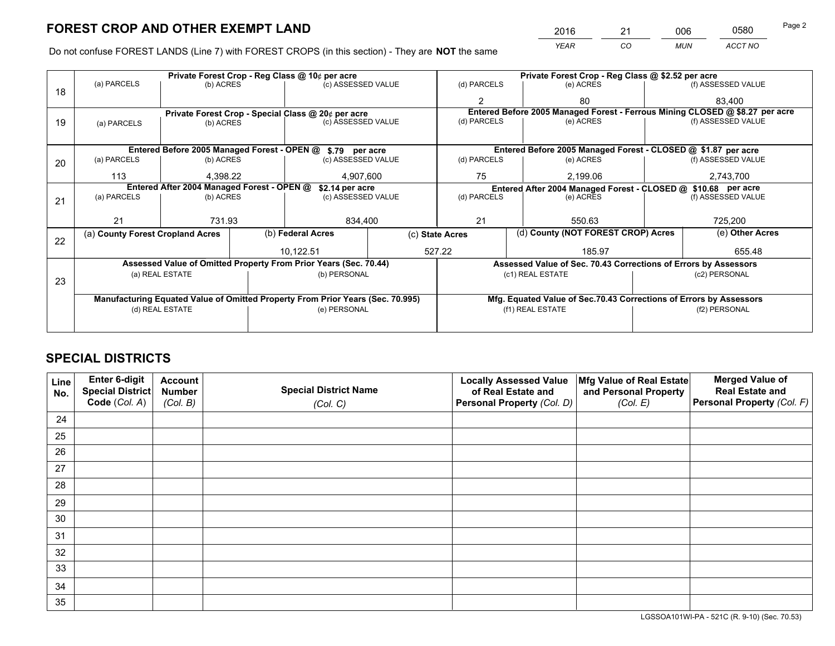*YEAR CO MUN ACCT NO* <sup>2016</sup> <sup>21</sup> <sup>006</sup> <sup>0580</sup>

Do not confuse FOREST LANDS (Line 7) with FOREST CROPS (in this section) - They are **NOT** the same

|    | Private Forest Crop - Reg Class @ 10¢ per acre                                 |                 |  |                                                                  |                                                               | Private Forest Crop - Reg Class @ \$2.52 per acre |                  |                                                                    |                                                                 |                                                                              |  |
|----|--------------------------------------------------------------------------------|-----------------|--|------------------------------------------------------------------|---------------------------------------------------------------|---------------------------------------------------|------------------|--------------------------------------------------------------------|-----------------------------------------------------------------|------------------------------------------------------------------------------|--|
| 18 | (a) PARCELS                                                                    | (b) ACRES       |  | (c) ASSESSED VALUE                                               |                                                               | (d) PARCELS                                       |                  | (e) ACRES                                                          |                                                                 | (f) ASSESSED VALUE                                                           |  |
|    |                                                                                |                 |  |                                                                  |                                                               |                                                   |                  | 80                                                                 |                                                                 | 83.400                                                                       |  |
|    |                                                                                |                 |  | Private Forest Crop - Special Class @ 20¢ per acre               |                                                               |                                                   |                  |                                                                    |                                                                 | Entered Before 2005 Managed Forest - Ferrous Mining CLOSED @ \$8.27 per acre |  |
| 19 | (a) PARCELS                                                                    | (b) ACRES       |  | (c) ASSESSED VALUE                                               |                                                               | (d) PARCELS                                       |                  | (e) ACRES                                                          |                                                                 | (f) ASSESSED VALUE                                                           |  |
|    |                                                                                |                 |  |                                                                  |                                                               |                                                   |                  |                                                                    |                                                                 |                                                                              |  |
|    |                                                                                |                 |  | Entered Before 2005 Managed Forest - OPEN @ \$.79 per acre       |                                                               |                                                   |                  | Entered Before 2005 Managed Forest - CLOSED @ \$1.87 per acre      |                                                                 |                                                                              |  |
| 20 | (a) PARCELS                                                                    | (b) ACRES       |  | (c) ASSESSED VALUE                                               |                                                               | (d) PARCELS                                       |                  | (e) ACRES                                                          |                                                                 | (f) ASSESSED VALUE                                                           |  |
|    | 113                                                                            | 4.398.22        |  | 4,907,600                                                        |                                                               | 75                                                |                  | 2.199.06<br>2,743,700                                              |                                                                 |                                                                              |  |
|    | Entered After 2004 Managed Forest - OPEN @<br>\$2.14 per acre                  |                 |  |                                                                  | Entered After 2004 Managed Forest - CLOSED @ \$10.68 per acre |                                                   |                  |                                                                    |                                                                 |                                                                              |  |
| 21 | (a) PARCELS                                                                    | (b) ACRES       |  | (c) ASSESSED VALUE                                               |                                                               | (d) PARCELS                                       |                  | (e) ACRES                                                          |                                                                 | (f) ASSESSED VALUE                                                           |  |
|    |                                                                                |                 |  |                                                                  |                                                               |                                                   |                  |                                                                    |                                                                 |                                                                              |  |
|    | 21                                                                             | 731.93          |  | 834,400                                                          |                                                               | 21                                                |                  | 550.63                                                             |                                                                 | 725,200                                                                      |  |
| 22 | (a) County Forest Cropland Acres                                               |                 |  | (b) Federal Acres                                                |                                                               | (c) State Acres                                   |                  | (d) County (NOT FOREST CROP) Acres                                 |                                                                 | (e) Other Acres                                                              |  |
|    |                                                                                |                 |  | 10,122.51                                                        |                                                               | 527.22                                            |                  | 185.97                                                             |                                                                 | 655.48                                                                       |  |
|    |                                                                                |                 |  | Assessed Value of Omitted Property From Prior Years (Sec. 70.44) |                                                               |                                                   |                  |                                                                    | Assessed Value of Sec. 70.43 Corrections of Errors by Assessors |                                                                              |  |
|    |                                                                                | (a) REAL ESTATE |  | (b) PERSONAL                                                     |                                                               |                                                   | (c1) REAL ESTATE |                                                                    |                                                                 | (c2) PERSONAL                                                                |  |
| 23 |                                                                                |                 |  |                                                                  |                                                               |                                                   |                  |                                                                    |                                                                 |                                                                              |  |
|    | Manufacturing Equated Value of Omitted Property From Prior Years (Sec. 70.995) |                 |  |                                                                  |                                                               |                                                   |                  | Mfg. Equated Value of Sec.70.43 Corrections of Errors by Assessors |                                                                 |                                                                              |  |
|    | (d) REAL ESTATE                                                                |                 |  | (e) PERSONAL                                                     |                                                               |                                                   | (f1) REAL ESTATE |                                                                    | (f2) PERSONAL                                                   |                                                                              |  |
|    |                                                                                |                 |  |                                                                  |                                                               |                                                   |                  |                                                                    |                                                                 |                                                                              |  |

# **SPECIAL DISTRICTS**

| Line<br>No. | Enter 6-digit<br><b>Special District</b> | <b>Account</b><br><b>Number</b> | <b>Special District Name</b> | <b>Locally Assessed Value</b><br>of Real Estate and | Mfg Value of Real Estate<br>and Personal Property | <b>Merged Value of</b><br><b>Real Estate and</b> |
|-------------|------------------------------------------|---------------------------------|------------------------------|-----------------------------------------------------|---------------------------------------------------|--------------------------------------------------|
|             | Code (Col. A)                            | (Col. B)                        | (Col. C)                     | Personal Property (Col. D)                          | (Col. E)                                          | Personal Property (Col. F)                       |
| 24          |                                          |                                 |                              |                                                     |                                                   |                                                  |
| 25          |                                          |                                 |                              |                                                     |                                                   |                                                  |
| 26          |                                          |                                 |                              |                                                     |                                                   |                                                  |
| 27          |                                          |                                 |                              |                                                     |                                                   |                                                  |
| 28          |                                          |                                 |                              |                                                     |                                                   |                                                  |
| 29          |                                          |                                 |                              |                                                     |                                                   |                                                  |
| 30          |                                          |                                 |                              |                                                     |                                                   |                                                  |
| 31          |                                          |                                 |                              |                                                     |                                                   |                                                  |
| 32          |                                          |                                 |                              |                                                     |                                                   |                                                  |
| 33          |                                          |                                 |                              |                                                     |                                                   |                                                  |
| 34          |                                          |                                 |                              |                                                     |                                                   |                                                  |
| 35          |                                          |                                 |                              |                                                     |                                                   |                                                  |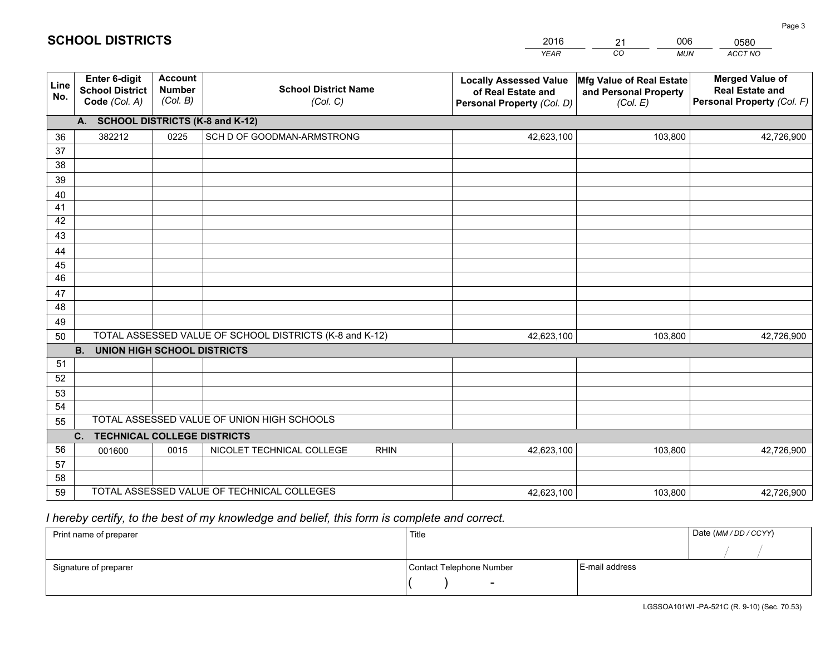|             |                                                          |                                             |                                                         | <b>YEAR</b>                                                                       | CO<br><b>MUN</b>                                              | ACCT NO                                                                        |
|-------------|----------------------------------------------------------|---------------------------------------------|---------------------------------------------------------|-----------------------------------------------------------------------------------|---------------------------------------------------------------|--------------------------------------------------------------------------------|
| Line<br>No. | Enter 6-digit<br><b>School District</b><br>Code (Col. A) | <b>Account</b><br><b>Number</b><br>(Col. B) | <b>School District Name</b><br>(Col. C)                 | <b>Locally Assessed Value</b><br>of Real Estate and<br>Personal Property (Col. D) | Mfg Value of Real Estate<br>and Personal Property<br>(Col. E) | <b>Merged Value of</b><br><b>Real Estate and</b><br>Personal Property (Col. F) |
|             | A. SCHOOL DISTRICTS (K-8 and K-12)                       |                                             |                                                         |                                                                                   |                                                               |                                                                                |
| 36          | 382212                                                   | 0225                                        | SCH D OF GOODMAN-ARMSTRONG                              | 42,623,100                                                                        | 103,800                                                       | 42,726,900                                                                     |
| 37          |                                                          |                                             |                                                         |                                                                                   |                                                               |                                                                                |
| 38          |                                                          |                                             |                                                         |                                                                                   |                                                               |                                                                                |
| 39          |                                                          |                                             |                                                         |                                                                                   |                                                               |                                                                                |
| 40          |                                                          |                                             |                                                         |                                                                                   |                                                               |                                                                                |
| 41          |                                                          |                                             |                                                         |                                                                                   |                                                               |                                                                                |
| 42<br>43    |                                                          |                                             |                                                         |                                                                                   |                                                               |                                                                                |
|             |                                                          |                                             |                                                         |                                                                                   |                                                               |                                                                                |
| 44<br>45    |                                                          |                                             |                                                         |                                                                                   |                                                               |                                                                                |
| 46          |                                                          |                                             |                                                         |                                                                                   |                                                               |                                                                                |
| 47          |                                                          |                                             |                                                         |                                                                                   |                                                               |                                                                                |
| 48          |                                                          |                                             |                                                         |                                                                                   |                                                               |                                                                                |
| 49          |                                                          |                                             |                                                         |                                                                                   |                                                               |                                                                                |
| 50          |                                                          |                                             | TOTAL ASSESSED VALUE OF SCHOOL DISTRICTS (K-8 and K-12) | 42,623,100                                                                        | 103,800                                                       | 42,726,900                                                                     |
|             | <b>UNION HIGH SCHOOL DISTRICTS</b><br><b>B.</b>          |                                             |                                                         |                                                                                   |                                                               |                                                                                |
| 51          |                                                          |                                             |                                                         |                                                                                   |                                                               |                                                                                |
| 52          |                                                          |                                             |                                                         |                                                                                   |                                                               |                                                                                |
| 53          |                                                          |                                             |                                                         |                                                                                   |                                                               |                                                                                |
| 54          |                                                          |                                             |                                                         |                                                                                   |                                                               |                                                                                |
| 55          |                                                          |                                             | TOTAL ASSESSED VALUE OF UNION HIGH SCHOOLS              |                                                                                   |                                                               |                                                                                |
|             | C.<br><b>TECHNICAL COLLEGE DISTRICTS</b>                 |                                             |                                                         |                                                                                   |                                                               |                                                                                |
| 56          | 001600                                                   | 0015                                        | NICOLET TECHNICAL COLLEGE<br><b>RHIN</b>                | 42,623,100                                                                        | 103,800                                                       | 42,726,900                                                                     |
| 57<br>58    |                                                          |                                             |                                                         |                                                                                   |                                                               |                                                                                |
| 59          |                                                          |                                             | TOTAL ASSESSED VALUE OF TECHNICAL COLLEGES              | 42,623,100                                                                        | 103,800                                                       | 42,726,900                                                                     |
|             |                                                          |                                             |                                                         |                                                                                   |                                                               |                                                                                |

21

006

 *I hereby certify, to the best of my knowledge and belief, this form is complete and correct.*

**SCHOOL DISTRICTS**

| Print name of preparer | Title                    |                | Date (MM/DD/CCYY) |
|------------------------|--------------------------|----------------|-------------------|
|                        |                          |                |                   |
| Signature of preparer  | Contact Telephone Number | E-mail address |                   |
|                        | $\overline{\phantom{a}}$ |                |                   |

0580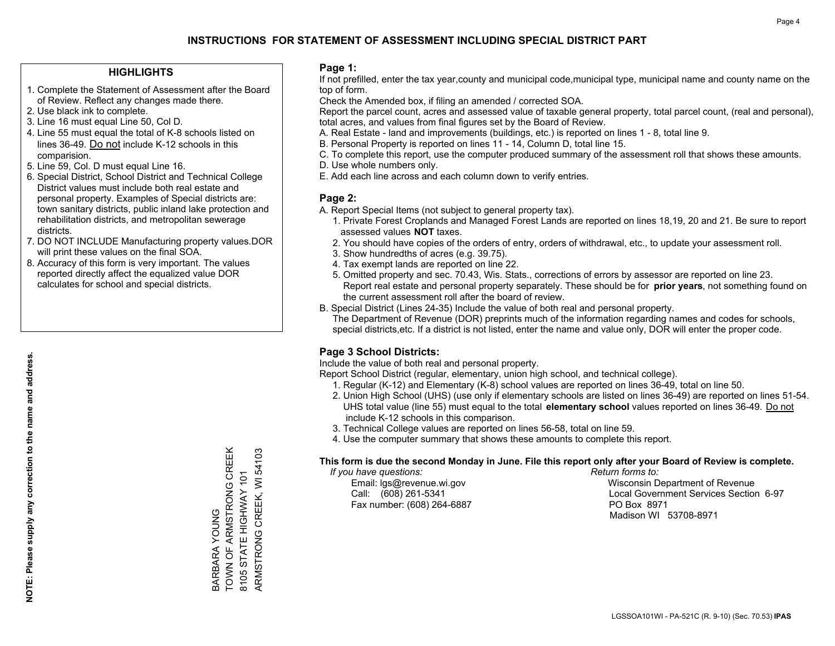### **HIGHLIGHTS**

- 1. Complete the Statement of Assessment after the Board of Review. Reflect any changes made there.
- 2. Use black ink to complete.
- 3. Line 16 must equal Line 50, Col D.
- 4. Line 55 must equal the total of K-8 schools listed on lines 36-49. Do not include K-12 schools in this comparision.
- 5. Line 59, Col. D must equal Line 16.
- 6. Special District, School District and Technical College District values must include both real estate and personal property. Examples of Special districts are: town sanitary districts, public inland lake protection and rehabilitation districts, and metropolitan sewerage districts.
- 7. DO NOT INCLUDE Manufacturing property values.DOR will print these values on the final SOA.

BARBARA YOUNG

TOWN OF ARMSTRONG CREEK 8105 STATE HIGHWAY 101 ARMSTRONG CREEK, WI 54103

ARMSTRONG CREEK, WI 54103 8105 STATE HIGHWAY 101

BARBARA YOUNG<br>TOWN OF ARMSTRONG CREEK

 8. Accuracy of this form is very important. The values reported directly affect the equalized value DOR calculates for school and special districts.

### **Page 1:**

 If not prefilled, enter the tax year,county and municipal code,municipal type, municipal name and county name on the top of form.

Check the Amended box, if filing an amended / corrected SOA.

 Report the parcel count, acres and assessed value of taxable general property, total parcel count, (real and personal), total acres, and values from final figures set by the Board of Review.

- A. Real Estate land and improvements (buildings, etc.) is reported on lines 1 8, total line 9.
- B. Personal Property is reported on lines 11 14, Column D, total line 15.
- C. To complete this report, use the computer produced summary of the assessment roll that shows these amounts.
- D. Use whole numbers only.
- E. Add each line across and each column down to verify entries.

### **Page 2:**

- A. Report Special Items (not subject to general property tax).
- 1. Private Forest Croplands and Managed Forest Lands are reported on lines 18,19, 20 and 21. Be sure to report assessed values **NOT** taxes.
- 2. You should have copies of the orders of entry, orders of withdrawal, etc., to update your assessment roll.
	- 3. Show hundredths of acres (e.g. 39.75).
- 4. Tax exempt lands are reported on line 22.
- 5. Omitted property and sec. 70.43, Wis. Stats., corrections of errors by assessor are reported on line 23. Report real estate and personal property separately. These should be for **prior years**, not something found on the current assessment roll after the board of review.
- B. Special District (Lines 24-35) Include the value of both real and personal property.
- The Department of Revenue (DOR) preprints much of the information regarding names and codes for schools, special districts,etc. If a district is not listed, enter the name and value only, DOR will enter the proper code.

### **Page 3 School Districts:**

Include the value of both real and personal property.

Report School District (regular, elementary, union high school, and technical college).

- 1. Regular (K-12) and Elementary (K-8) school values are reported on lines 36-49, total on line 50.
- 2. Union High School (UHS) (use only if elementary schools are listed on lines 36-49) are reported on lines 51-54. UHS total value (line 55) must equal to the total **elementary school** values reported on lines 36-49. Do notinclude K-12 schools in this comparison.
- 3. Technical College values are reported on lines 56-58, total on line 59.
- 4. Use the computer summary that shows these amounts to complete this report.

#### **This form is due the second Monday in June. File this report only after your Board of Review is complete.**

 *If you have questions: Return forms to:*

Fax number: (608) 264-6887 PO Box 8971

 Email: lgs@revenue.wi.gov Wisconsin Department of Revenue Call: (608) 261-5341 Local Government Services Section 6-97Madison WI 53708-8971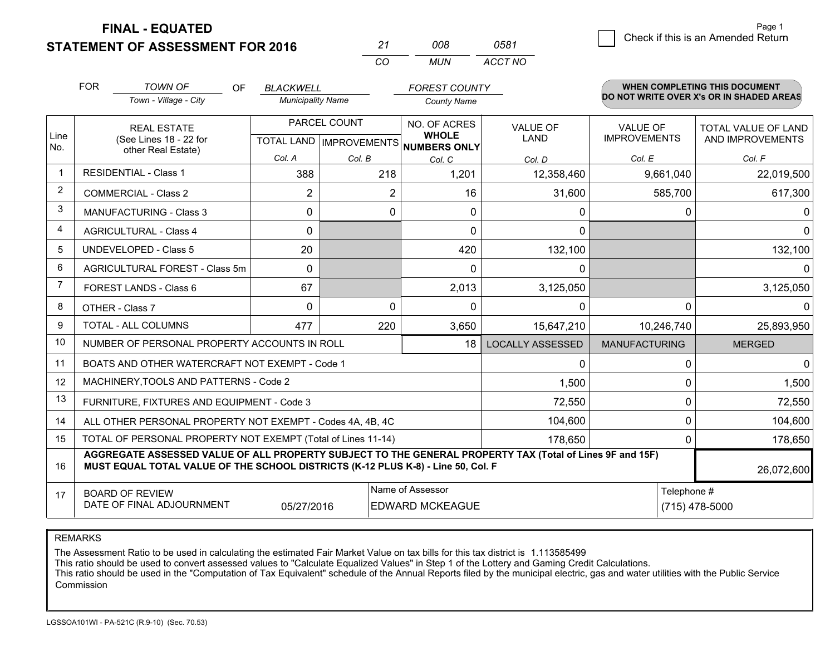**STATEMENT OF ASSESSMENT FOR 2016** 

| 21 | nnr   | 0581    |
|----|-------|---------|
| cо | MI IN | ACCT NO |

|                | <b>FOR</b>                                                                                                                                                                                   | <b>TOWN OF</b><br>OF<br>Town - Village - City                | <b>BLACKWELL</b><br><b>Municipality Name</b> |              | <b>FOREST COUNTY</b>                                     |                         |                      |              | <b>WHEN COMPLETING THIS DOCUMENT</b><br>DO NOT WRITE OVER X's OR IN SHADED AREAS |
|----------------|----------------------------------------------------------------------------------------------------------------------------------------------------------------------------------------------|--------------------------------------------------------------|----------------------------------------------|--------------|----------------------------------------------------------|-------------------------|----------------------|--------------|----------------------------------------------------------------------------------|
|                |                                                                                                                                                                                              |                                                              |                                              |              | <b>County Name</b>                                       |                         |                      |              |                                                                                  |
|                |                                                                                                                                                                                              | <b>REAL ESTATE</b>                                           |                                              | PARCEL COUNT | NO. OF ACRES                                             | <b>VALUE OF</b>         | <b>VALUE OF</b>      |              | <b>TOTAL VALUE OF LAND</b>                                                       |
| Line<br>No.    |                                                                                                                                                                                              | (See Lines 18 - 22 for<br>other Real Estate)                 |                                              |              | <b>WHOLE</b><br>TOTAL LAND   IMPROVEMENTS   NUMBERS ONLY | <b>LAND</b>             | <b>IMPROVEMENTS</b>  |              | AND IMPROVEMENTS                                                                 |
|                |                                                                                                                                                                                              |                                                              | Col. A                                       | Col. B       | Col. C                                                   | Col. D                  | Col. E               |              | Col. F                                                                           |
| $\mathbf 1$    |                                                                                                                                                                                              | <b>RESIDENTIAL - Class 1</b>                                 | 388                                          | 218          | 1,201                                                    | 12,358,460              | 9,661,040            |              | 22,019,500                                                                       |
| 2              |                                                                                                                                                                                              | <b>COMMERCIAL - Class 2</b>                                  | $\overline{2}$                               | 2            | 16                                                       | 31,600                  | 585,700              |              | 617,300                                                                          |
| 3              |                                                                                                                                                                                              | <b>MANUFACTURING - Class 3</b>                               | 0                                            | 0            | $\Omega$                                                 | 0                       |                      | $\Omega$     | $\mathbf{0}$                                                                     |
| 4              |                                                                                                                                                                                              | <b>AGRICULTURAL - Class 4</b>                                | $\Omega$                                     |              | $\Omega$                                                 | $\mathbf{0}$            |                      |              | $\mathbf 0$                                                                      |
| 5              |                                                                                                                                                                                              | <b>UNDEVELOPED - Class 5</b>                                 | 20                                           |              | 420                                                      | 132,100                 |                      |              | 132,100                                                                          |
| 6              |                                                                                                                                                                                              | <b>AGRICULTURAL FOREST - Class 5m</b>                        | $\Omega$                                     |              | $\Omega$                                                 | 0                       |                      |              | $\Omega$                                                                         |
| $\overline{7}$ |                                                                                                                                                                                              | FOREST LANDS - Class 6                                       | 67                                           |              | 2,013                                                    | 3,125,050               |                      |              | 3,125,050                                                                        |
| 8              |                                                                                                                                                                                              | OTHER - Class 7                                              | $\Omega$                                     | $\Omega$     | $\Omega$                                                 | $\Omega$                |                      | $\Omega$     | $\Omega$                                                                         |
| 9              |                                                                                                                                                                                              | TOTAL - ALL COLUMNS                                          | 477                                          | 220          | 3,650                                                    | 15,647,210              | 10,246,740           |              | 25,893,950                                                                       |
| 10             |                                                                                                                                                                                              | NUMBER OF PERSONAL PROPERTY ACCOUNTS IN ROLL                 |                                              |              | 18                                                       | <b>LOCALLY ASSESSED</b> | <b>MANUFACTURING</b> |              | <b>MERGED</b>                                                                    |
| 11             |                                                                                                                                                                                              | BOATS AND OTHER WATERCRAFT NOT EXEMPT - Code 1               |                                              |              |                                                          | $\Omega$                |                      | 0            | $\mathbf 0$                                                                      |
| 12             |                                                                                                                                                                                              | MACHINERY, TOOLS AND PATTERNS - Code 2                       |                                              |              |                                                          | 1,500                   |                      | 0            | 1,500                                                                            |
| 13             |                                                                                                                                                                                              | FURNITURE, FIXTURES AND EQUIPMENT - Code 3                   |                                              |              |                                                          | 72,550                  |                      | 0            | 72,550                                                                           |
| 14             |                                                                                                                                                                                              | ALL OTHER PERSONAL PROPERTY NOT EXEMPT - Codes 4A, 4B, 4C    |                                              |              |                                                          | 104,600                 |                      | $\mathbf{0}$ | 104,600                                                                          |
| 15             |                                                                                                                                                                                              | TOTAL OF PERSONAL PROPERTY NOT EXEMPT (Total of Lines 11-14) |                                              | 178,650      |                                                          | 0                       | 178,650              |              |                                                                                  |
| 16             | AGGREGATE ASSESSED VALUE OF ALL PROPERTY SUBJECT TO THE GENERAL PROPERTY TAX (Total of Lines 9F and 15F)<br>MUST EQUAL TOTAL VALUE OF THE SCHOOL DISTRICTS (K-12 PLUS K-8) - Line 50, Col. F |                                                              |                                              |              |                                                          |                         |                      | 26,072,600   |                                                                                  |
| 17             |                                                                                                                                                                                              | <b>BOARD OF REVIEW</b>                                       |                                              |              | Name of Assessor                                         |                         |                      | Telephone #  |                                                                                  |
|                |                                                                                                                                                                                              | DATE OF FINAL ADJOURNMENT                                    | 05/27/2016                                   |              | <b>EDWARD MCKEAGUE</b>                                   |                         |                      |              | (715) 478-5000                                                                   |

REMARKS

The Assessment Ratio to be used in calculating the estimated Fair Market Value on tax bills for this tax district is 1.113585499

This ratio should be used to convert assessed values to "Calculate Equalized Values" in Step 1 of the Lottery and Gaming Credit Calculations.<br>This ratio should be used in the "Computation of Tax Equivalent" schedule of the Commission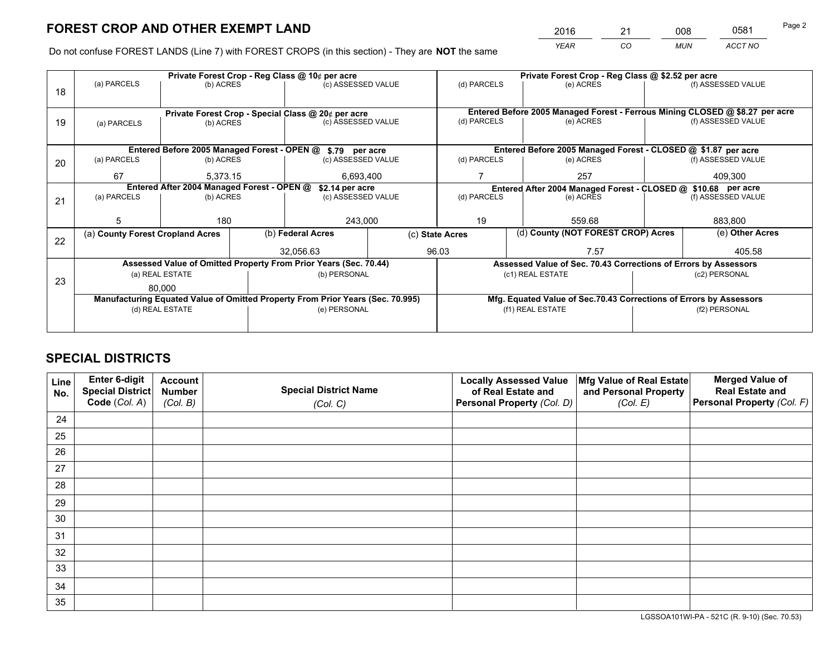*YEAR CO MUN ACCT NO* <sup>2016</sup> <sup>21</sup> <sup>008</sup> <sup>0581</sup>

Do not confuse FOREST LANDS (Line 7) with FOREST CROPS (in this section) - They are **NOT** the same

|    | Private Forest Crop - Reg Class @ 10¢ per acre                                 |                 |  |                                                                  |  |                                                                              | Private Forest Crop - Reg Class @ \$2.52 per acre               |  |                                                               |  |  |
|----|--------------------------------------------------------------------------------|-----------------|--|------------------------------------------------------------------|--|------------------------------------------------------------------------------|-----------------------------------------------------------------|--|---------------------------------------------------------------|--|--|
| 18 | (a) PARCELS                                                                    | (b) ACRES       |  | (c) ASSESSED VALUE                                               |  | (d) PARCELS                                                                  | (e) ACRES                                                       |  | (f) ASSESSED VALUE                                            |  |  |
|    | Private Forest Crop - Special Class @ 20¢ per acre                             |                 |  |                                                                  |  | Entered Before 2005 Managed Forest - Ferrous Mining CLOSED @ \$8.27 per acre |                                                                 |  |                                                               |  |  |
| 19 | (a) PARCELS                                                                    | (b) ACRES       |  | (c) ASSESSED VALUE                                               |  | (d) PARCELS                                                                  | (e) ACRES                                                       |  | (f) ASSESSED VALUE                                            |  |  |
|    |                                                                                |                 |  | Entered Before 2005 Managed Forest - OPEN @ \$.79 per acre       |  |                                                                              | Entered Before 2005 Managed Forest - CLOSED @ \$1.87 per acre   |  |                                                               |  |  |
| 20 | (a) PARCELS                                                                    | (b) ACRES       |  | (c) ASSESSED VALUE                                               |  | (d) PARCELS                                                                  | (e) ACRES                                                       |  | (f) ASSESSED VALUE                                            |  |  |
|    | 67                                                                             | 5.373.15        |  | 6,693,400                                                        |  |                                                                              | 257                                                             |  | 409.300                                                       |  |  |
|    | Entered After 2004 Managed Forest - OPEN @<br>\$2.14 per acre                  |                 |  |                                                                  |  |                                                                              |                                                                 |  | Entered After 2004 Managed Forest - CLOSED @ \$10.68 per acre |  |  |
| 21 | (a) PARCELS                                                                    | (b) ACRES       |  | (c) ASSESSED VALUE                                               |  | (d) PARCELS<br>(e) ACRES                                                     |                                                                 |  | (f) ASSESSED VALUE                                            |  |  |
|    |                                                                                |                 |  |                                                                  |  |                                                                              |                                                                 |  |                                                               |  |  |
|    | 5                                                                              | 180             |  | 243,000                                                          |  | 19<br>559.68                                                                 |                                                                 |  | 883,800                                                       |  |  |
| 22 | (a) County Forest Cropland Acres                                               |                 |  | (b) Federal Acres                                                |  | (c) State Acres                                                              | (d) County (NOT FOREST CROP) Acres                              |  | (e) Other Acres                                               |  |  |
|    |                                                                                |                 |  | 32.056.63                                                        |  | 96.03                                                                        | 7.57                                                            |  | 405.58                                                        |  |  |
|    |                                                                                |                 |  | Assessed Value of Omitted Property From Prior Years (Sec. 70.44) |  |                                                                              | Assessed Value of Sec. 70.43 Corrections of Errors by Assessors |  |                                                               |  |  |
| 23 |                                                                                | (a) REAL ESTATE |  | (b) PERSONAL                                                     |  |                                                                              | (c1) REAL ESTATE                                                |  | (c2) PERSONAL                                                 |  |  |
|    |                                                                                | 80,000          |  |                                                                  |  |                                                                              |                                                                 |  |                                                               |  |  |
|    | Manufacturing Equated Value of Omitted Property From Prior Years (Sec. 70.995) |                 |  |                                                                  |  | Mfg. Equated Value of Sec.70.43 Corrections of Errors by Assessors           |                                                                 |  |                                                               |  |  |
|    | (d) REAL ESTATE                                                                |                 |  | (e) PERSONAL                                                     |  |                                                                              | (f1) REAL ESTATE                                                |  | (f2) PERSONAL                                                 |  |  |
|    |                                                                                |                 |  |                                                                  |  |                                                                              |                                                                 |  |                                                               |  |  |

# **SPECIAL DISTRICTS**

| Line<br>No. | Enter 6-digit<br>Special District<br>Code (Col. A) | <b>Account</b><br><b>Number</b><br>(Col. B) | <b>Special District Name</b><br>(Col. C) | <b>Locally Assessed Value</b><br>of Real Estate and<br>Personal Property (Col. D) | Mfg Value of Real Estate<br>and Personal Property<br>(Col. E) | <b>Merged Value of</b><br><b>Real Estate and</b><br>Personal Property (Col. F) |
|-------------|----------------------------------------------------|---------------------------------------------|------------------------------------------|-----------------------------------------------------------------------------------|---------------------------------------------------------------|--------------------------------------------------------------------------------|
| 24          |                                                    |                                             |                                          |                                                                                   |                                                               |                                                                                |
| 25          |                                                    |                                             |                                          |                                                                                   |                                                               |                                                                                |
| 26          |                                                    |                                             |                                          |                                                                                   |                                                               |                                                                                |
| 27          |                                                    |                                             |                                          |                                                                                   |                                                               |                                                                                |
| 28          |                                                    |                                             |                                          |                                                                                   |                                                               |                                                                                |
| 29          |                                                    |                                             |                                          |                                                                                   |                                                               |                                                                                |
| 30          |                                                    |                                             |                                          |                                                                                   |                                                               |                                                                                |
| 31          |                                                    |                                             |                                          |                                                                                   |                                                               |                                                                                |
| 32          |                                                    |                                             |                                          |                                                                                   |                                                               |                                                                                |
| 33          |                                                    |                                             |                                          |                                                                                   |                                                               |                                                                                |
| 34          |                                                    |                                             |                                          |                                                                                   |                                                               |                                                                                |
| 35          |                                                    |                                             |                                          |                                                                                   |                                                               |                                                                                |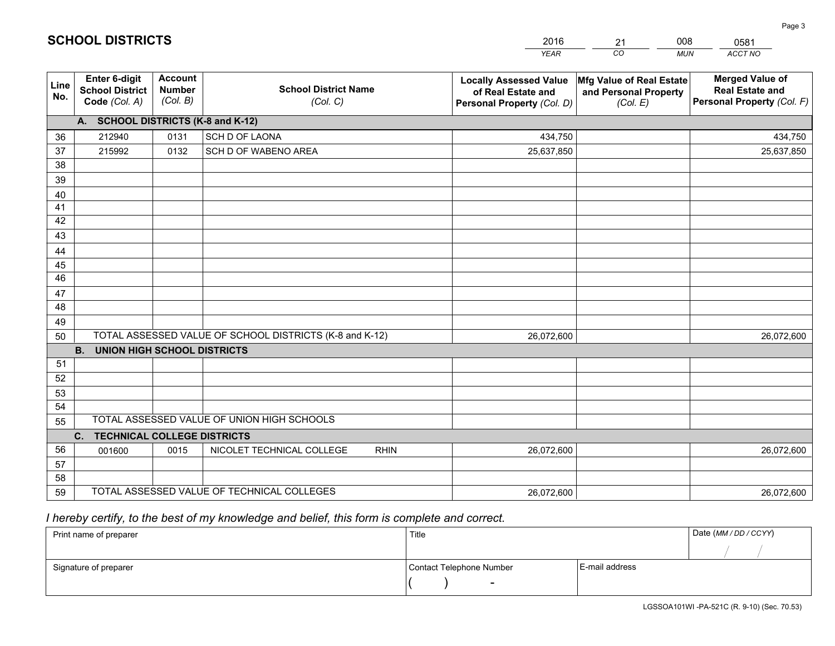|             |                                                          |                                             |                                                         | <b>YEAR</b>                                                                       | CO<br><b>MUN</b>                                              | ACCT NO                                                                        |
|-------------|----------------------------------------------------------|---------------------------------------------|---------------------------------------------------------|-----------------------------------------------------------------------------------|---------------------------------------------------------------|--------------------------------------------------------------------------------|
| Line<br>No. | Enter 6-digit<br><b>School District</b><br>Code (Col. A) | <b>Account</b><br><b>Number</b><br>(Col. B) | <b>School District Name</b><br>(Col. C)                 | <b>Locally Assessed Value</b><br>of Real Estate and<br>Personal Property (Col. D) | Mfg Value of Real Estate<br>and Personal Property<br>(Col. E) | <b>Merged Value of</b><br><b>Real Estate and</b><br>Personal Property (Col. F) |
|             | A. SCHOOL DISTRICTS (K-8 and K-12)                       |                                             |                                                         |                                                                                   |                                                               |                                                                                |
| 36          | 212940                                                   | 0131                                        | <b>SCH D OF LAONA</b>                                   | 434,750                                                                           |                                                               | 434,750                                                                        |
| 37          | 215992                                                   | 0132                                        | SCH D OF WABENO AREA                                    | 25,637,850                                                                        |                                                               | 25,637,850                                                                     |
| 38          |                                                          |                                             |                                                         |                                                                                   |                                                               |                                                                                |
| 39          |                                                          |                                             |                                                         |                                                                                   |                                                               |                                                                                |
| 40          |                                                          |                                             |                                                         |                                                                                   |                                                               |                                                                                |
| 41          |                                                          |                                             |                                                         |                                                                                   |                                                               |                                                                                |
| 42          |                                                          |                                             |                                                         |                                                                                   |                                                               |                                                                                |
| 43          |                                                          |                                             |                                                         |                                                                                   |                                                               |                                                                                |
| 44          |                                                          |                                             |                                                         |                                                                                   |                                                               |                                                                                |
| 45          |                                                          |                                             |                                                         |                                                                                   |                                                               |                                                                                |
| 46          |                                                          |                                             |                                                         |                                                                                   |                                                               |                                                                                |
| 47          |                                                          |                                             |                                                         |                                                                                   |                                                               |                                                                                |
| 48          |                                                          |                                             |                                                         |                                                                                   |                                                               |                                                                                |
| 49          |                                                          |                                             | TOTAL ASSESSED VALUE OF SCHOOL DISTRICTS (K-8 and K-12) |                                                                                   |                                                               |                                                                                |
| 50          | <b>B.</b><br><b>UNION HIGH SCHOOL DISTRICTS</b>          |                                             |                                                         | 26,072,600                                                                        |                                                               | 26,072,600                                                                     |
| 51          |                                                          |                                             |                                                         |                                                                                   |                                                               |                                                                                |
| 52          |                                                          |                                             |                                                         |                                                                                   |                                                               |                                                                                |
| 53          |                                                          |                                             |                                                         |                                                                                   |                                                               |                                                                                |
| 54          |                                                          |                                             |                                                         |                                                                                   |                                                               |                                                                                |
| 55          |                                                          |                                             | TOTAL ASSESSED VALUE OF UNION HIGH SCHOOLS              |                                                                                   |                                                               |                                                                                |
|             | C. TECHNICAL COLLEGE DISTRICTS                           |                                             |                                                         |                                                                                   |                                                               |                                                                                |
| 56          | 001600                                                   | 0015                                        | NICOLET TECHNICAL COLLEGE<br><b>RHIN</b>                | 26,072,600                                                                        |                                                               | 26,072,600                                                                     |
| 57          |                                                          |                                             |                                                         |                                                                                   |                                                               |                                                                                |
| 58          |                                                          |                                             |                                                         |                                                                                   |                                                               |                                                                                |
| 59          |                                                          |                                             | TOTAL ASSESSED VALUE OF TECHNICAL COLLEGES              | 26,072,600                                                                        |                                                               | 26,072,600                                                                     |

21

008

 *I hereby certify, to the best of my knowledge and belief, this form is complete and correct.*

**SCHOOL DISTRICTS**

| Print name of preparer | Title                    |                | Date (MM / DD / CCYY) |
|------------------------|--------------------------|----------------|-----------------------|
|                        |                          |                |                       |
| Signature of preparer  | Contact Telephone Number | E-mail address |                       |
|                        | $\overline{\phantom{0}}$ |                |                       |

Page 3

0581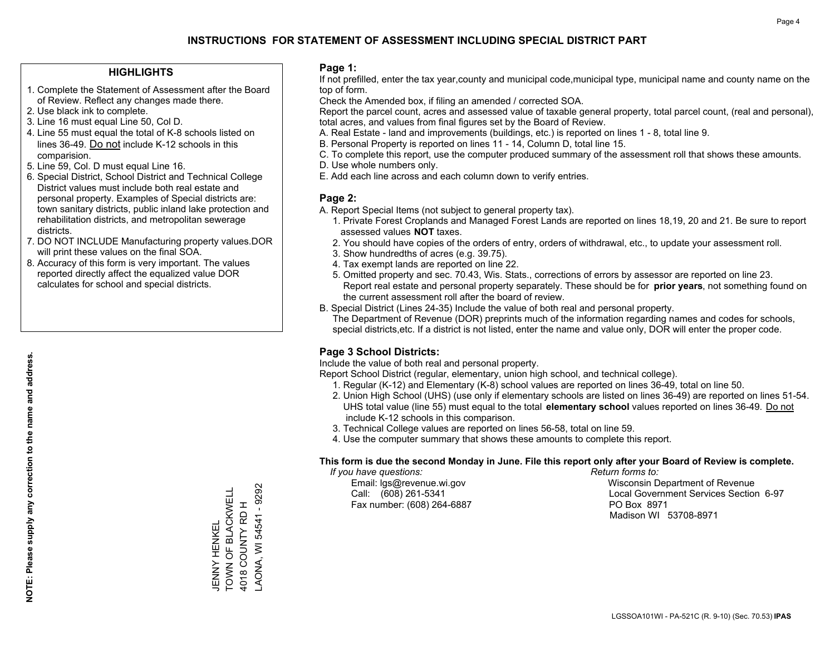### **HIGHLIGHTS**

- 1. Complete the Statement of Assessment after the Board of Review. Reflect any changes made there.
- 2. Use black ink to complete.
- 3. Line 16 must equal Line 50, Col D.
- 4. Line 55 must equal the total of K-8 schools listed on lines 36-49. Do not include K-12 schools in this comparision.
- 5. Line 59, Col. D must equal Line 16.
- 6. Special District, School District and Technical College District values must include both real estate and personal property. Examples of Special districts are: town sanitary districts, public inland lake protection and rehabilitation districts, and metropolitan sewerage districts.
- 7. DO NOT INCLUDE Manufacturing property values.DOR will print these values on the final SOA.

JENNY HENKEL

TOWN OF BLACKWELL 4018 COUNTY RD H LAONA, WI 54541 - 9292

JENNY HENKEL<br>TOWN OF BLACKWELL 4018 COUNTY RD H

AONA, WI 54541 - 9292

 8. Accuracy of this form is very important. The values reported directly affect the equalized value DOR calculates for school and special districts.

### **Page 1:**

 If not prefilled, enter the tax year,county and municipal code,municipal type, municipal name and county name on the top of form.

Check the Amended box, if filing an amended / corrected SOA.

 Report the parcel count, acres and assessed value of taxable general property, total parcel count, (real and personal), total acres, and values from final figures set by the Board of Review.

- A. Real Estate land and improvements (buildings, etc.) is reported on lines 1 8, total line 9.
- B. Personal Property is reported on lines 11 14, Column D, total line 15.
- C. To complete this report, use the computer produced summary of the assessment roll that shows these amounts.
- D. Use whole numbers only.
- E. Add each line across and each column down to verify entries.

### **Page 2:**

- A. Report Special Items (not subject to general property tax).
- 1. Private Forest Croplands and Managed Forest Lands are reported on lines 18,19, 20 and 21. Be sure to report assessed values **NOT** taxes.
- 2. You should have copies of the orders of entry, orders of withdrawal, etc., to update your assessment roll.
	- 3. Show hundredths of acres (e.g. 39.75).
- 4. Tax exempt lands are reported on line 22.
- 5. Omitted property and sec. 70.43, Wis. Stats., corrections of errors by assessor are reported on line 23. Report real estate and personal property separately. These should be for **prior years**, not something found on the current assessment roll after the board of review.
- B. Special District (Lines 24-35) Include the value of both real and personal property.
- The Department of Revenue (DOR) preprints much of the information regarding names and codes for schools, special districts,etc. If a district is not listed, enter the name and value only, DOR will enter the proper code.

### **Page 3 School Districts:**

Include the value of both real and personal property.

Report School District (regular, elementary, union high school, and technical college).

- 1. Regular (K-12) and Elementary (K-8) school values are reported on lines 36-49, total on line 50.
- 2. Union High School (UHS) (use only if elementary schools are listed on lines 36-49) are reported on lines 51-54. UHS total value (line 55) must equal to the total **elementary school** values reported on lines 36-49. Do notinclude K-12 schools in this comparison.
- 3. Technical College values are reported on lines 56-58, total on line 59.
- 4. Use the computer summary that shows these amounts to complete this report.

#### **This form is due the second Monday in June. File this report only after your Board of Review is complete.**

 *If you have questions: Return forms to:*

Fax number: (608) 264-6887 PO Box 8971

 Email: lgs@revenue.wi.gov Wisconsin Department of Revenue Call: (608) 261-5341 Local Government Services Section 6-97Madison WI 53708-8971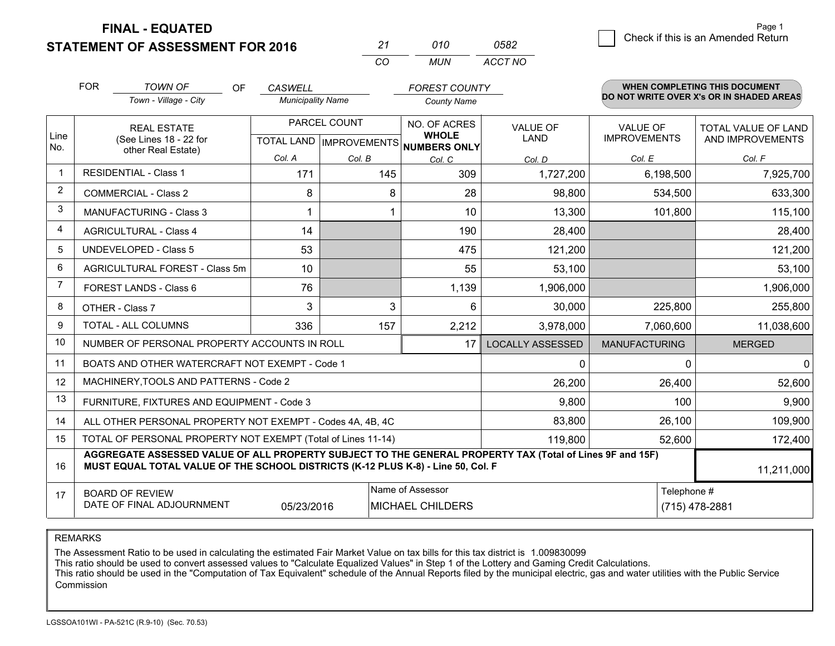**STATEMENT OF ASSESSMENT FOR 2016** 

| ンツ       | 01 N | 0582    |
|----------|------|---------|
| $\cdots$ | MUN. | ACCT NO |

|                | <b>FOR</b>                                                         | <b>TOWN OF</b><br>OF                                                                                                                                                                         | <b>CASWELL</b>           |              | <b>FOREST COUNTY</b>                                 |                         |                      | <b>WHEN COMPLETING THIS DOCUMENT</b><br>DO NOT WRITE OVER X's OR IN SHADED AREAS |
|----------------|--------------------------------------------------------------------|----------------------------------------------------------------------------------------------------------------------------------------------------------------------------------------------|--------------------------|--------------|------------------------------------------------------|-------------------------|----------------------|----------------------------------------------------------------------------------|
|                |                                                                    | Town - Village - City                                                                                                                                                                        | <b>Municipality Name</b> |              | <b>County Name</b>                                   |                         |                      |                                                                                  |
|                |                                                                    | <b>REAL ESTATE</b>                                                                                                                                                                           |                          | PARCEL COUNT | NO. OF ACRES                                         | <b>VALUE OF</b>         | <b>VALUE OF</b>      | TOTAL VALUE OF LAND                                                              |
| Line<br>No.    |                                                                    | (See Lines 18 - 22 for<br>other Real Estate)                                                                                                                                                 |                          |              | <b>WHOLE</b><br>TOTAL LAND IMPROVEMENTS NUMBERS ONLY | <b>LAND</b>             | <b>IMPROVEMENTS</b>  | AND IMPROVEMENTS                                                                 |
|                |                                                                    |                                                                                                                                                                                              | Col. A                   | Col. B       | Col. C                                               | Col. D                  | Col. E               | Col. F                                                                           |
| $\mathbf{1}$   |                                                                    | <b>RESIDENTIAL - Class 1</b>                                                                                                                                                                 | 171                      | 145          | 309                                                  | 1,727,200               | 6,198,500            | 7,925,700                                                                        |
| $\overline{2}$ |                                                                    | <b>COMMERCIAL - Class 2</b>                                                                                                                                                                  | 8                        | 8            | 28                                                   | 98,800                  | 534,500              | 633,300                                                                          |
| 3              |                                                                    | MANUFACTURING - Class 3                                                                                                                                                                      | 1                        |              | 10                                                   | 13,300                  | 101,800              | 115,100                                                                          |
| 4              |                                                                    | <b>AGRICULTURAL - Class 4</b>                                                                                                                                                                | 14                       |              | 190                                                  | 28,400                  |                      | 28,400                                                                           |
| 5              |                                                                    | UNDEVELOPED - Class 5                                                                                                                                                                        | 53                       |              | 475                                                  | 121,200                 |                      | 121,200                                                                          |
| 6              |                                                                    | AGRICULTURAL FOREST - Class 5m                                                                                                                                                               | 10                       |              | 55                                                   | 53,100                  |                      | 53,100                                                                           |
| 7              |                                                                    | FOREST LANDS - Class 6                                                                                                                                                                       | 76                       |              | 1,139                                                | 1,906,000               |                      | 1,906,000                                                                        |
| 8              |                                                                    | OTHER - Class 7                                                                                                                                                                              | 3                        | 3            | 6                                                    | 30,000                  | 225,800              | 255,800                                                                          |
| 9              |                                                                    | TOTAL - ALL COLUMNS                                                                                                                                                                          | 336                      | 157          | 2,212                                                | 3,978,000               | 7,060,600            | 11,038,600                                                                       |
| 10             |                                                                    | NUMBER OF PERSONAL PROPERTY ACCOUNTS IN ROLL                                                                                                                                                 |                          |              | 17                                                   | <b>LOCALLY ASSESSED</b> | <b>MANUFACTURING</b> | <b>MERGED</b>                                                                    |
| 11             |                                                                    | BOATS AND OTHER WATERCRAFT NOT EXEMPT - Code 1                                                                                                                                               |                          |              |                                                      | $\mathbf{0}$            | $\Omega$             | 0                                                                                |
| 12             |                                                                    | MACHINERY, TOOLS AND PATTERNS - Code 2                                                                                                                                                       |                          |              |                                                      | 26,200                  | 26,400               | 52,600                                                                           |
| 13             |                                                                    | FURNITURE, FIXTURES AND EQUIPMENT - Code 3                                                                                                                                                   |                          |              |                                                      | 9,800                   | 100                  | 9,900                                                                            |
| 14             |                                                                    | ALL OTHER PERSONAL PROPERTY NOT EXEMPT - Codes 4A, 4B, 4C                                                                                                                                    |                          |              |                                                      | 83,800                  | 26,100               | 109,900                                                                          |
| 15             |                                                                    | TOTAL OF PERSONAL PROPERTY NOT EXEMPT (Total of Lines 11-14)                                                                                                                                 |                          | 119,800      | 52,600                                               | 172,400                 |                      |                                                                                  |
| 16             |                                                                    | AGGREGATE ASSESSED VALUE OF ALL PROPERTY SUBJECT TO THE GENERAL PROPERTY TAX (Total of Lines 9F and 15F)<br>MUST EQUAL TOTAL VALUE OF THE SCHOOL DISTRICTS (K-12 PLUS K-8) - Line 50, Col. F |                          |              |                                                      |                         |                      | 11,211,000                                                                       |
| 17             |                                                                    | <b>BOARD OF REVIEW</b>                                                                                                                                                                       |                          | Telephone #  | (715) 478-2881                                       |                         |                      |                                                                                  |
|                | DATE OF FINAL ADJOURNMENT<br><b>MICHAEL CHILDERS</b><br>05/23/2016 |                                                                                                                                                                                              |                          |              |                                                      |                         |                      |                                                                                  |

REMARKS

The Assessment Ratio to be used in calculating the estimated Fair Market Value on tax bills for this tax district is 1.009830099<br>This ratio should be used to convert assessed values to "Calculate Equalized Values" in Step Commission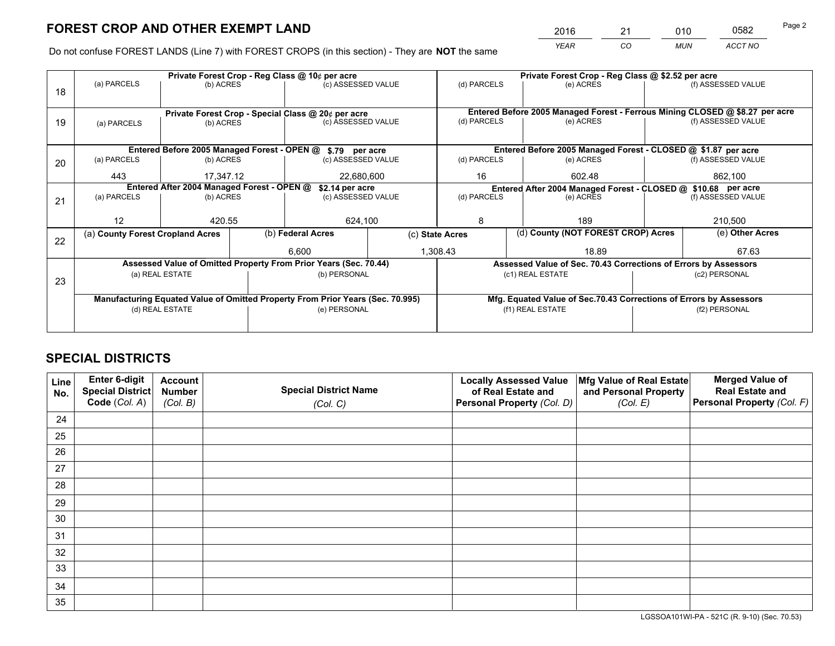*YEAR CO MUN ACCT NO* <sup>2016</sup> <sup>21</sup> <sup>010</sup> <sup>0582</sup>

Do not confuse FOREST LANDS (Line 7) with FOREST CROPS (in this section) - They are **NOT** the same

|    |                                                                                |                 |                                                    | Private Forest Crop - Reg Class @ 10¢ per acre                   |  | Private Forest Crop - Reg Class @ \$2.52 per acre             |                                                               |                                                                    |  |                                                                              |  |
|----|--------------------------------------------------------------------------------|-----------------|----------------------------------------------------|------------------------------------------------------------------|--|---------------------------------------------------------------|---------------------------------------------------------------|--------------------------------------------------------------------|--|------------------------------------------------------------------------------|--|
| 18 | (a) PARCELS                                                                    | (b) ACRES       |                                                    | (c) ASSESSED VALUE                                               |  | (d) PARCELS                                                   |                                                               | (e) ACRES                                                          |  | (f) ASSESSED VALUE                                                           |  |
|    |                                                                                |                 |                                                    |                                                                  |  |                                                               |                                                               |                                                                    |  |                                                                              |  |
|    |                                                                                |                 | Private Forest Crop - Special Class @ 20¢ per acre |                                                                  |  |                                                               |                                                               |                                                                    |  | Entered Before 2005 Managed Forest - Ferrous Mining CLOSED @ \$8.27 per acre |  |
| 19 | (a) PARCELS                                                                    | (b) ACRES       |                                                    | (c) ASSESSED VALUE                                               |  | (d) PARCELS                                                   |                                                               | (e) ACRES                                                          |  | (f) ASSESSED VALUE                                                           |  |
|    |                                                                                |                 |                                                    |                                                                  |  |                                                               |                                                               |                                                                    |  |                                                                              |  |
|    |                                                                                |                 |                                                    |                                                                  |  |                                                               | Entered Before 2005 Managed Forest - CLOSED @ \$1.87 per acre |                                                                    |  |                                                                              |  |
|    |                                                                                |                 |                                                    | Entered Before 2005 Managed Forest - OPEN @ \$.79 per acre       |  |                                                               |                                                               |                                                                    |  |                                                                              |  |
| 20 | (a) PARCELS                                                                    | (b) ACRES       |                                                    | (c) ASSESSED VALUE                                               |  | (d) PARCELS                                                   |                                                               | (e) ACRES                                                          |  | (f) ASSESSED VALUE                                                           |  |
|    | 443                                                                            | 17,347.12       |                                                    | 22,680,600                                                       |  | 16                                                            |                                                               | 602.48<br>862,100                                                  |  |                                                                              |  |
|    | Entered After 2004 Managed Forest - OPEN @<br>\$2.14 per acre                  |                 |                                                    |                                                                  |  | Entered After 2004 Managed Forest - CLOSED @ \$10.68 per acre |                                                               |                                                                    |  |                                                                              |  |
| 21 | (a) PARCELS                                                                    | (b) ACRES       |                                                    | (c) ASSESSED VALUE                                               |  | (d) PARCELS                                                   |                                                               | (e) ACRES                                                          |  | (f) ASSESSED VALUE                                                           |  |
|    |                                                                                |                 |                                                    |                                                                  |  |                                                               |                                                               |                                                                    |  |                                                                              |  |
|    | 12                                                                             | 420.55          |                                                    | 624,100                                                          |  | 8                                                             |                                                               | 189                                                                |  | 210,500                                                                      |  |
|    | (a) County Forest Cropland Acres                                               |                 |                                                    | (b) Federal Acres                                                |  | (c) State Acres                                               |                                                               | (d) County (NOT FOREST CROP) Acres                                 |  | (e) Other Acres                                                              |  |
| 22 |                                                                                |                 |                                                    |                                                                  |  |                                                               |                                                               |                                                                    |  |                                                                              |  |
|    |                                                                                |                 |                                                    | 6.600                                                            |  | 1,308.43                                                      |                                                               | 18.89                                                              |  | 67.63                                                                        |  |
|    |                                                                                |                 |                                                    | Assessed Value of Omitted Property From Prior Years (Sec. 70.44) |  |                                                               |                                                               | Assessed Value of Sec. 70.43 Corrections of Errors by Assessors    |  |                                                                              |  |
| 23 |                                                                                | (a) REAL ESTATE |                                                    | (b) PERSONAL                                                     |  |                                                               | (c1) REAL ESTATE                                              |                                                                    |  | (c2) PERSONAL                                                                |  |
|    |                                                                                |                 |                                                    |                                                                  |  |                                                               |                                                               |                                                                    |  |                                                                              |  |
|    | Manufacturing Equated Value of Omitted Property From Prior Years (Sec. 70.995) |                 |                                                    |                                                                  |  |                                                               |                                                               | Mfg. Equated Value of Sec.70.43 Corrections of Errors by Assessors |  |                                                                              |  |
|    | (d) REAL ESTATE                                                                |                 |                                                    | (e) PERSONAL                                                     |  |                                                               | (f1) REAL ESTATE                                              |                                                                    |  | (f2) PERSONAL                                                                |  |
|    |                                                                                |                 |                                                    |                                                                  |  |                                                               |                                                               |                                                                    |  |                                                                              |  |
|    |                                                                                |                 |                                                    |                                                                  |  |                                                               |                                                               |                                                                    |  |                                                                              |  |

## **SPECIAL DISTRICTS**

| Line<br>No. | Enter 6-digit<br><b>Special District</b> | <b>Account</b><br><b>Number</b> | <b>Special District Name</b> | <b>Locally Assessed Value</b><br>of Real Estate and | Mfg Value of Real Estate<br>and Personal Property | <b>Merged Value of</b><br><b>Real Estate and</b> |
|-------------|------------------------------------------|---------------------------------|------------------------------|-----------------------------------------------------|---------------------------------------------------|--------------------------------------------------|
|             | Code (Col. A)                            | (Col. B)                        | (Col. C)                     | Personal Property (Col. D)                          | (Col. E)                                          | Personal Property (Col. F)                       |
| 24          |                                          |                                 |                              |                                                     |                                                   |                                                  |
| 25          |                                          |                                 |                              |                                                     |                                                   |                                                  |
| 26          |                                          |                                 |                              |                                                     |                                                   |                                                  |
| 27          |                                          |                                 |                              |                                                     |                                                   |                                                  |
| 28          |                                          |                                 |                              |                                                     |                                                   |                                                  |
| 29          |                                          |                                 |                              |                                                     |                                                   |                                                  |
| 30          |                                          |                                 |                              |                                                     |                                                   |                                                  |
| 31          |                                          |                                 |                              |                                                     |                                                   |                                                  |
| 32          |                                          |                                 |                              |                                                     |                                                   |                                                  |
| 33          |                                          |                                 |                              |                                                     |                                                   |                                                  |
| 34          |                                          |                                 |                              |                                                     |                                                   |                                                  |
| 35          |                                          |                                 |                              |                                                     |                                                   |                                                  |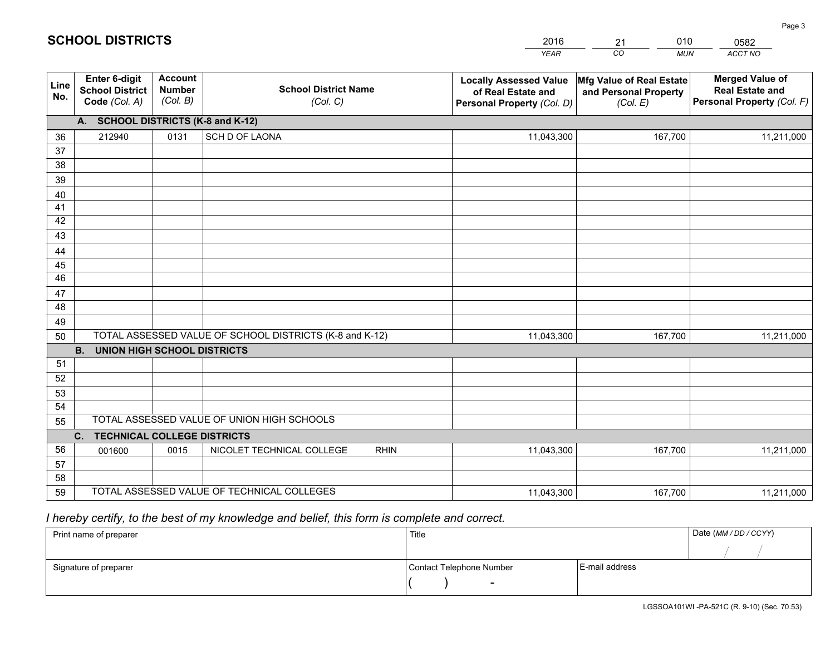|                 |                                                                 |                                             |                                                         | <b>YEAR</b>                                                                       | CO<br><b>MUN</b>                                              | ACCT NO                                                                        |
|-----------------|-----------------------------------------------------------------|---------------------------------------------|---------------------------------------------------------|-----------------------------------------------------------------------------------|---------------------------------------------------------------|--------------------------------------------------------------------------------|
| Line<br>No.     | <b>Enter 6-digit</b><br><b>School District</b><br>Code (Col. A) | <b>Account</b><br><b>Number</b><br>(Col. B) | <b>School District Name</b><br>(Col. C)                 | <b>Locally Assessed Value</b><br>of Real Estate and<br>Personal Property (Col. D) | Mfg Value of Real Estate<br>and Personal Property<br>(Col. E) | <b>Merged Value of</b><br><b>Real Estate and</b><br>Personal Property (Col. F) |
|                 | A. SCHOOL DISTRICTS (K-8 and K-12)                              |                                             |                                                         |                                                                                   |                                                               |                                                                                |
| 36              | 212940                                                          | 0131                                        | SCH D OF LAONA                                          | 11,043,300                                                                        | 167,700                                                       | 11,211,000                                                                     |
| 37              |                                                                 |                                             |                                                         |                                                                                   |                                                               |                                                                                |
| 38              |                                                                 |                                             |                                                         |                                                                                   |                                                               |                                                                                |
| 39              |                                                                 |                                             |                                                         |                                                                                   |                                                               |                                                                                |
| 40              |                                                                 |                                             |                                                         |                                                                                   |                                                               |                                                                                |
| 41              |                                                                 |                                             |                                                         |                                                                                   |                                                               |                                                                                |
| 42              |                                                                 |                                             |                                                         |                                                                                   |                                                               |                                                                                |
| 43              |                                                                 |                                             |                                                         |                                                                                   |                                                               |                                                                                |
| 44<br>45        |                                                                 |                                             |                                                         |                                                                                   |                                                               |                                                                                |
| $\overline{46}$ |                                                                 |                                             |                                                         |                                                                                   |                                                               |                                                                                |
| 47              |                                                                 |                                             |                                                         |                                                                                   |                                                               |                                                                                |
| 48              |                                                                 |                                             |                                                         |                                                                                   |                                                               |                                                                                |
| 49              |                                                                 |                                             |                                                         |                                                                                   |                                                               |                                                                                |
| 50              |                                                                 |                                             | TOTAL ASSESSED VALUE OF SCHOOL DISTRICTS (K-8 and K-12) | 11,043,300                                                                        | 167,700                                                       | 11,211,000                                                                     |
|                 | <b>B.</b><br><b>UNION HIGH SCHOOL DISTRICTS</b>                 |                                             |                                                         |                                                                                   |                                                               |                                                                                |
| 51              |                                                                 |                                             |                                                         |                                                                                   |                                                               |                                                                                |
| 52              |                                                                 |                                             |                                                         |                                                                                   |                                                               |                                                                                |
| 53              |                                                                 |                                             |                                                         |                                                                                   |                                                               |                                                                                |
| 54              |                                                                 |                                             |                                                         |                                                                                   |                                                               |                                                                                |
| 55              |                                                                 |                                             | TOTAL ASSESSED VALUE OF UNION HIGH SCHOOLS              |                                                                                   |                                                               |                                                                                |
|                 | C.<br><b>TECHNICAL COLLEGE DISTRICTS</b>                        |                                             |                                                         |                                                                                   |                                                               |                                                                                |
| 56              | 001600                                                          | 0015                                        | NICOLET TECHNICAL COLLEGE<br><b>RHIN</b>                | 11,043,300                                                                        | 167,700                                                       | 11,211,000                                                                     |
| 57              |                                                                 |                                             |                                                         |                                                                                   |                                                               |                                                                                |
| 58              |                                                                 |                                             |                                                         |                                                                                   |                                                               |                                                                                |
| 59              |                                                                 |                                             | TOTAL ASSESSED VALUE OF TECHNICAL COLLEGES              | 11,043,300                                                                        | 167,700                                                       | 11,211,000                                                                     |

21

010

# *I hereby certify, to the best of my knowledge and belief, this form is complete and correct.*

**SCHOOL DISTRICTS**

| Print name of preparer | Title                    |                | Date (MM / DD / CCYY) |
|------------------------|--------------------------|----------------|-----------------------|
|                        |                          |                |                       |
| Signature of preparer  | Contact Telephone Number | E-mail address |                       |
|                        | $\sim$                   |                |                       |

0582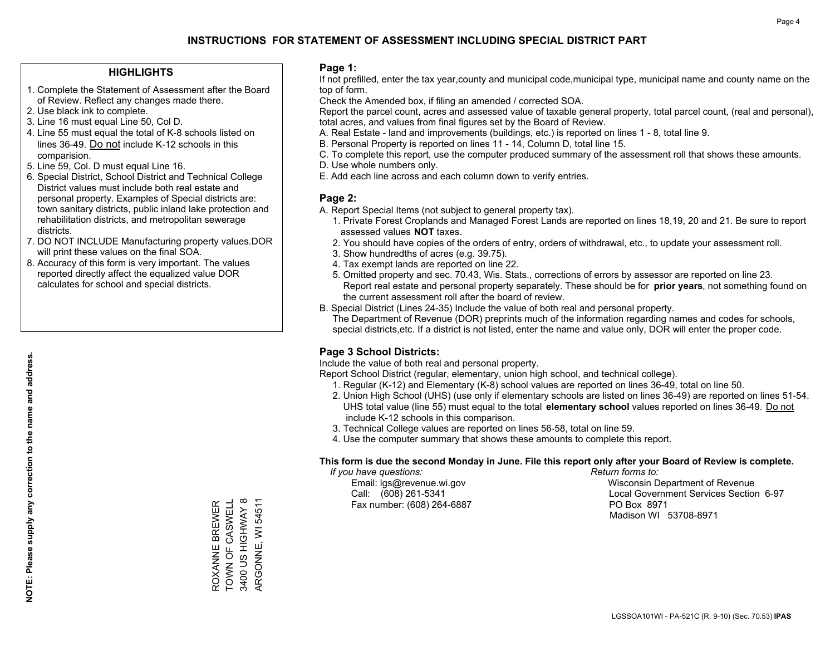### **HIGHLIGHTS**

- 1. Complete the Statement of Assessment after the Board of Review. Reflect any changes made there.
- 2. Use black ink to complete.
- 3. Line 16 must equal Line 50, Col D.
- 4. Line 55 must equal the total of K-8 schools listed on lines 36-49. Do not include K-12 schools in this comparision.
- 5. Line 59, Col. D must equal Line 16.
- 6. Special District, School District and Technical College District values must include both real estate and personal property. Examples of Special districts are: town sanitary districts, public inland lake protection and rehabilitation districts, and metropolitan sewerage districts.
- 7. DO NOT INCLUDE Manufacturing property values.DOR will print these values on the final SOA.
- 8. Accuracy of this form is very important. The values reported directly affect the equalized value DOR calculates for school and special districts.

### **Page 1:**

 If not prefilled, enter the tax year,county and municipal code,municipal type, municipal name and county name on the top of form.

Check the Amended box, if filing an amended / corrected SOA.

 Report the parcel count, acres and assessed value of taxable general property, total parcel count, (real and personal), total acres, and values from final figures set by the Board of Review.

- A. Real Estate land and improvements (buildings, etc.) is reported on lines 1 8, total line 9.
- B. Personal Property is reported on lines 11 14, Column D, total line 15.
- C. To complete this report, use the computer produced summary of the assessment roll that shows these amounts.
- D. Use whole numbers only.
- E. Add each line across and each column down to verify entries.

### **Page 2:**

- A. Report Special Items (not subject to general property tax).
- 1. Private Forest Croplands and Managed Forest Lands are reported on lines 18,19, 20 and 21. Be sure to report assessed values **NOT** taxes.
- 2. You should have copies of the orders of entry, orders of withdrawal, etc., to update your assessment roll.
	- 3. Show hundredths of acres (e.g. 39.75).
- 4. Tax exempt lands are reported on line 22.
- 5. Omitted property and sec. 70.43, Wis. Stats., corrections of errors by assessor are reported on line 23. Report real estate and personal property separately. These should be for **prior years**, not something found on the current assessment roll after the board of review.
- B. Special District (Lines 24-35) Include the value of both real and personal property.

 The Department of Revenue (DOR) preprints much of the information regarding names and codes for schools, special districts,etc. If a district is not listed, enter the name and value only, DOR will enter the proper code.

### **Page 3 School Districts:**

Include the value of both real and personal property.

Report School District (regular, elementary, union high school, and technical college).

- 1. Regular (K-12) and Elementary (K-8) school values are reported on lines 36-49, total on line 50.
- 2. Union High School (UHS) (use only if elementary schools are listed on lines 36-49) are reported on lines 51-54. UHS total value (line 55) must equal to the total **elementary school** values reported on lines 36-49. Do notinclude K-12 schools in this comparison.
- 3. Technical College values are reported on lines 56-58, total on line 59.
- 4. Use the computer summary that shows these amounts to complete this report.

#### **This form is due the second Monday in June. File this report only after your Board of Review is complete.**

 *If you have questions: Return forms to:*

Fax number: (608) 264-6887 PO Box 8971

 Email: lgs@revenue.wi.gov Wisconsin Department of Revenue Call: (608) 261-5341 Local Government Services Section 6-97Madison WI 53708-8971

ROXANNE BREWER TOWN OF CASWELL 3400 US HIGHWAY 8 ARGONNE, WI 54511

3400 US HIGHWAY 8 ROXANNE BREWER<br>TOWN OF CASWELL

ARGONNE, WI 54511

**NOTE: Please supply any correction to the name and address.**

NOTE: Please supply any correction to the name and address.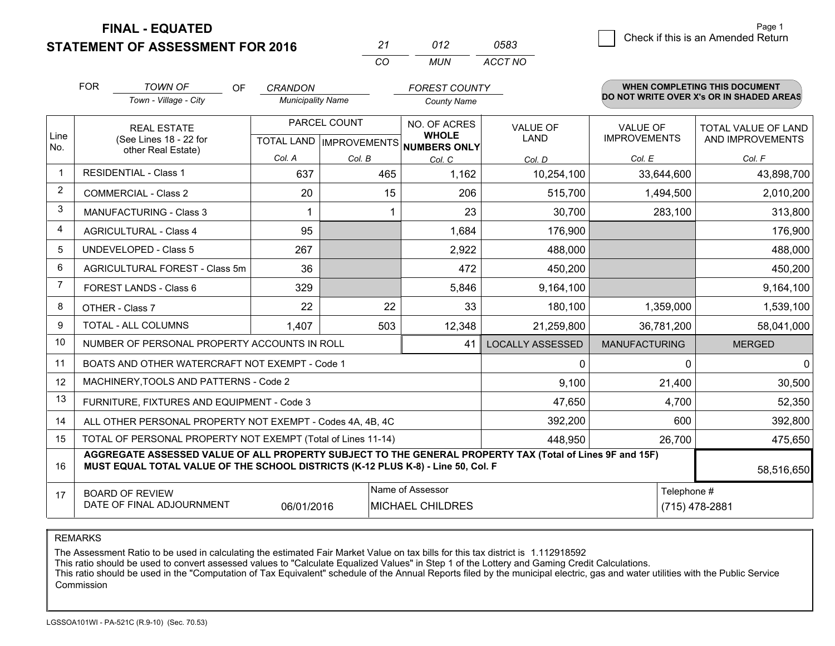**STATEMENT OF ASSESSMENT FOR 2016** 

| 27       | 012   | 0583    |
|----------|-------|---------|
| $\cdots$ | MI IN | ACCT NO |

|                | <b>FOR</b>                                                                                                       | <b>TOWN OF</b><br><b>OF</b>                                                                                                                                                                  | <b>CRANDON</b>                                           |        | <b>FOREST COUNTY</b>         |                                |                                        | <b>WHEN COMPLETING THIS DOCUMENT</b>           |
|----------------|------------------------------------------------------------------------------------------------------------------|----------------------------------------------------------------------------------------------------------------------------------------------------------------------------------------------|----------------------------------------------------------|--------|------------------------------|--------------------------------|----------------------------------------|------------------------------------------------|
|                |                                                                                                                  | Town - Village - City                                                                                                                                                                        | <b>Municipality Name</b>                                 |        | <b>County Name</b>           |                                |                                        | DO NOT WRITE OVER X's OR IN SHADED AREAS       |
| Line           | <b>REAL ESTATE</b><br>(See Lines 18 - 22 for                                                                     |                                                                                                                                                                                              | PARCEL COUNT<br>TOTAL LAND   IMPROVEMENTS   NUMBERS ONLY |        | NO. OF ACRES<br><b>WHOLE</b> | <b>VALUE OF</b><br><b>LAND</b> | <b>VALUE OF</b><br><b>IMPROVEMENTS</b> | <b>TOTAL VALUE OF LAND</b><br>AND IMPROVEMENTS |
| No.            |                                                                                                                  | other Real Estate)                                                                                                                                                                           | Col. A                                                   | Col. B | Col. C                       | Col. D                         | Col. E                                 | Col. F                                         |
| $\mathbf{1}$   |                                                                                                                  | <b>RESIDENTIAL - Class 1</b>                                                                                                                                                                 | 637                                                      | 465    | 1,162                        | 10,254,100                     | 33,644,600                             | 43,898,700                                     |
| $\overline{2}$ |                                                                                                                  | <b>COMMERCIAL - Class 2</b>                                                                                                                                                                  | 20                                                       |        | 15<br>206                    | 515,700                        | 1,494,500                              | 2,010,200                                      |
| 3              |                                                                                                                  | <b>MANUFACTURING - Class 3</b>                                                                                                                                                               |                                                          |        | 23                           | 30,700                         | 283,100                                | 313,800                                        |
| $\overline{4}$ |                                                                                                                  | <b>AGRICULTURAL - Class 4</b>                                                                                                                                                                | 95                                                       |        | 1,684                        | 176,900                        |                                        | 176,900                                        |
| 5              |                                                                                                                  | <b>UNDEVELOPED - Class 5</b>                                                                                                                                                                 | 267                                                      |        | 2,922                        | 488,000                        |                                        | 488,000                                        |
| 6              |                                                                                                                  | AGRICULTURAL FOREST - Class 5m                                                                                                                                                               | 36                                                       |        | 472                          | 450,200                        |                                        | 450,200                                        |
| 7              |                                                                                                                  | FOREST LANDS - Class 6                                                                                                                                                                       | 329                                                      |        | 5,846                        | 9,164,100                      |                                        | 9,164,100                                      |
| 8              |                                                                                                                  | OTHER - Class 7                                                                                                                                                                              | 22                                                       |        | 22<br>33                     | 180,100                        | 1,359,000                              | 1,539,100                                      |
| 9              |                                                                                                                  | <b>TOTAL - ALL COLUMNS</b>                                                                                                                                                                   | 1,407                                                    | 503    | 12,348                       | 21,259,800                     | 36,781,200                             | 58,041,000                                     |
| 10             |                                                                                                                  | NUMBER OF PERSONAL PROPERTY ACCOUNTS IN ROLL                                                                                                                                                 |                                                          |        | 41                           | <b>LOCALLY ASSESSED</b>        | <b>MANUFACTURING</b>                   | <b>MERGED</b>                                  |
| 11             |                                                                                                                  | BOATS AND OTHER WATERCRAFT NOT EXEMPT - Code 1                                                                                                                                               |                                                          |        |                              | $\Omega$                       | $\Omega$                               | $\Omega$                                       |
| 12             |                                                                                                                  | MACHINERY, TOOLS AND PATTERNS - Code 2                                                                                                                                                       |                                                          |        |                              | 9,100                          | 21,400                                 | 30,500                                         |
| 13             |                                                                                                                  | FURNITURE, FIXTURES AND EQUIPMENT - Code 3                                                                                                                                                   |                                                          |        |                              | 47,650                         | 4,700                                  | 52,350                                         |
| 14             |                                                                                                                  | ALL OTHER PERSONAL PROPERTY NOT EXEMPT - Codes 4A, 4B, 4C                                                                                                                                    |                                                          |        |                              | 392,200                        | 600                                    | 392,800                                        |
| 15             |                                                                                                                  | TOTAL OF PERSONAL PROPERTY NOT EXEMPT (Total of Lines 11-14)                                                                                                                                 |                                                          |        | 448,950                      | 26,700                         | 475,650                                |                                                |
| 16             |                                                                                                                  | AGGREGATE ASSESSED VALUE OF ALL PROPERTY SUBJECT TO THE GENERAL PROPERTY TAX (Total of Lines 9F and 15F)<br>MUST EQUAL TOTAL VALUE OF THE SCHOOL DISTRICTS (K-12 PLUS K-8) - Line 50, Col. F |                                                          |        |                              |                                |                                        | 58,516,650                                     |
| 17             | Name of Assessor<br><b>BOARD OF REVIEW</b><br>DATE OF FINAL ADJOURNMENT<br>06/01/2016<br><b>MICHAEL CHILDRES</b> |                                                                                                                                                                                              |                                                          |        |                              |                                | Telephone #                            | (715) 478-2881                                 |

REMARKS

The Assessment Ratio to be used in calculating the estimated Fair Market Value on tax bills for this tax district is 1.112918592<br>This ratio should be used to convert assessed values to "Calculate Equalized Values" in Step Commission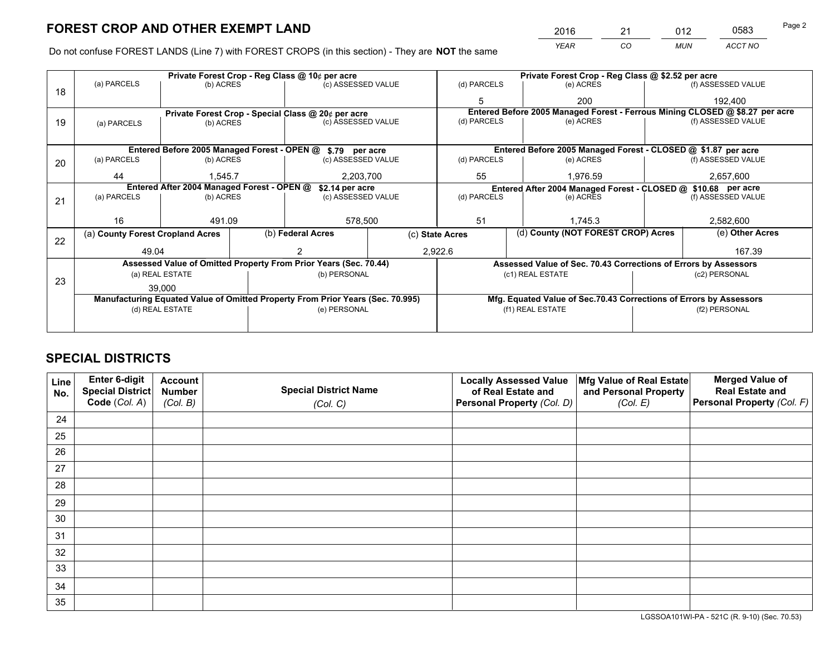*YEAR CO MUN ACCT NO* <sup>2016</sup> <sup>21</sup> <sup>012</sup> <sup>0583</sup>

Do not confuse FOREST LANDS (Line 7) with FOREST CROPS (in this section) - They are **NOT** the same

|    | Private Forest Crop - Reg Class @ 10¢ per acre                                 |                 |  |                                                                  |  | Private Forest Crop - Reg Class @ \$2.52 per acre |                                                                              |                                                                 |                                                               |                    |  |
|----|--------------------------------------------------------------------------------|-----------------|--|------------------------------------------------------------------|--|---------------------------------------------------|------------------------------------------------------------------------------|-----------------------------------------------------------------|---------------------------------------------------------------|--------------------|--|
| 18 | (a) PARCELS                                                                    | (b) ACRES       |  | (c) ASSESSED VALUE                                               |  | (d) PARCELS                                       |                                                                              | (e) ACRES                                                       |                                                               | (f) ASSESSED VALUE |  |
|    |                                                                                |                 |  |                                                                  |  |                                                   |                                                                              | 200                                                             |                                                               | 192,400            |  |
|    |                                                                                |                 |  | Private Forest Crop - Special Class @ 20¢ per acre               |  |                                                   | Entered Before 2005 Managed Forest - Ferrous Mining CLOSED @ \$8.27 per acre |                                                                 |                                                               |                    |  |
| 19 | (a) PARCELS                                                                    | (b) ACRES       |  | (c) ASSESSED VALUE                                               |  | (d) PARCELS                                       |                                                                              | (e) ACRES                                                       |                                                               | (f) ASSESSED VALUE |  |
|    |                                                                                |                 |  |                                                                  |  |                                                   |                                                                              |                                                                 |                                                               |                    |  |
|    | Entered Before 2005 Managed Forest - OPEN @ \$.79 per acre                     |                 |  |                                                                  |  |                                                   | Entered Before 2005 Managed Forest - CLOSED @ \$1.87 per acre                |                                                                 |                                                               |                    |  |
| 20 | (a) PARCELS                                                                    | (b) ACRES       |  | (c) ASSESSED VALUE                                               |  | (d) PARCELS                                       |                                                                              | (e) ACRES                                                       |                                                               | (f) ASSESSED VALUE |  |
|    | 44                                                                             | 1.545.7         |  | 2,203,700                                                        |  | 55                                                |                                                                              | 1.976.59                                                        |                                                               | 2,657,600          |  |
|    | Entered After 2004 Managed Forest - OPEN @<br>\$2.14 per acre                  |                 |  |                                                                  |  |                                                   |                                                                              |                                                                 | Entered After 2004 Managed Forest - CLOSED @ \$10.68 per acre |                    |  |
| 21 | (a) PARCELS                                                                    | (b) ACRES       |  | (c) ASSESSED VALUE                                               |  | (d) PARCELS                                       |                                                                              | (e) ACRES                                                       |                                                               | (f) ASSESSED VALUE |  |
|    |                                                                                |                 |  |                                                                  |  |                                                   |                                                                              |                                                                 |                                                               |                    |  |
|    | 16                                                                             | 491.09          |  | 578,500                                                          |  | 51                                                |                                                                              | 1.745.3                                                         |                                                               | 2,582,600          |  |
| 22 | (a) County Forest Cropland Acres                                               |                 |  | (b) Federal Acres                                                |  | (c) State Acres                                   |                                                                              | (d) County (NOT FOREST CROP) Acres                              |                                                               | (e) Other Acres    |  |
|    | 49.04                                                                          |                 |  |                                                                  |  | 2,922.6                                           |                                                                              |                                                                 |                                                               | 167.39             |  |
|    |                                                                                |                 |  | Assessed Value of Omitted Property From Prior Years (Sec. 70.44) |  |                                                   |                                                                              | Assessed Value of Sec. 70.43 Corrections of Errors by Assessors |                                                               |                    |  |
| 23 |                                                                                | (a) REAL ESTATE |  | (b) PERSONAL                                                     |  |                                                   |                                                                              | (c1) REAL ESTATE                                                |                                                               | (c2) PERSONAL      |  |
|    |                                                                                | 39,000          |  |                                                                  |  |                                                   |                                                                              |                                                                 |                                                               |                    |  |
|    | Manufacturing Equated Value of Omitted Property From Prior Years (Sec. 70.995) |                 |  |                                                                  |  |                                                   | Mfg. Equated Value of Sec.70.43 Corrections of Errors by Assessors           |                                                                 |                                                               |                    |  |
|    | (d) REAL ESTATE                                                                |                 |  | (e) PERSONAL                                                     |  |                                                   |                                                                              | (f1) REAL ESTATE                                                |                                                               | (f2) PERSONAL      |  |
|    |                                                                                |                 |  |                                                                  |  |                                                   |                                                                              |                                                                 |                                                               |                    |  |

# **SPECIAL DISTRICTS**

| Line<br>No. | Enter 6-digit<br>Special District<br>Code (Col. A) | <b>Account</b><br><b>Number</b><br>(Col. B) | <b>Special District Name</b><br>(Col. C) | <b>Locally Assessed Value</b><br>of Real Estate and<br>Personal Property (Col. D) | Mfg Value of Real Estate<br>and Personal Property<br>(Col. E) | <b>Merged Value of</b><br><b>Real Estate and</b><br>Personal Property (Col. F) |
|-------------|----------------------------------------------------|---------------------------------------------|------------------------------------------|-----------------------------------------------------------------------------------|---------------------------------------------------------------|--------------------------------------------------------------------------------|
| 24          |                                                    |                                             |                                          |                                                                                   |                                                               |                                                                                |
| 25          |                                                    |                                             |                                          |                                                                                   |                                                               |                                                                                |
| 26          |                                                    |                                             |                                          |                                                                                   |                                                               |                                                                                |
| 27          |                                                    |                                             |                                          |                                                                                   |                                                               |                                                                                |
| 28          |                                                    |                                             |                                          |                                                                                   |                                                               |                                                                                |
| 29          |                                                    |                                             |                                          |                                                                                   |                                                               |                                                                                |
| 30          |                                                    |                                             |                                          |                                                                                   |                                                               |                                                                                |
| 31          |                                                    |                                             |                                          |                                                                                   |                                                               |                                                                                |
| 32          |                                                    |                                             |                                          |                                                                                   |                                                               |                                                                                |
| 33          |                                                    |                                             |                                          |                                                                                   |                                                               |                                                                                |
| 34          |                                                    |                                             |                                          |                                                                                   |                                                               |                                                                                |
| 35          |                                                    |                                             |                                          |                                                                                   |                                                               |                                                                                |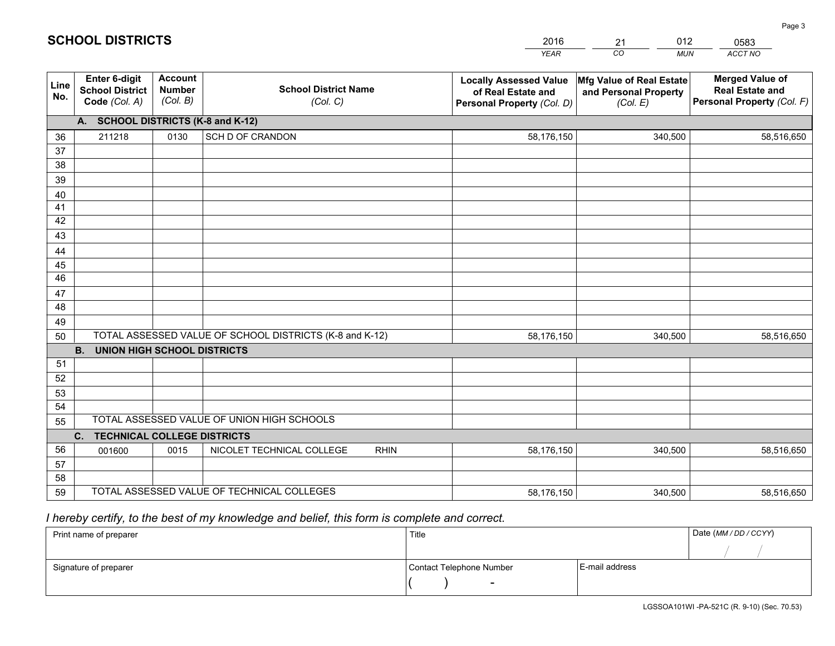|                 |                                                                 |                                             |                                                         | <b>YEAR</b>                                                                       | CO<br><b>MUN</b>                                              | ACCT NO                                                                        |
|-----------------|-----------------------------------------------------------------|---------------------------------------------|---------------------------------------------------------|-----------------------------------------------------------------------------------|---------------------------------------------------------------|--------------------------------------------------------------------------------|
| Line<br>No.     | <b>Enter 6-digit</b><br><b>School District</b><br>Code (Col. A) | <b>Account</b><br><b>Number</b><br>(Col. B) | <b>School District Name</b><br>(Col. C)                 | <b>Locally Assessed Value</b><br>of Real Estate and<br>Personal Property (Col. D) | Mfg Value of Real Estate<br>and Personal Property<br>(Col. E) | <b>Merged Value of</b><br><b>Real Estate and</b><br>Personal Property (Col. F) |
|                 | A. SCHOOL DISTRICTS (K-8 and K-12)                              |                                             |                                                         |                                                                                   |                                                               |                                                                                |
| 36              | 211218                                                          | 0130                                        | SCH D OF CRANDON                                        | 58,176,150                                                                        | 340,500                                                       | 58,516,650                                                                     |
| 37              |                                                                 |                                             |                                                         |                                                                                   |                                                               |                                                                                |
| 38              |                                                                 |                                             |                                                         |                                                                                   |                                                               |                                                                                |
| 39              |                                                                 |                                             |                                                         |                                                                                   |                                                               |                                                                                |
| 40              |                                                                 |                                             |                                                         |                                                                                   |                                                               |                                                                                |
| 41              |                                                                 |                                             |                                                         |                                                                                   |                                                               |                                                                                |
| 42<br>43        |                                                                 |                                             |                                                         |                                                                                   |                                                               |                                                                                |
| 44              |                                                                 |                                             |                                                         |                                                                                   |                                                               |                                                                                |
| 45              |                                                                 |                                             |                                                         |                                                                                   |                                                               |                                                                                |
| $\overline{46}$ |                                                                 |                                             |                                                         |                                                                                   |                                                               |                                                                                |
| 47              |                                                                 |                                             |                                                         |                                                                                   |                                                               |                                                                                |
| 48              |                                                                 |                                             |                                                         |                                                                                   |                                                               |                                                                                |
| 49              |                                                                 |                                             |                                                         |                                                                                   |                                                               |                                                                                |
| 50              |                                                                 |                                             | TOTAL ASSESSED VALUE OF SCHOOL DISTRICTS (K-8 and K-12) | 58,176,150                                                                        | 340,500                                                       | 58,516,650                                                                     |
|                 | <b>B.</b><br><b>UNION HIGH SCHOOL DISTRICTS</b>                 |                                             |                                                         |                                                                                   |                                                               |                                                                                |
| 51              |                                                                 |                                             |                                                         |                                                                                   |                                                               |                                                                                |
| 52              |                                                                 |                                             |                                                         |                                                                                   |                                                               |                                                                                |
| 53              |                                                                 |                                             |                                                         |                                                                                   |                                                               |                                                                                |
| 54              |                                                                 |                                             |                                                         |                                                                                   |                                                               |                                                                                |
| 55              |                                                                 |                                             | TOTAL ASSESSED VALUE OF UNION HIGH SCHOOLS              |                                                                                   |                                                               |                                                                                |
|                 | C.<br><b>TECHNICAL COLLEGE DISTRICTS</b>                        |                                             |                                                         |                                                                                   |                                                               |                                                                                |
| 56              | 001600                                                          | 0015                                        | NICOLET TECHNICAL COLLEGE<br><b>RHIN</b>                | 58,176,150                                                                        | 340,500                                                       | 58,516,650                                                                     |
| 57<br>58        |                                                                 |                                             |                                                         |                                                                                   |                                                               |                                                                                |
| 59              |                                                                 |                                             | TOTAL ASSESSED VALUE OF TECHNICAL COLLEGES              | 58,176,150                                                                        | 340,500                                                       | 58,516,650                                                                     |
|                 |                                                                 |                                             |                                                         |                                                                                   |                                                               |                                                                                |

21

012

 *I hereby certify, to the best of my knowledge and belief, this form is complete and correct.*

**SCHOOL DISTRICTS**

| Print name of preparer | Title                    |                | Date (MM/DD/CCYY) |
|------------------------|--------------------------|----------------|-------------------|
|                        |                          |                |                   |
| Signature of preparer  | Contact Telephone Number | E-mail address |                   |
|                        | $\overline{\phantom{0}}$ |                |                   |

0583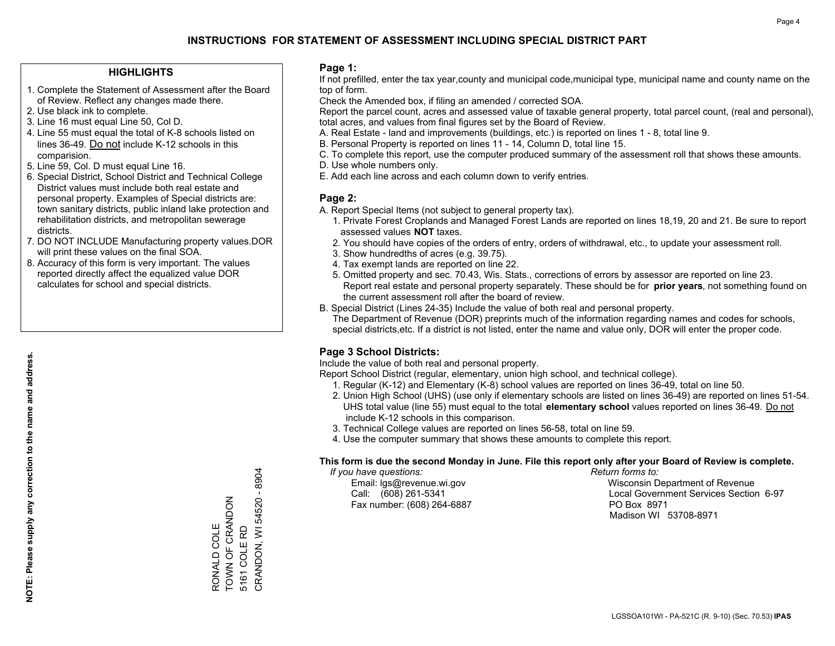### **HIGHLIGHTS**

- 1. Complete the Statement of Assessment after the Board of Review. Reflect any changes made there.
- 2. Use black ink to complete.
- 3. Line 16 must equal Line 50, Col D.
- 4. Line 55 must equal the total of K-8 schools listed on lines 36-49. Do not include K-12 schools in this comparision.
- 5. Line 59, Col. D must equal Line 16.
- 6. Special District, School District and Technical College District values must include both real estate and personal property. Examples of Special districts are: town sanitary districts, public inland lake protection and rehabilitation districts, and metropolitan sewerage districts.
- 7. DO NOT INCLUDE Manufacturing property values.DOR will print these values on the final SOA.
- 8. Accuracy of this form is very important. The values reported directly affect the equalized value DOR calculates for school and special districts.

### **Page 1:**

 If not prefilled, enter the tax year,county and municipal code,municipal type, municipal name and county name on the top of form.

Check the Amended box, if filing an amended / corrected SOA.

 Report the parcel count, acres and assessed value of taxable general property, total parcel count, (real and personal), total acres, and values from final figures set by the Board of Review.

- A. Real Estate land and improvements (buildings, etc.) is reported on lines 1 8, total line 9.
- B. Personal Property is reported on lines 11 14, Column D, total line 15.
- C. To complete this report, use the computer produced summary of the assessment roll that shows these amounts.
- D. Use whole numbers only.
- E. Add each line across and each column down to verify entries.

### **Page 2:**

- A. Report Special Items (not subject to general property tax).
- 1. Private Forest Croplands and Managed Forest Lands are reported on lines 18,19, 20 and 21. Be sure to report assessed values **NOT** taxes.
- 2. You should have copies of the orders of entry, orders of withdrawal, etc., to update your assessment roll.
	- 3. Show hundredths of acres (e.g. 39.75).
- 4. Tax exempt lands are reported on line 22.
- 5. Omitted property and sec. 70.43, Wis. Stats., corrections of errors by assessor are reported on line 23. Report real estate and personal property separately. These should be for **prior years**, not something found on the current assessment roll after the board of review.
- B. Special District (Lines 24-35) Include the value of both real and personal property.
- The Department of Revenue (DOR) preprints much of the information regarding names and codes for schools, special districts,etc. If a district is not listed, enter the name and value only, DOR will enter the proper code.

## **Page 3 School Districts:**

Include the value of both real and personal property.

Report School District (regular, elementary, union high school, and technical college).

- 1. Regular (K-12) and Elementary (K-8) school values are reported on lines 36-49, total on line 50.
- 2. Union High School (UHS) (use only if elementary schools are listed on lines 36-49) are reported on lines 51-54. UHS total value (line 55) must equal to the total **elementary school** values reported on lines 36-49. Do notinclude K-12 schools in this comparison.
- 3. Technical College values are reported on lines 56-58, total on line 59.
- 4. Use the computer summary that shows these amounts to complete this report.

#### **This form is due the second Monday in June. File this report only after your Board of Review is complete.**

 *If you have questions: Return forms to:*

Fax number: (608) 264-6887 PO Box 8971

 Email: lgs@revenue.wi.gov Wisconsin Department of Revenue Call: (608) 261-5341 Local Government Services Section 6-97Madison WI 53708-8971

CRANDON, WI 54520 - 8904 CRANDON, WI 54520 - 8904 TOWN OF CRANDON RONALD COLE<br>TOWN OF CRANDON 5161 COLERD RONALD COLE 5161 COLE RD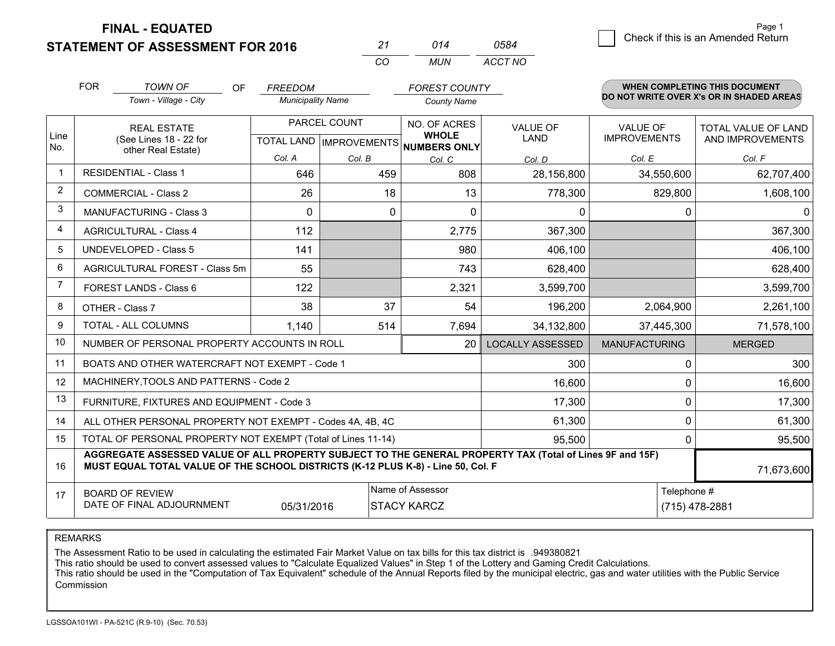**STATEMENT OF ASSESSMENT FOR 2016** 

| -27      | 014 | 0584    |
|----------|-----|---------|
| $\cdots$ | MUN | ACCT NO |

|                | <b>FOR</b><br><b>TOWN OF</b><br><b>OF</b><br>Town - Village - City                                                                                                                           | <b>FREEDOM</b><br><b>Municipality Name</b> |              | <b>FOREST COUNTY</b><br><b>County Name</b> |                         |                                        | <b>WHEN COMPLETING THIS DOCUMENT</b><br>DO NOT WRITE OVER X's OR IN SHADED AREAS |
|----------------|----------------------------------------------------------------------------------------------------------------------------------------------------------------------------------------------|--------------------------------------------|--------------|--------------------------------------------|-------------------------|----------------------------------------|----------------------------------------------------------------------------------|
| Line<br>No.    | PARCEL COUNT<br><b>REAL ESTATE</b><br>(See Lines 18 - 22 for<br>TOTAL LAND   IMPROVEMENTS   NUMBERS ONLY                                                                                     |                                            |              | NO. OF ACRES<br><b>WHOLE</b>               | <b>VALUE OF</b><br>LAND | <b>VALUE OF</b><br><b>IMPROVEMENTS</b> | TOTAL VALUE OF LAND<br>AND IMPROVEMENTS                                          |
|                | other Real Estate)                                                                                                                                                                           | Col. A                                     | Col. B       | Col. C                                     | Col. D                  | Col. E                                 | Col. F                                                                           |
| $\mathbf{1}$   | <b>RESIDENTIAL - Class 1</b>                                                                                                                                                                 | 646                                        | 459          | 808                                        | 28,156,800              | 34,550,600                             | 62,707,400                                                                       |
| $\overline{2}$ | <b>COMMERCIAL - Class 2</b>                                                                                                                                                                  | 26                                         | 18           | 13                                         | 778,300                 | 829,800                                | 1,608,100                                                                        |
| 3              | <b>MANUFACTURING - Class 3</b>                                                                                                                                                               | $\Omega$                                   | $\mathbf{0}$ | $\Omega$                                   | 0                       | 0                                      | $\Omega$                                                                         |
| 4              | <b>AGRICULTURAL - Class 4</b>                                                                                                                                                                | 112                                        |              | 2,775                                      | 367,300                 |                                        | 367,300                                                                          |
| 5              | <b>UNDEVELOPED - Class 5</b>                                                                                                                                                                 | 141                                        |              | 980                                        | 406,100                 |                                        | 406,100                                                                          |
| 6              | AGRICULTURAL FOREST - Class 5m                                                                                                                                                               | 55                                         |              | 743                                        | 628,400                 |                                        | 628,400                                                                          |
| 7              | FOREST LANDS - Class 6                                                                                                                                                                       | 122                                        |              | 2,321                                      | 3,599,700               |                                        | 3,599,700                                                                        |
| 8              | OTHER - Class 7                                                                                                                                                                              | 38                                         | 37           | 54                                         | 196,200                 | 2,064,900                              | 2,261,100                                                                        |
| 9              | TOTAL - ALL COLUMNS                                                                                                                                                                          | 1,140                                      | 514          | 7,694                                      | 34,132,800              | 37,445,300                             | 71,578,100                                                                       |
| 10             | NUMBER OF PERSONAL PROPERTY ACCOUNTS IN ROLL                                                                                                                                                 |                                            |              | 20                                         | <b>LOCALLY ASSESSED</b> | <b>MANUFACTURING</b>                   | <b>MERGED</b>                                                                    |
| 11             | BOATS AND OTHER WATERCRAFT NOT EXEMPT - Code 1                                                                                                                                               |                                            |              |                                            | 300                     | 0                                      | 300                                                                              |
| 12             | MACHINERY, TOOLS AND PATTERNS - Code 2                                                                                                                                                       |                                            |              |                                            | 16,600                  | 0                                      | 16,600                                                                           |
| 13             | FURNITURE, FIXTURES AND EQUIPMENT - Code 3                                                                                                                                                   |                                            |              |                                            | 17,300                  | 0                                      | 17,300                                                                           |
| 14             | ALL OTHER PERSONAL PROPERTY NOT EXEMPT - Codes 4A, 4B, 4C                                                                                                                                    |                                            |              |                                            | 61,300                  | 0                                      | 61,300                                                                           |
| 15             | TOTAL OF PERSONAL PROPERTY NOT EXEMPT (Total of Lines 11-14)<br>95,500                                                                                                                       |                                            |              |                                            |                         |                                        | 95,500                                                                           |
| 16             | AGGREGATE ASSESSED VALUE OF ALL PROPERTY SUBJECT TO THE GENERAL PROPERTY TAX (Total of Lines 9F and 15F)<br>MUST EQUAL TOTAL VALUE OF THE SCHOOL DISTRICTS (K-12 PLUS K-8) - Line 50, Col. F |                                            |              |                                            |                         |                                        | 71,673,600                                                                       |
| 17             | Name of Assessor<br><b>BOARD OF REVIEW</b><br>DATE OF FINAL ADJOURNMENT<br>05/31/2016<br><b>STACY KARCZ</b>                                                                                  |                                            |              |                                            |                         | Telephone #                            | (715) 478-2881                                                                   |

REMARKS

The Assessment Ratio to be used in calculating the estimated Fair Market Value on tax bills for this tax district is .949380821

This ratio should be used to convert assessed values to "Calculate Equalized Values" in Step 1 of the Lottery and Gaming Credit Calculations.<br>This ratio should be used in the "Computation of Tax Equivalent" schedule of the Commission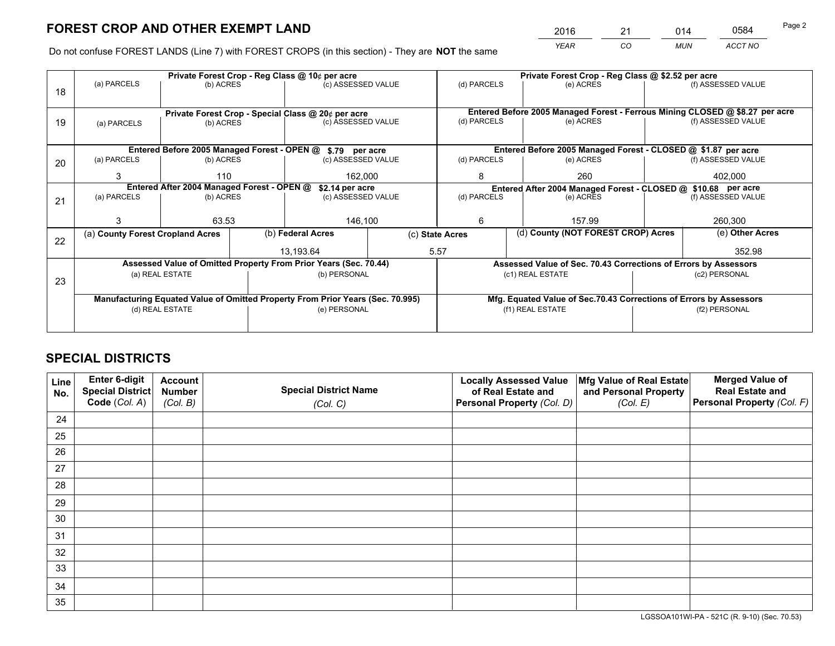*YEAR CO MUN ACCT NO* <sup>2016</sup> <sup>21</sup> <sup>014</sup> <sup>0584</sup>

Do not confuse FOREST LANDS (Line 7) with FOREST CROPS (in this section) - They are **NOT** the same

|    |                                                                                |                 |                                                    | Private Forest Crop - Reg Class @ 10¢ per acre                   |  | Private Forest Crop - Reg Class @ \$2.52 per acre                  |                                                                              |                                                                 |  |                    |
|----|--------------------------------------------------------------------------------|-----------------|----------------------------------------------------|------------------------------------------------------------------|--|--------------------------------------------------------------------|------------------------------------------------------------------------------|-----------------------------------------------------------------|--|--------------------|
| 18 | (a) PARCELS                                                                    | (b) ACRES       |                                                    | (c) ASSESSED VALUE                                               |  | (d) PARCELS                                                        |                                                                              | (e) ACRES                                                       |  | (f) ASSESSED VALUE |
|    |                                                                                |                 |                                                    |                                                                  |  |                                                                    |                                                                              |                                                                 |  |                    |
|    |                                                                                |                 | Private Forest Crop - Special Class @ 20¢ per acre |                                                                  |  |                                                                    | Entered Before 2005 Managed Forest - Ferrous Mining CLOSED @ \$8.27 per acre |                                                                 |  |                    |
| 19 | (a) PARCELS                                                                    | (b) ACRES       |                                                    | (c) ASSESSED VALUE                                               |  | (d) PARCELS                                                        |                                                                              | (e) ACRES                                                       |  | (f) ASSESSED VALUE |
|    |                                                                                |                 |                                                    |                                                                  |  |                                                                    |                                                                              |                                                                 |  |                    |
|    |                                                                                |                 |                                                    | Entered Before 2005 Managed Forest - OPEN @ \$.79 per acre       |  |                                                                    |                                                                              | Entered Before 2005 Managed Forest - CLOSED @ \$1.87 per acre   |  |                    |
| 20 | (a) PARCELS                                                                    | (b) ACRES       |                                                    | (c) ASSESSED VALUE                                               |  | (d) PARCELS                                                        |                                                                              | (e) ACRES                                                       |  | (f) ASSESSED VALUE |
|    | 3                                                                              | 110             |                                                    | 162,000                                                          |  | 8                                                                  |                                                                              | 260                                                             |  | 402.000            |
|    | Entered After 2004 Managed Forest - OPEN @<br>\$2.14 per acre                  |                 |                                                    | Entered After 2004 Managed Forest - CLOSED @ \$10.68 per acre    |  |                                                                    |                                                                              |                                                                 |  |                    |
| 21 | (a) PARCELS                                                                    | (b) ACRES       |                                                    | (c) ASSESSED VALUE                                               |  | (d) PARCELS<br>(e) ACRES                                           |                                                                              | (f) ASSESSED VALUE                                              |  |                    |
|    |                                                                                |                 |                                                    |                                                                  |  |                                                                    |                                                                              |                                                                 |  |                    |
|    |                                                                                | 63.53           |                                                    | 146,100                                                          |  | 6                                                                  |                                                                              | 157.99                                                          |  | 260,300            |
| 22 | (a) County Forest Cropland Acres                                               |                 |                                                    | (b) Federal Acres                                                |  | (c) State Acres                                                    |                                                                              | (d) County (NOT FOREST CROP) Acres                              |  | (e) Other Acres    |
|    |                                                                                |                 |                                                    | 13,193.64                                                        |  | 5.57                                                               |                                                                              |                                                                 |  | 352.98             |
|    |                                                                                |                 |                                                    | Assessed Value of Omitted Property From Prior Years (Sec. 70.44) |  |                                                                    |                                                                              | Assessed Value of Sec. 70.43 Corrections of Errors by Assessors |  |                    |
| 23 |                                                                                | (a) REAL ESTATE |                                                    | (b) PERSONAL                                                     |  |                                                                    |                                                                              | (c1) REAL ESTATE                                                |  | (c2) PERSONAL      |
|    |                                                                                |                 |                                                    |                                                                  |  |                                                                    |                                                                              |                                                                 |  |                    |
|    | Manufacturing Equated Value of Omitted Property From Prior Years (Sec. 70.995) |                 |                                                    |                                                                  |  | Mfg. Equated Value of Sec.70.43 Corrections of Errors by Assessors |                                                                              |                                                                 |  |                    |
|    |                                                                                | (d) REAL ESTATE |                                                    | (e) PERSONAL                                                     |  |                                                                    |                                                                              | (f1) REAL ESTATE                                                |  | (f2) PERSONAL      |
|    |                                                                                |                 |                                                    |                                                                  |  |                                                                    |                                                                              |                                                                 |  |                    |

# **SPECIAL DISTRICTS**

| Line<br>No. | Enter 6-digit<br>Special District<br>Code (Col. A) | <b>Account</b><br><b>Number</b><br>(Col. B) | <b>Special District Name</b><br>(Col. C) | <b>Locally Assessed Value</b><br>of Real Estate and<br>Personal Property (Col. D) | Mfg Value of Real Estate<br>and Personal Property<br>(Col. E) | <b>Merged Value of</b><br><b>Real Estate and</b><br>Personal Property (Col. F) |
|-------------|----------------------------------------------------|---------------------------------------------|------------------------------------------|-----------------------------------------------------------------------------------|---------------------------------------------------------------|--------------------------------------------------------------------------------|
| 24          |                                                    |                                             |                                          |                                                                                   |                                                               |                                                                                |
| 25          |                                                    |                                             |                                          |                                                                                   |                                                               |                                                                                |
| 26          |                                                    |                                             |                                          |                                                                                   |                                                               |                                                                                |
| 27          |                                                    |                                             |                                          |                                                                                   |                                                               |                                                                                |
| 28          |                                                    |                                             |                                          |                                                                                   |                                                               |                                                                                |
| 29          |                                                    |                                             |                                          |                                                                                   |                                                               |                                                                                |
| 30          |                                                    |                                             |                                          |                                                                                   |                                                               |                                                                                |
| 31          |                                                    |                                             |                                          |                                                                                   |                                                               |                                                                                |
| 32          |                                                    |                                             |                                          |                                                                                   |                                                               |                                                                                |
| 33          |                                                    |                                             |                                          |                                                                                   |                                                               |                                                                                |
| 34          |                                                    |                                             |                                          |                                                                                   |                                                               |                                                                                |
| 35          |                                                    |                                             |                                          |                                                                                   |                                                               |                                                                                |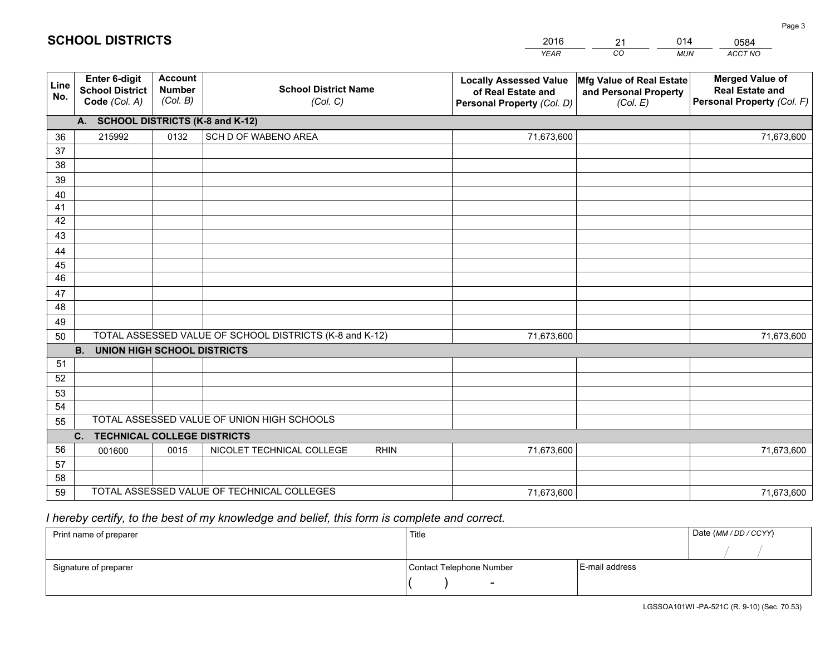|             |                                                          |                                             |                                                         | <b>YEAR</b>                                                                       | CO<br><b>MUN</b>                                              | ACCT NO                                                                        |
|-------------|----------------------------------------------------------|---------------------------------------------|---------------------------------------------------------|-----------------------------------------------------------------------------------|---------------------------------------------------------------|--------------------------------------------------------------------------------|
| Line<br>No. | Enter 6-digit<br><b>School District</b><br>Code (Col. A) | <b>Account</b><br><b>Number</b><br>(Col. B) | <b>School District Name</b><br>(Col. C)                 | <b>Locally Assessed Value</b><br>of Real Estate and<br>Personal Property (Col. D) | Mfg Value of Real Estate<br>and Personal Property<br>(Col. E) | <b>Merged Value of</b><br><b>Real Estate and</b><br>Personal Property (Col. F) |
|             | A. SCHOOL DISTRICTS (K-8 and K-12)                       |                                             |                                                         |                                                                                   |                                                               |                                                                                |
| 36          | 215992                                                   | 0132                                        | SCH D OF WABENO AREA                                    | 71,673,600                                                                        |                                                               | 71,673,600                                                                     |
| 37          |                                                          |                                             |                                                         |                                                                                   |                                                               |                                                                                |
| 38          |                                                          |                                             |                                                         |                                                                                   |                                                               |                                                                                |
| 39          |                                                          |                                             |                                                         |                                                                                   |                                                               |                                                                                |
| 40          |                                                          |                                             |                                                         |                                                                                   |                                                               |                                                                                |
| 41<br>42    |                                                          |                                             |                                                         |                                                                                   |                                                               |                                                                                |
| 43          |                                                          |                                             |                                                         |                                                                                   |                                                               |                                                                                |
| 44          |                                                          |                                             |                                                         |                                                                                   |                                                               |                                                                                |
| 45          |                                                          |                                             |                                                         |                                                                                   |                                                               |                                                                                |
| 46          |                                                          |                                             |                                                         |                                                                                   |                                                               |                                                                                |
| 47          |                                                          |                                             |                                                         |                                                                                   |                                                               |                                                                                |
| 48          |                                                          |                                             |                                                         |                                                                                   |                                                               |                                                                                |
| 49          |                                                          |                                             |                                                         |                                                                                   |                                                               |                                                                                |
| 50          |                                                          |                                             | TOTAL ASSESSED VALUE OF SCHOOL DISTRICTS (K-8 and K-12) | 71,673,600                                                                        |                                                               | 71,673,600                                                                     |
|             | <b>B.</b><br><b>UNION HIGH SCHOOL DISTRICTS</b>          |                                             |                                                         |                                                                                   |                                                               |                                                                                |
| 51          |                                                          |                                             |                                                         |                                                                                   |                                                               |                                                                                |
| 52          |                                                          |                                             |                                                         |                                                                                   |                                                               |                                                                                |
| 53          |                                                          |                                             |                                                         |                                                                                   |                                                               |                                                                                |
| 54          |                                                          |                                             | TOTAL ASSESSED VALUE OF UNION HIGH SCHOOLS              |                                                                                   |                                                               |                                                                                |
| 55          |                                                          |                                             |                                                         |                                                                                   |                                                               |                                                                                |
|             | C.<br><b>TECHNICAL COLLEGE DISTRICTS</b>                 |                                             |                                                         |                                                                                   |                                                               |                                                                                |
| 56<br>57    | 001600                                                   | 0015                                        | NICOLET TECHNICAL COLLEGE<br><b>RHIN</b>                | 71,673,600                                                                        |                                                               | 71,673,600                                                                     |
| 58          |                                                          |                                             |                                                         |                                                                                   |                                                               |                                                                                |
| 59          |                                                          |                                             | TOTAL ASSESSED VALUE OF TECHNICAL COLLEGES              | 71,673,600                                                                        |                                                               | 71,673,600                                                                     |

21

014

 *I hereby certify, to the best of my knowledge and belief, this form is complete and correct.*

**SCHOOL DISTRICTS**

| Print name of preparer | Title                    |                | Date (MM / DD / CCYY) |
|------------------------|--------------------------|----------------|-----------------------|
|                        |                          |                |                       |
| Signature of preparer  | Contact Telephone Number | E-mail address |                       |
|                        | $\sim$                   |                |                       |

0584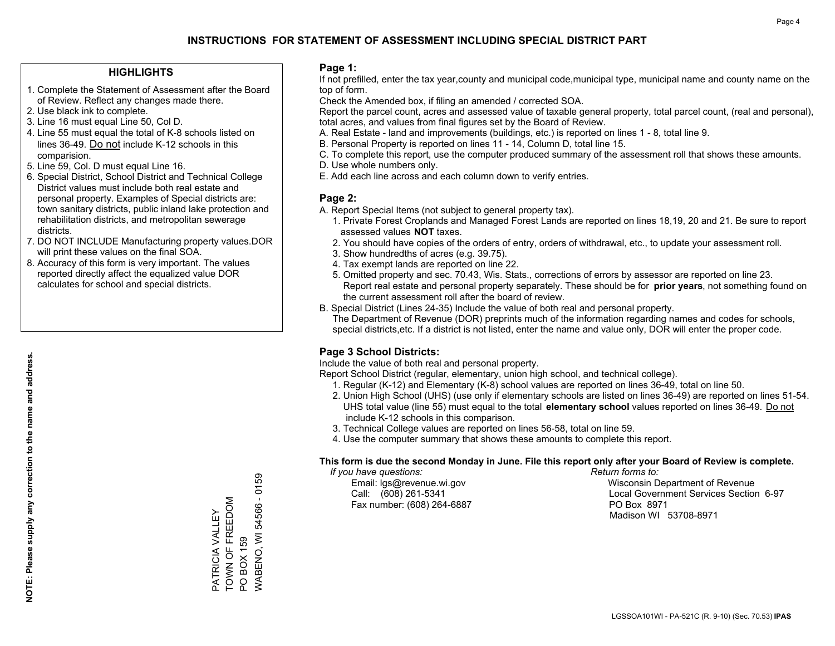### **HIGHLIGHTS**

- 1. Complete the Statement of Assessment after the Board of Review. Reflect any changes made there.
- 2. Use black ink to complete.
- 3. Line 16 must equal Line 50, Col D.
- 4. Line 55 must equal the total of K-8 schools listed on lines 36-49. Do not include K-12 schools in this comparision.
- 5. Line 59, Col. D must equal Line 16.
- 6. Special District, School District and Technical College District values must include both real estate and personal property. Examples of Special districts are: town sanitary districts, public inland lake protection and rehabilitation districts, and metropolitan sewerage districts.
- 7. DO NOT INCLUDE Manufacturing property values.DOR will print these values on the final SOA.

PATRICIA VALLEY TOWN OF FREEDOM

PATRICIA VALLEY<br>TOWN OF FREEDOM

PO BOX 159

PO BOX 159

WABENO, WI 54566 - 0159

WABENO, WI 54566 - 0159

 8. Accuracy of this form is very important. The values reported directly affect the equalized value DOR calculates for school and special districts.

### **Page 1:**

 If not prefilled, enter the tax year,county and municipal code,municipal type, municipal name and county name on the top of form.

Check the Amended box, if filing an amended / corrected SOA.

 Report the parcel count, acres and assessed value of taxable general property, total parcel count, (real and personal), total acres, and values from final figures set by the Board of Review.

- A. Real Estate land and improvements (buildings, etc.) is reported on lines 1 8, total line 9.
- B. Personal Property is reported on lines 11 14, Column D, total line 15.
- C. To complete this report, use the computer produced summary of the assessment roll that shows these amounts.
- D. Use whole numbers only.
- E. Add each line across and each column down to verify entries.

### **Page 2:**

- A. Report Special Items (not subject to general property tax).
- 1. Private Forest Croplands and Managed Forest Lands are reported on lines 18,19, 20 and 21. Be sure to report assessed values **NOT** taxes.
- 2. You should have copies of the orders of entry, orders of withdrawal, etc., to update your assessment roll.
	- 3. Show hundredths of acres (e.g. 39.75).
- 4. Tax exempt lands are reported on line 22.
- 5. Omitted property and sec. 70.43, Wis. Stats., corrections of errors by assessor are reported on line 23. Report real estate and personal property separately. These should be for **prior years**, not something found on the current assessment roll after the board of review.
- B. Special District (Lines 24-35) Include the value of both real and personal property.
- The Department of Revenue (DOR) preprints much of the information regarding names and codes for schools, special districts,etc. If a district is not listed, enter the name and value only, DOR will enter the proper code.

### **Page 3 School Districts:**

Include the value of both real and personal property.

Report School District (regular, elementary, union high school, and technical college).

- 1. Regular (K-12) and Elementary (K-8) school values are reported on lines 36-49, total on line 50.
- 2. Union High School (UHS) (use only if elementary schools are listed on lines 36-49) are reported on lines 51-54. UHS total value (line 55) must equal to the total **elementary school** values reported on lines 36-49. Do notinclude K-12 schools in this comparison.
- 3. Technical College values are reported on lines 56-58, total on line 59.
- 4. Use the computer summary that shows these amounts to complete this report.

#### **This form is due the second Monday in June. File this report only after your Board of Review is complete.**

 *If you have questions: Return forms to:*

Fax number: (608) 264-6887 PO Box 8971

 Email: lgs@revenue.wi.gov Wisconsin Department of Revenue Call: (608) 261-5341 Local Government Services Section 6-97Madison WI 53708-8971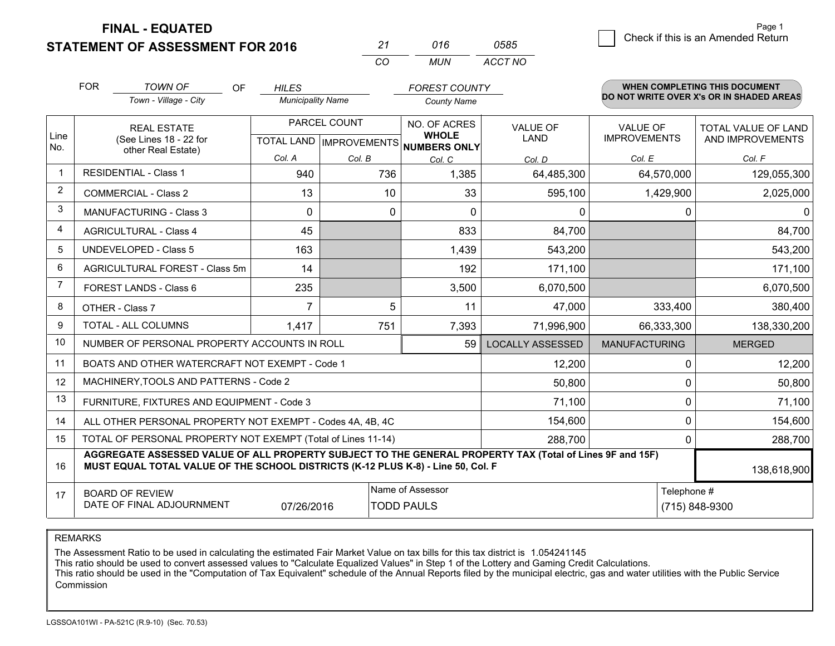**STATEMENT OF ASSESSMENT FOR 2016** 

| ンフ  | 016 | 0585    |
|-----|-----|---------|
| ΓO. | MUN | ACCT NO |

|             | <b>FOR</b><br><b>TOWN OF</b><br><b>OF</b>                                                                                                                                                    | <b>HILES</b>             |                           | <b>FOREST COUNTY</b>                |                         |                      | <b>WHEN COMPLETING THIS DOCUMENT</b>     |
|-------------|----------------------------------------------------------------------------------------------------------------------------------------------------------------------------------------------|--------------------------|---------------------------|-------------------------------------|-------------------------|----------------------|------------------------------------------|
|             | Town - Village - City                                                                                                                                                                        | <b>Municipality Name</b> |                           | <b>County Name</b>                  |                         |                      | DO NOT WRITE OVER X's OR IN SHADED AREAS |
|             | <b>REAL ESTATE</b>                                                                                                                                                                           |                          | PARCEL COUNT              | NO. OF ACRES                        | <b>VALUE OF</b>         | <b>VALUE OF</b>      | <b>TOTAL VALUE OF LAND</b>               |
| Line<br>No. | (See Lines 18 - 22 for<br>other Real Estate)                                                                                                                                                 |                          | TOTAL LAND   IMPROVEMENTS | <b>WHOLE</b><br><b>NUMBERS ONLY</b> | <b>LAND</b>             | <b>IMPROVEMENTS</b>  | AND IMPROVEMENTS                         |
|             |                                                                                                                                                                                              | Col. A                   | Col. B                    | Col. C                              | Col. D                  | Col. E               | Col. F                                   |
|             | <b>RESIDENTIAL - Class 1</b>                                                                                                                                                                 | 940                      | 736                       | 1,385                               | 64,485,300              | 64,570,000           | 129,055,300                              |
| 2           | <b>COMMERCIAL - Class 2</b>                                                                                                                                                                  | 13                       | 10                        | 33                                  | 595,100                 | 1,429,900            | 2,025,000                                |
| 3           | <b>MANUFACTURING - Class 3</b>                                                                                                                                                               | $\Omega$                 | 0                         | $\Omega$                            | 0                       | 0                    | $\Omega$                                 |
| 4           | <b>AGRICULTURAL - Class 4</b>                                                                                                                                                                | 45                       |                           | 833                                 | 84,700                  |                      | 84,700                                   |
| 5           | UNDEVELOPED - Class 5                                                                                                                                                                        | 163                      |                           | 1,439                               | 543,200                 |                      | 543,200                                  |
| 6           | AGRICULTURAL FOREST - Class 5m                                                                                                                                                               | 14                       |                           | 192                                 | 171,100                 |                      | 171,100                                  |
| 7           | FOREST LANDS - Class 6                                                                                                                                                                       | 235                      |                           | 3,500                               | 6,070,500               |                      | 6,070,500                                |
| 8           | OTHER - Class 7                                                                                                                                                                              | $\overline{7}$           | 5                         | 11                                  | 47,000                  | 333,400              | 380,400                                  |
| 9           | TOTAL - ALL COLUMNS                                                                                                                                                                          | 1,417                    | 751                       | 7,393                               | 71,996,900              | 66,333,300           | 138,330,200                              |
| 10          | NUMBER OF PERSONAL PROPERTY ACCOUNTS IN ROLL                                                                                                                                                 |                          |                           | 59                                  | <b>LOCALLY ASSESSED</b> | <b>MANUFACTURING</b> | <b>MERGED</b>                            |
| 11          | BOATS AND OTHER WATERCRAFT NOT EXEMPT - Code 1                                                                                                                                               |                          |                           |                                     | 12,200                  | 0                    | 12,200                                   |
| 12          | MACHINERY, TOOLS AND PATTERNS - Code 2                                                                                                                                                       |                          |                           |                                     | 50,800                  | $\mathbf 0$          | 50,800                                   |
| 13          | FURNITURE, FIXTURES AND EQUIPMENT - Code 3                                                                                                                                                   |                          |                           |                                     | 71,100                  | 0                    | 71,100                                   |
| 14          | ALL OTHER PERSONAL PROPERTY NOT EXEMPT - Codes 4A, 4B, 4C                                                                                                                                    |                          |                           |                                     | 154,600                 | 0                    | 154,600                                  |
| 15          | TOTAL OF PERSONAL PROPERTY NOT EXEMPT (Total of Lines 11-14)<br>288,700                                                                                                                      |                          |                           |                                     |                         |                      | 288,700                                  |
| 16          | AGGREGATE ASSESSED VALUE OF ALL PROPERTY SUBJECT TO THE GENERAL PROPERTY TAX (Total of Lines 9F and 15F)<br>MUST EQUAL TOTAL VALUE OF THE SCHOOL DISTRICTS (K-12 PLUS K-8) - Line 50, Col. F |                          |                           |                                     |                         |                      | 138,618,900                              |
| 17          | <b>BOARD OF REVIEW</b>                                                                                                                                                                       |                          |                           | Name of Assessor                    |                         | Telephone #          |                                          |
|             | DATE OF FINAL ADJOURNMENT                                                                                                                                                                    | 07/26/2016               |                           | <b>TODD PAULS</b>                   |                         |                      | (715) 848-9300                           |

REMARKS

The Assessment Ratio to be used in calculating the estimated Fair Market Value on tax bills for this tax district is 1.054241145

This ratio should be used to convert assessed values to "Calculate Equalized Values" in Step 1 of the Lottery and Gaming Credit Calculations.<br>This ratio should be used in the "Computation of Tax Equivalent" schedule of the Commission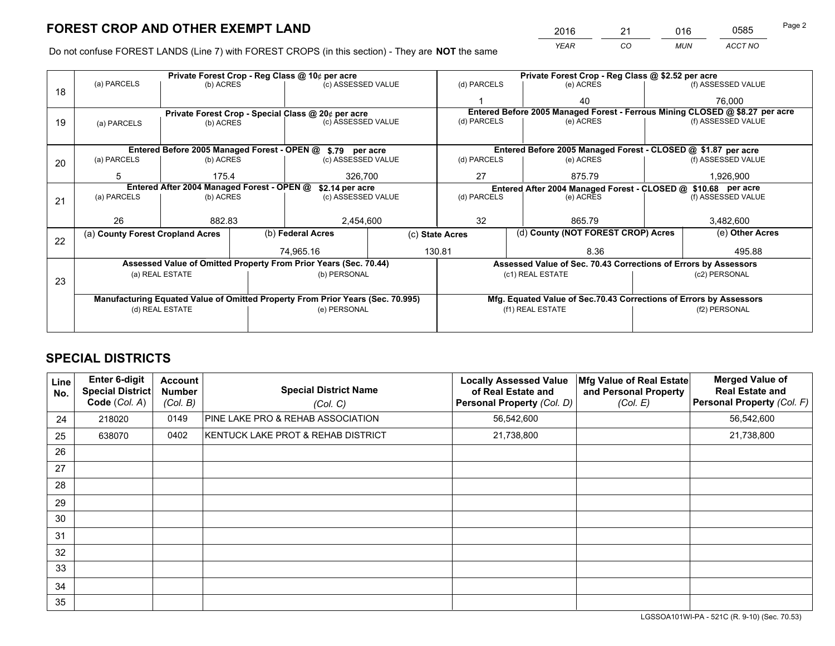*YEAR CO MUN ACCT NO* <sup>2016</sup> <sup>21</sup> <sup>016</sup> <sup>0585</sup>

Do not confuse FOREST LANDS (Line 7) with FOREST CROPS (in this section) - They are **NOT** the same

|    |                                                                                |                 |  | Private Forest Crop - Reg Class @ 10¢ per acre                     |                                                               | Private Forest Crop - Reg Class @ \$2.52 per acre |                                                                              |  |                    |  |
|----|--------------------------------------------------------------------------------|-----------------|--|--------------------------------------------------------------------|---------------------------------------------------------------|---------------------------------------------------|------------------------------------------------------------------------------|--|--------------------|--|
| 18 | (a) PARCELS                                                                    | (b) ACRES       |  | (c) ASSESSED VALUE                                                 |                                                               | (d) PARCELS                                       | (e) ACRES                                                                    |  | (f) ASSESSED VALUE |  |
|    |                                                                                |                 |  |                                                                    |                                                               |                                                   | 40                                                                           |  | 76.000             |  |
|    |                                                                                |                 |  | Private Forest Crop - Special Class @ 20¢ per acre                 |                                                               |                                                   | Entered Before 2005 Managed Forest - Ferrous Mining CLOSED @ \$8.27 per acre |  |                    |  |
| 19 | (a) PARCELS                                                                    | (b) ACRES       |  | (c) ASSESSED VALUE                                                 |                                                               | (d) PARCELS                                       | (e) ACRES                                                                    |  | (f) ASSESSED VALUE |  |
|    |                                                                                |                 |  |                                                                    |                                                               |                                                   |                                                                              |  |                    |  |
|    |                                                                                |                 |  | Entered Before 2005 Managed Forest - OPEN @ \$.79 per acre         |                                                               |                                                   | Entered Before 2005 Managed Forest - CLOSED @ \$1.87 per acre                |  |                    |  |
| 20 | (a) PARCELS                                                                    | (b) ACRES       |  | (c) ASSESSED VALUE                                                 |                                                               | (d) PARCELS                                       | (e) ACRES                                                                    |  | (f) ASSESSED VALUE |  |
|    | 5                                                                              | 175.4           |  | 326,700                                                            |                                                               | 27                                                | 875.79                                                                       |  | 1,926,900          |  |
|    | Entered After 2004 Managed Forest - OPEN @<br>\$2.14 per acre                  |                 |  |                                                                    | Entered After 2004 Managed Forest - CLOSED @ \$10.68 per acre |                                                   |                                                                              |  |                    |  |
| 21 | (a) PARCELS                                                                    | (b) ACRES       |  | (c) ASSESSED VALUE                                                 |                                                               | (d) PARCELS<br>(e) ACRES                          |                                                                              |  | (f) ASSESSED VALUE |  |
|    |                                                                                |                 |  |                                                                    |                                                               |                                                   |                                                                              |  |                    |  |
|    | 26                                                                             | 882.83          |  | 2,454,600                                                          |                                                               | 32                                                | 865.79                                                                       |  | 3,482,600          |  |
| 22 | (a) County Forest Cropland Acres                                               |                 |  | (b) Federal Acres                                                  |                                                               | (c) State Acres                                   | (d) County (NOT FOREST CROP) Acres                                           |  | (e) Other Acres    |  |
|    |                                                                                |                 |  | 74,965.16                                                          |                                                               | 130.81                                            | 8.36                                                                         |  | 495.88             |  |
|    |                                                                                |                 |  | Assessed Value of Omitted Property From Prior Years (Sec. 70.44)   |                                                               |                                                   | Assessed Value of Sec. 70.43 Corrections of Errors by Assessors              |  |                    |  |
|    |                                                                                | (a) REAL ESTATE |  | (b) PERSONAL                                                       |                                                               |                                                   | (c1) REAL ESTATE                                                             |  | (c2) PERSONAL      |  |
| 23 |                                                                                |                 |  |                                                                    |                                                               |                                                   |                                                                              |  |                    |  |
|    | Manufacturing Equated Value of Omitted Property From Prior Years (Sec. 70.995) |                 |  | Mfg. Equated Value of Sec.70.43 Corrections of Errors by Assessors |                                                               |                                                   |                                                                              |  |                    |  |
|    |                                                                                | (d) REAL ESTATE |  | (e) PERSONAL                                                       |                                                               |                                                   | (f1) REAL ESTATE                                                             |  | (f2) PERSONAL      |  |
|    |                                                                                |                 |  |                                                                    |                                                               |                                                   |                                                                              |  |                    |  |

# **SPECIAL DISTRICTS**

| <b>Line</b><br>No. | <b>Enter 6-digit</b><br><b>Special District</b><br>Code (Col. A) | <b>Account</b><br><b>Number</b><br>(Col. B) | <b>Special District Name</b><br>(Col. C) | <b>Locally Assessed Value</b><br>of Real Estate and<br>Personal Property (Col. D) | Mfg Value of Real Estate<br>and Personal Property<br>(Col. E) | <b>Merged Value of</b><br><b>Real Estate and</b><br>Personal Property (Col. F) |
|--------------------|------------------------------------------------------------------|---------------------------------------------|------------------------------------------|-----------------------------------------------------------------------------------|---------------------------------------------------------------|--------------------------------------------------------------------------------|
| 24                 | 218020                                                           | 0149                                        | PINE LAKE PRO & REHAB ASSOCIATION        | 56,542,600                                                                        |                                                               | 56,542,600                                                                     |
| 25                 | 638070                                                           | 0402                                        | KENTUCK LAKE PROT & REHAB DISTRICT       | 21,738,800                                                                        |                                                               | 21,738,800                                                                     |
| 26                 |                                                                  |                                             |                                          |                                                                                   |                                                               |                                                                                |
| 27                 |                                                                  |                                             |                                          |                                                                                   |                                                               |                                                                                |
| 28                 |                                                                  |                                             |                                          |                                                                                   |                                                               |                                                                                |
| 29                 |                                                                  |                                             |                                          |                                                                                   |                                                               |                                                                                |
| 30                 |                                                                  |                                             |                                          |                                                                                   |                                                               |                                                                                |
| 31                 |                                                                  |                                             |                                          |                                                                                   |                                                               |                                                                                |
| 32                 |                                                                  |                                             |                                          |                                                                                   |                                                               |                                                                                |
| 33                 |                                                                  |                                             |                                          |                                                                                   |                                                               |                                                                                |
| 34                 |                                                                  |                                             |                                          |                                                                                   |                                                               |                                                                                |
| 35                 |                                                                  |                                             |                                          |                                                                                   |                                                               |                                                                                |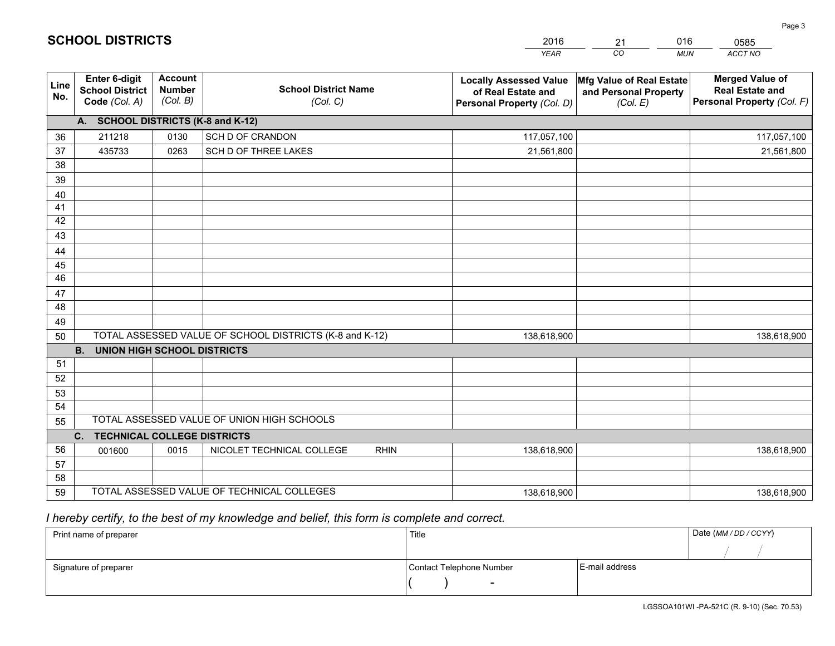|             |                                                          |                                             |                                                         | <b>YEAR</b>                                                                       | CO<br><b>MUN</b>                                              | ACCT NO                                                                        |
|-------------|----------------------------------------------------------|---------------------------------------------|---------------------------------------------------------|-----------------------------------------------------------------------------------|---------------------------------------------------------------|--------------------------------------------------------------------------------|
| Line<br>No. | Enter 6-digit<br><b>School District</b><br>Code (Col. A) | <b>Account</b><br><b>Number</b><br>(Col. B) | <b>School District Name</b><br>(Col. C)                 | <b>Locally Assessed Value</b><br>of Real Estate and<br>Personal Property (Col. D) | Mfg Value of Real Estate<br>and Personal Property<br>(Col. E) | <b>Merged Value of</b><br><b>Real Estate and</b><br>Personal Property (Col. F) |
|             | A. SCHOOL DISTRICTS (K-8 and K-12)                       |                                             |                                                         |                                                                                   |                                                               |                                                                                |
| 36          | 211218                                                   | 0130                                        | SCH D OF CRANDON                                        | 117,057,100                                                                       |                                                               | 117,057,100                                                                    |
| 37          | 435733                                                   | 0263                                        | SCH D OF THREE LAKES                                    | 21,561,800                                                                        |                                                               | 21,561,800                                                                     |
| 38          |                                                          |                                             |                                                         |                                                                                   |                                                               |                                                                                |
| 39          |                                                          |                                             |                                                         |                                                                                   |                                                               |                                                                                |
| 40          |                                                          |                                             |                                                         |                                                                                   |                                                               |                                                                                |
| 41          |                                                          |                                             |                                                         |                                                                                   |                                                               |                                                                                |
| 42          |                                                          |                                             |                                                         |                                                                                   |                                                               |                                                                                |
| 43          |                                                          |                                             |                                                         |                                                                                   |                                                               |                                                                                |
| 44          |                                                          |                                             |                                                         |                                                                                   |                                                               |                                                                                |
| 45<br>46    |                                                          |                                             |                                                         |                                                                                   |                                                               |                                                                                |
|             |                                                          |                                             |                                                         |                                                                                   |                                                               |                                                                                |
| 47<br>48    |                                                          |                                             |                                                         |                                                                                   |                                                               |                                                                                |
| 49          |                                                          |                                             |                                                         |                                                                                   |                                                               |                                                                                |
| 50          |                                                          |                                             | TOTAL ASSESSED VALUE OF SCHOOL DISTRICTS (K-8 and K-12) | 138,618,900                                                                       |                                                               | 138,618,900                                                                    |
|             | <b>B.</b><br><b>UNION HIGH SCHOOL DISTRICTS</b>          |                                             |                                                         |                                                                                   |                                                               |                                                                                |
| 51          |                                                          |                                             |                                                         |                                                                                   |                                                               |                                                                                |
| 52          |                                                          |                                             |                                                         |                                                                                   |                                                               |                                                                                |
| 53          |                                                          |                                             |                                                         |                                                                                   |                                                               |                                                                                |
| 54          |                                                          |                                             |                                                         |                                                                                   |                                                               |                                                                                |
| 55          |                                                          |                                             | TOTAL ASSESSED VALUE OF UNION HIGH SCHOOLS              |                                                                                   |                                                               |                                                                                |
|             | <b>TECHNICAL COLLEGE DISTRICTS</b><br>C.                 |                                             |                                                         |                                                                                   |                                                               |                                                                                |
| 56          | 001600                                                   | 0015                                        | NICOLET TECHNICAL COLLEGE<br><b>RHIN</b>                | 138,618,900                                                                       |                                                               | 138,618,900                                                                    |
| 57          |                                                          |                                             |                                                         |                                                                                   |                                                               |                                                                                |
| 58          |                                                          |                                             |                                                         |                                                                                   |                                                               |                                                                                |
| 59          |                                                          |                                             | TOTAL ASSESSED VALUE OF TECHNICAL COLLEGES              | 138,618,900                                                                       |                                                               | 138,618,900                                                                    |

 *I hereby certify, to the best of my knowledge and belief, this form is complete and correct.*

| Print name of preparer | Title                    |                | Date (MM / DD / CCYY) |
|------------------------|--------------------------|----------------|-----------------------|
|                        |                          |                |                       |
| Signature of preparer  | Contact Telephone Number | E-mail address |                       |
|                        | $\overline{\phantom{0}}$ |                |                       |

| 2016 | 21     | 016 |
|------|--------|-----|
|      | $\cap$ | .   |

0585

# **SCHOOL DISTRICTS**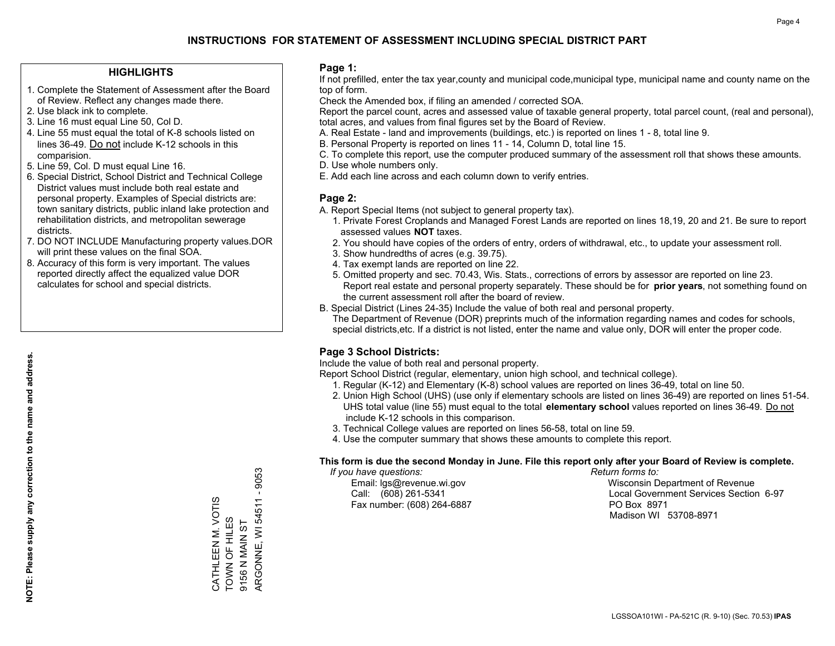### **HIGHLIGHTS**

- 1. Complete the Statement of Assessment after the Board of Review. Reflect any changes made there.
- 2. Use black ink to complete.
- 3. Line 16 must equal Line 50, Col D.
- 4. Line 55 must equal the total of K-8 schools listed on lines 36-49. Do not include K-12 schools in this comparision.
- 5. Line 59, Col. D must equal Line 16.
- 6. Special District, School District and Technical College District values must include both real estate and personal property. Examples of Special districts are: town sanitary districts, public inland lake protection and rehabilitation districts, and metropolitan sewerage districts.
- 7. DO NOT INCLUDE Manufacturing property values.DOR will print these values on the final SOA.

CATHLEEN M. VOTIS TOWN OF HILES 9156 N MAIN ST

CATHLEEN M. VOTIS TOWN OF HILES 9156 N MAIN ST ARGONNE, WI 54511 - 9053

ARGONNE, WI 54511

9053 T.

 8. Accuracy of this form is very important. The values reported directly affect the equalized value DOR calculates for school and special districts.

### **Page 1:**

 If not prefilled, enter the tax year,county and municipal code,municipal type, municipal name and county name on the top of form.

Check the Amended box, if filing an amended / corrected SOA.

 Report the parcel count, acres and assessed value of taxable general property, total parcel count, (real and personal), total acres, and values from final figures set by the Board of Review.

- A. Real Estate land and improvements (buildings, etc.) is reported on lines 1 8, total line 9.
- B. Personal Property is reported on lines 11 14, Column D, total line 15.
- C. To complete this report, use the computer produced summary of the assessment roll that shows these amounts.
- D. Use whole numbers only.
- E. Add each line across and each column down to verify entries.

### **Page 2:**

- A. Report Special Items (not subject to general property tax).
- 1. Private Forest Croplands and Managed Forest Lands are reported on lines 18,19, 20 and 21. Be sure to report assessed values **NOT** taxes.
- 2. You should have copies of the orders of entry, orders of withdrawal, etc., to update your assessment roll.
	- 3. Show hundredths of acres (e.g. 39.75).
- 4. Tax exempt lands are reported on line 22.
- 5. Omitted property and sec. 70.43, Wis. Stats., corrections of errors by assessor are reported on line 23. Report real estate and personal property separately. These should be for **prior years**, not something found on the current assessment roll after the board of review.
- B. Special District (Lines 24-35) Include the value of both real and personal property.

 The Department of Revenue (DOR) preprints much of the information regarding names and codes for schools, special districts,etc. If a district is not listed, enter the name and value only, DOR will enter the proper code.

### **Page 3 School Districts:**

Include the value of both real and personal property.

Report School District (regular, elementary, union high school, and technical college).

- 1. Regular (K-12) and Elementary (K-8) school values are reported on lines 36-49, total on line 50.
- 2. Union High School (UHS) (use only if elementary schools are listed on lines 36-49) are reported on lines 51-54. UHS total value (line 55) must equal to the total **elementary school** values reported on lines 36-49. Do notinclude K-12 schools in this comparison.
- 3. Technical College values are reported on lines 56-58, total on line 59.
- 4. Use the computer summary that shows these amounts to complete this report.

#### **This form is due the second Monday in June. File this report only after your Board of Review is complete.**

 *If you have questions: Return forms to:*

Fax number: (608) 264-6887 PO Box 8971

 Email: lgs@revenue.wi.gov Wisconsin Department of Revenue Call: (608) 261-5341 Local Government Services Section 6-97Madison WI 53708-8971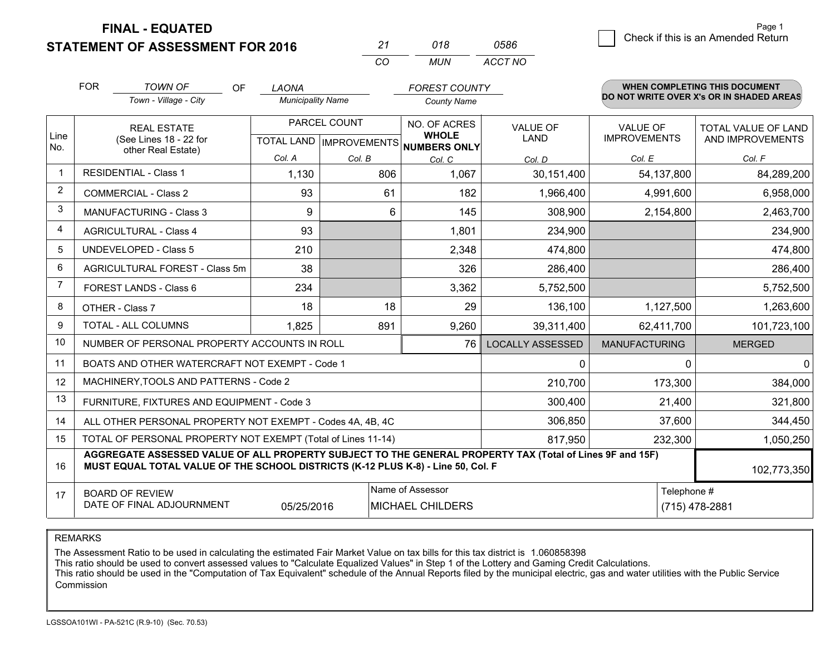**STATEMENT OF ASSESSMENT FOR 2016** 

| ンツ       | 018  | 0586    |
|----------|------|---------|
| $\cdots$ | MUN. | ACCT NO |

|             | <b>FOR</b>                                                                                                                                                                                   | <b>TOWN OF</b><br><b>OF</b>                                  | <b>LAONA</b>             |                                | <b>FOREST COUNTY</b>                |                         |                      | <b>WHEN COMPLETING THIS DOCUMENT</b>     |
|-------------|----------------------------------------------------------------------------------------------------------------------------------------------------------------------------------------------|--------------------------------------------------------------|--------------------------|--------------------------------|-------------------------------------|-------------------------|----------------------|------------------------------------------|
|             |                                                                                                                                                                                              | Town - Village - City                                        | <b>Municipality Name</b> |                                | <b>County Name</b>                  |                         |                      | DO NOT WRITE OVER X's OR IN SHADED AREAS |
|             |                                                                                                                                                                                              | <b>REAL ESTATE</b>                                           | PARCEL COUNT             |                                | NO. OF ACRES                        | <b>VALUE OF</b>         | VALUE OF             | TOTAL VALUE OF LAND                      |
| Line<br>No. |                                                                                                                                                                                              | (See Lines 18 - 22 for<br>other Real Estate)                 |                          | <b>TOTAL LAND IMPROVEMENTS</b> | <b>WHOLE</b><br><b>NUMBERS ONLY</b> | <b>LAND</b>             | <b>IMPROVEMENTS</b>  | AND IMPROVEMENTS                         |
|             |                                                                                                                                                                                              |                                                              | Col. A                   | Col. B                         | Col. C                              | Col. D                  | Col. E               | Col. F                                   |
| -1          |                                                                                                                                                                                              | <b>RESIDENTIAL - Class 1</b>                                 | 1,130                    | 806                            | 1,067                               | 30,151,400              | 54, 137, 800         | 84,289,200                               |
| 2           |                                                                                                                                                                                              | <b>COMMERCIAL - Class 2</b>                                  | 93                       | 61                             | 182                                 | 1,966,400               | 4,991,600            | 6,958,000                                |
| 3           |                                                                                                                                                                                              | <b>MANUFACTURING - Class 3</b>                               | 9                        | 6                              | 145                                 | 308,900                 | 2,154,800            | 2,463,700                                |
| 4           |                                                                                                                                                                                              | <b>AGRICULTURAL - Class 4</b>                                | 93                       |                                | 1,801                               | 234,900                 |                      | 234,900                                  |
| 5           |                                                                                                                                                                                              | <b>UNDEVELOPED - Class 5</b>                                 | 210                      |                                | 2,348                               | 474,800                 |                      | 474,800                                  |
| 6           |                                                                                                                                                                                              | AGRICULTURAL FOREST - Class 5m                               | 38                       |                                | 326                                 | 286,400                 |                      | 286,400                                  |
| 7           |                                                                                                                                                                                              | FOREST LANDS - Class 6                                       | 234                      |                                | 3,362                               | 5,752,500               |                      | 5,752,500                                |
| 8           |                                                                                                                                                                                              | OTHER - Class 7                                              | 18                       | 18                             | 29                                  | 136,100                 | 1,127,500            | 1,263,600                                |
| 9           |                                                                                                                                                                                              | TOTAL - ALL COLUMNS                                          | 1,825                    | 891                            | 9,260                               | 39,311,400              | 62,411,700           | 101,723,100                              |
| 10          |                                                                                                                                                                                              | NUMBER OF PERSONAL PROPERTY ACCOUNTS IN ROLL                 |                          |                                | 76                                  | <b>LOCALLY ASSESSED</b> | <b>MANUFACTURING</b> | <b>MERGED</b>                            |
| 11          |                                                                                                                                                                                              | BOATS AND OTHER WATERCRAFT NOT EXEMPT - Code 1               |                          |                                |                                     | 0                       | 0                    | $\mathbf{0}$                             |
| 12          |                                                                                                                                                                                              | MACHINERY, TOOLS AND PATTERNS - Code 2                       |                          |                                |                                     | 210,700                 | 173,300              | 384,000                                  |
| 13          |                                                                                                                                                                                              | FURNITURE, FIXTURES AND EQUIPMENT - Code 3                   |                          |                                |                                     | 300,400                 | 21,400               | 321,800                                  |
| 14          |                                                                                                                                                                                              | ALL OTHER PERSONAL PROPERTY NOT EXEMPT - Codes 4A, 4B, 4C    |                          |                                |                                     | 306,850                 | 37,600               | 344,450                                  |
| 15          |                                                                                                                                                                                              | TOTAL OF PERSONAL PROPERTY NOT EXEMPT (Total of Lines 11-14) |                          |                                |                                     | 817,950                 | 232,300              | 1,050,250                                |
| 16          | AGGREGATE ASSESSED VALUE OF ALL PROPERTY SUBJECT TO THE GENERAL PROPERTY TAX (Total of Lines 9F and 15F)<br>MUST EQUAL TOTAL VALUE OF THE SCHOOL DISTRICTS (K-12 PLUS K-8) - Line 50, Col. F |                                                              |                          |                                |                                     |                         | 102,773,350          |                                          |
| 17          |                                                                                                                                                                                              | <b>BOARD OF REVIEW</b>                                       |                          |                                | Name of Assessor                    |                         | Telephone #          |                                          |
|             |                                                                                                                                                                                              | DATE OF FINAL ADJOURNMENT                                    | 05/25/2016               |                                | MICHAEL CHILDERS                    |                         |                      | (715) 478-2881                           |

REMARKS

The Assessment Ratio to be used in calculating the estimated Fair Market Value on tax bills for this tax district is 1.060858398

This ratio should be used to convert assessed values to "Calculate Equalized Values" in Step 1 of the Lottery and Gaming Credit Calculations.<br>This ratio should be used in the "Computation of Tax Equivalent" schedule of the Commission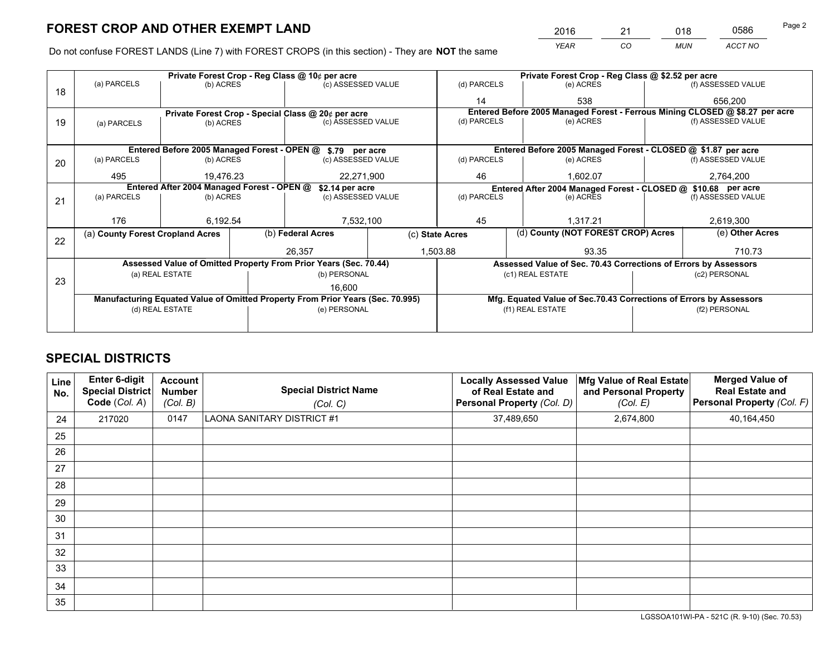*YEAR CO MUN ACCT NO* <sup>2016</sup> <sup>21</sup> <sup>018</sup> <sup>0586</sup>

Do not confuse FOREST LANDS (Line 7) with FOREST CROPS (in this section) - They are **NOT** the same

|    |                                                                                |                 |  | Private Forest Crop - Reg Class @ 10¢ per acre                   | Private Forest Crop - Reg Class @ \$2.52 per acre |                          |           |                                                                    |               |                                                                              |
|----|--------------------------------------------------------------------------------|-----------------|--|------------------------------------------------------------------|---------------------------------------------------|--------------------------|-----------|--------------------------------------------------------------------|---------------|------------------------------------------------------------------------------|
| 18 | (a) PARCELS                                                                    | (b) ACRES       |  | (c) ASSESSED VALUE                                               |                                                   | (d) PARCELS              |           | (e) ACRES                                                          |               | (f) ASSESSED VALUE                                                           |
|    |                                                                                |                 |  |                                                                  |                                                   | 14                       |           | 538                                                                |               | 656.200                                                                      |
|    |                                                                                |                 |  | Private Forest Crop - Special Class @ 20¢ per acre               |                                                   |                          |           |                                                                    |               | Entered Before 2005 Managed Forest - Ferrous Mining CLOSED @ \$8.27 per acre |
| 19 | (a) PARCELS                                                                    | (b) ACRES       |  | (c) ASSESSED VALUE                                               |                                                   | (d) PARCELS              |           | (e) ACRES                                                          |               | (f) ASSESSED VALUE                                                           |
|    |                                                                                |                 |  |                                                                  |                                                   |                          |           |                                                                    |               |                                                                              |
|    |                                                                                |                 |  | Entered Before 2005 Managed Forest - OPEN @ \$.79 per acre       |                                                   |                          |           | Entered Before 2005 Managed Forest - CLOSED @ \$1.87 per acre      |               |                                                                              |
| 20 | (a) PARCELS                                                                    | (b) ACRES       |  | (c) ASSESSED VALUE                                               |                                                   | (d) PARCELS              | (e) ACRES |                                                                    |               | (f) ASSESSED VALUE                                                           |
|    | 495                                                                            | 19,476.23       |  | 22,271,900                                                       |                                                   | 46<br>1,602.07           |           | 2,764,200                                                          |               |                                                                              |
|    | Entered After 2004 Managed Forest - OPEN @<br>\$2.14 per acre                  |                 |  |                                                                  |                                                   |                          |           | Entered After 2004 Managed Forest - CLOSED @ \$10.68 per acre      |               |                                                                              |
| 21 | (a) PARCELS                                                                    | (b) ACRES       |  | (c) ASSESSED VALUE                                               |                                                   | (d) PARCELS<br>(e) ACRES |           | (f) ASSESSED VALUE                                                 |               |                                                                              |
|    |                                                                                |                 |  |                                                                  |                                                   |                          |           |                                                                    |               |                                                                              |
|    | 176                                                                            | 6,192.54        |  | 7,532,100                                                        |                                                   | 45                       |           | 1,317.21                                                           |               | 2,619,300                                                                    |
| 22 | (a) County Forest Cropland Acres                                               |                 |  | (b) Federal Acres                                                | (c) State Acres                                   |                          |           | (d) County (NOT FOREST CROP) Acres                                 |               | (e) Other Acres                                                              |
|    |                                                                                |                 |  | 26,357                                                           |                                                   | 1,503.88<br>93.35        |           |                                                                    |               | 710.73                                                                       |
|    |                                                                                |                 |  | Assessed Value of Omitted Property From Prior Years (Sec. 70.44) |                                                   |                          |           | Assessed Value of Sec. 70.43 Corrections of Errors by Assessors    |               |                                                                              |
|    |                                                                                | (a) REAL ESTATE |  | (b) PERSONAL                                                     |                                                   |                          |           | (c1) REAL ESTATE                                                   |               | (c2) PERSONAL                                                                |
| 23 |                                                                                |                 |  | 16,600                                                           |                                                   |                          |           |                                                                    |               |                                                                              |
|    | Manufacturing Equated Value of Omitted Property From Prior Years (Sec. 70.995) |                 |  |                                                                  |                                                   |                          |           | Mfg. Equated Value of Sec.70.43 Corrections of Errors by Assessors |               |                                                                              |
|    |                                                                                | (d) REAL ESTATE |  | (e) PERSONAL                                                     |                                                   |                          |           | (f1) REAL ESTATE                                                   | (f2) PERSONAL |                                                                              |
|    |                                                                                |                 |  |                                                                  |                                                   |                          |           |                                                                    |               |                                                                              |

# **SPECIAL DISTRICTS**

| <b>Line</b><br>No. | Enter 6-digit<br><b>Special District</b><br>Code (Col. A) | <b>Account</b><br><b>Number</b><br>(Col. B) | <b>Special District Name</b><br>(Col. C) | <b>Locally Assessed Value</b><br>of Real Estate and<br>Personal Property (Col. D) | Mfg Value of Real Estate<br>and Personal Property<br>(Col. E) | <b>Merged Value of</b><br><b>Real Estate and</b><br>Personal Property (Col. F) |
|--------------------|-----------------------------------------------------------|---------------------------------------------|------------------------------------------|-----------------------------------------------------------------------------------|---------------------------------------------------------------|--------------------------------------------------------------------------------|
| 24                 | 217020                                                    | 0147                                        | <b>LAONA SANITARY DISTRICT #1</b>        | 37,489,650                                                                        | 2,674,800                                                     | 40,164,450                                                                     |
| 25                 |                                                           |                                             |                                          |                                                                                   |                                                               |                                                                                |
| 26                 |                                                           |                                             |                                          |                                                                                   |                                                               |                                                                                |
| 27                 |                                                           |                                             |                                          |                                                                                   |                                                               |                                                                                |
| 28                 |                                                           |                                             |                                          |                                                                                   |                                                               |                                                                                |
| 29                 |                                                           |                                             |                                          |                                                                                   |                                                               |                                                                                |
| 30                 |                                                           |                                             |                                          |                                                                                   |                                                               |                                                                                |
| 31                 |                                                           |                                             |                                          |                                                                                   |                                                               |                                                                                |
| 32                 |                                                           |                                             |                                          |                                                                                   |                                                               |                                                                                |
| 33                 |                                                           |                                             |                                          |                                                                                   |                                                               |                                                                                |
| 34                 |                                                           |                                             |                                          |                                                                                   |                                                               |                                                                                |
| 35                 |                                                           |                                             |                                          |                                                                                   |                                                               |                                                                                |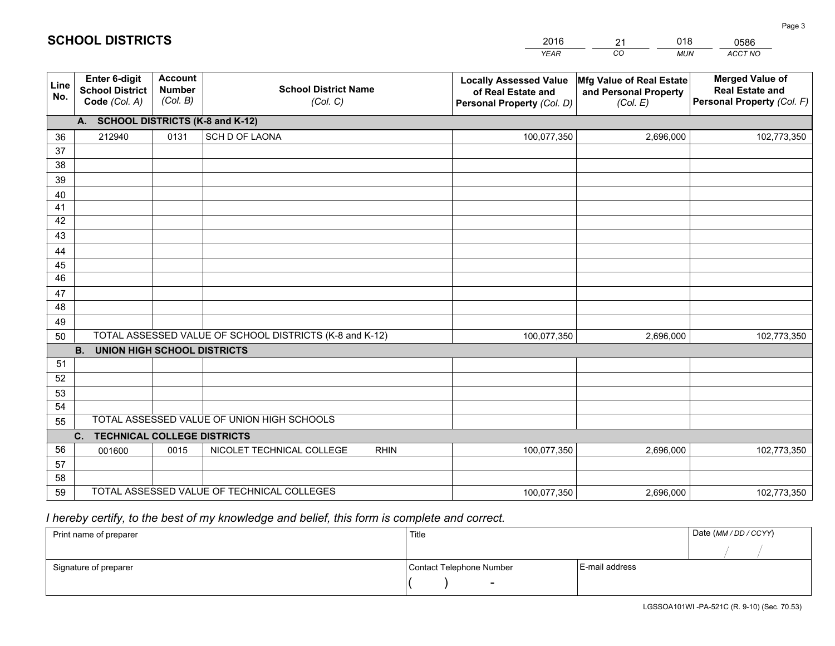|                       |                                                                 |                                             |                                                         | <b>YEAR</b>                                                                       | CO<br><b>MUN</b>                                              | ACCT NO                                                                        |
|-----------------------|-----------------------------------------------------------------|---------------------------------------------|---------------------------------------------------------|-----------------------------------------------------------------------------------|---------------------------------------------------------------|--------------------------------------------------------------------------------|
| Line<br>No.           | <b>Enter 6-digit</b><br><b>School District</b><br>Code (Col. A) | <b>Account</b><br><b>Number</b><br>(Col. B) | <b>School District Name</b><br>(Col. C)                 | <b>Locally Assessed Value</b><br>of Real Estate and<br>Personal Property (Col. D) | Mfg Value of Real Estate<br>and Personal Property<br>(Col. E) | <b>Merged Value of</b><br><b>Real Estate and</b><br>Personal Property (Col. F) |
|                       | A. SCHOOL DISTRICTS (K-8 and K-12)                              |                                             |                                                         |                                                                                   |                                                               |                                                                                |
| 36                    | 212940                                                          | 0131                                        | SCH D OF LAONA                                          | 100,077,350                                                                       | 2,696,000                                                     | 102,773,350                                                                    |
| 37                    |                                                                 |                                             |                                                         |                                                                                   |                                                               |                                                                                |
| 38                    |                                                                 |                                             |                                                         |                                                                                   |                                                               |                                                                                |
| 39                    |                                                                 |                                             |                                                         |                                                                                   |                                                               |                                                                                |
| 40                    |                                                                 |                                             |                                                         |                                                                                   |                                                               |                                                                                |
| 41                    |                                                                 |                                             |                                                         |                                                                                   |                                                               |                                                                                |
| 42                    |                                                                 |                                             |                                                         |                                                                                   |                                                               |                                                                                |
| 43                    |                                                                 |                                             |                                                         |                                                                                   |                                                               |                                                                                |
| 44                    |                                                                 |                                             |                                                         |                                                                                   |                                                               |                                                                                |
| 45<br>$\overline{46}$ |                                                                 |                                             |                                                         |                                                                                   |                                                               |                                                                                |
| 47                    |                                                                 |                                             |                                                         |                                                                                   |                                                               |                                                                                |
| 48                    |                                                                 |                                             |                                                         |                                                                                   |                                                               |                                                                                |
| 49                    |                                                                 |                                             |                                                         |                                                                                   |                                                               |                                                                                |
| 50                    |                                                                 |                                             | TOTAL ASSESSED VALUE OF SCHOOL DISTRICTS (K-8 and K-12) | 100,077,350                                                                       | 2,696,000                                                     | 102,773,350                                                                    |
|                       | <b>B.</b><br><b>UNION HIGH SCHOOL DISTRICTS</b>                 |                                             |                                                         |                                                                                   |                                                               |                                                                                |
| 51                    |                                                                 |                                             |                                                         |                                                                                   |                                                               |                                                                                |
| 52                    |                                                                 |                                             |                                                         |                                                                                   |                                                               |                                                                                |
| 53                    |                                                                 |                                             |                                                         |                                                                                   |                                                               |                                                                                |
| 54                    |                                                                 |                                             |                                                         |                                                                                   |                                                               |                                                                                |
| 55                    |                                                                 |                                             | TOTAL ASSESSED VALUE OF UNION HIGH SCHOOLS              |                                                                                   |                                                               |                                                                                |
|                       | C.<br><b>TECHNICAL COLLEGE DISTRICTS</b>                        |                                             |                                                         |                                                                                   |                                                               |                                                                                |
| 56                    | 001600                                                          | 0015                                        | NICOLET TECHNICAL COLLEGE<br><b>RHIN</b>                | 100,077,350                                                                       | 2,696,000                                                     | 102,773,350                                                                    |
| 57                    |                                                                 |                                             |                                                         |                                                                                   |                                                               |                                                                                |
| 58                    |                                                                 |                                             |                                                         |                                                                                   |                                                               |                                                                                |
| 59                    |                                                                 |                                             | TOTAL ASSESSED VALUE OF TECHNICAL COLLEGES              | 100,077,350                                                                       | 2,696,000                                                     | 102,773,350                                                                    |

21

018

# *I hereby certify, to the best of my knowledge and belief, this form is complete and correct.*

**SCHOOL DISTRICTS**

| Print name of preparer | Title                    |                | Date (MM / DD / CCYY) |
|------------------------|--------------------------|----------------|-----------------------|
|                        |                          |                |                       |
| Signature of preparer  | Contact Telephone Number | E-mail address |                       |
|                        | $\sim$                   |                |                       |

0586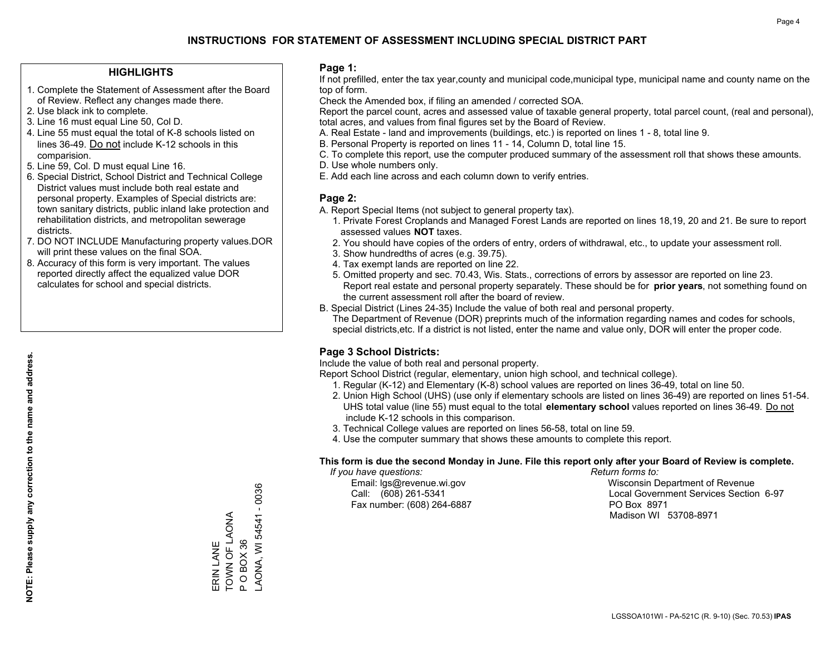### **HIGHLIGHTS**

- 1. Complete the Statement of Assessment after the Board of Review. Reflect any changes made there.
- 2. Use black ink to complete.
- 3. Line 16 must equal Line 50, Col D.
- 4. Line 55 must equal the total of K-8 schools listed on lines 36-49. Do not include K-12 schools in this comparision.
- 5. Line 59, Col. D must equal Line 16.
- 6. Special District, School District and Technical College District values must include both real estate and personal property. Examples of Special districts are: town sanitary districts, public inland lake protection and rehabilitation districts, and metropolitan sewerage districts.
- 7. DO NOT INCLUDE Manufacturing property values.DOR will print these values on the final SOA.

ERIN LANE TOWN OF LAONA P O BOX 36

ERIN LANE

TOWN OF LAONA POBOX36 LAONA, WI 54541 - 0036

AONA, WI 54541 - 0036

 8. Accuracy of this form is very important. The values reported directly affect the equalized value DOR calculates for school and special districts.

### **Page 1:**

 If not prefilled, enter the tax year,county and municipal code,municipal type, municipal name and county name on the top of form.

Check the Amended box, if filing an amended / corrected SOA.

 Report the parcel count, acres and assessed value of taxable general property, total parcel count, (real and personal), total acres, and values from final figures set by the Board of Review.

- A. Real Estate land and improvements (buildings, etc.) is reported on lines 1 8, total line 9.
- B. Personal Property is reported on lines 11 14, Column D, total line 15.
- C. To complete this report, use the computer produced summary of the assessment roll that shows these amounts.
- D. Use whole numbers only.
- E. Add each line across and each column down to verify entries.

### **Page 2:**

- A. Report Special Items (not subject to general property tax).
- 1. Private Forest Croplands and Managed Forest Lands are reported on lines 18,19, 20 and 21. Be sure to report assessed values **NOT** taxes.
- 2. You should have copies of the orders of entry, orders of withdrawal, etc., to update your assessment roll.
	- 3. Show hundredths of acres (e.g. 39.75).
- 4. Tax exempt lands are reported on line 22.
- 5. Omitted property and sec. 70.43, Wis. Stats., corrections of errors by assessor are reported on line 23. Report real estate and personal property separately. These should be for **prior years**, not something found on the current assessment roll after the board of review.
- B. Special District (Lines 24-35) Include the value of both real and personal property.
- The Department of Revenue (DOR) preprints much of the information regarding names and codes for schools, special districts,etc. If a district is not listed, enter the name and value only, DOR will enter the proper code.

### **Page 3 School Districts:**

Include the value of both real and personal property.

Report School District (regular, elementary, union high school, and technical college).

- 1. Regular (K-12) and Elementary (K-8) school values are reported on lines 36-49, total on line 50.
- 2. Union High School (UHS) (use only if elementary schools are listed on lines 36-49) are reported on lines 51-54. UHS total value (line 55) must equal to the total **elementary school** values reported on lines 36-49. Do notinclude K-12 schools in this comparison.
- 3. Technical College values are reported on lines 56-58, total on line 59.
- 4. Use the computer summary that shows these amounts to complete this report.

#### **This form is due the second Monday in June. File this report only after your Board of Review is complete.**

 *If you have questions: Return forms to:*

Fax number: (608) 264-6887 PO Box 8971

 Email: lgs@revenue.wi.gov Wisconsin Department of Revenue Call: (608) 261-5341 Local Government Services Section 6-97Madison WI 53708-8971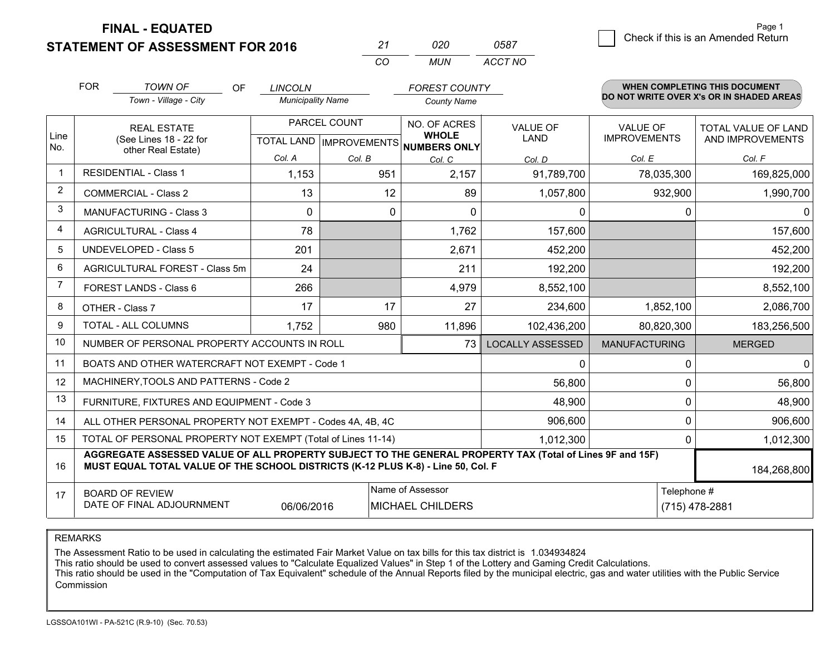**STATEMENT OF ASSESSMENT FOR 2016** 

| 21  | กวก | 0587    |
|-----|-----|---------|
| ΓO. | MUN | ACCT NO |

|             | <b>FOR</b>                                                                                                                                                                                   | <b>TOWN OF</b><br>OF<br>Town - Village - City                      | <b>LINCOLN</b><br><b>Municipality Name</b> |                                                                     | <b>FOREST COUNTY</b><br><b>County Name</b> |                                          |                                                  | <b>WHEN COMPLETING THIS DOCUMENT</b><br>DO NOT WRITE OVER X's OR IN SHADED AREAS |
|-------------|----------------------------------------------------------------------------------------------------------------------------------------------------------------------------------------------|--------------------------------------------------------------------|--------------------------------------------|---------------------------------------------------------------------|--------------------------------------------|------------------------------------------|--------------------------------------------------|----------------------------------------------------------------------------------|
| Line<br>No. |                                                                                                                                                                                              | <b>REAL ESTATE</b><br>(See Lines 18 - 22 for<br>other Real Estate) | Col. A                                     | PARCEL COUNT<br>NO. OF ACRES<br>TOTAL LAND MPROVEMENTS NUMBERS ONLY |                                            | <b>VALUE OF</b><br><b>LAND</b><br>Col. D | <b>VALUE OF</b><br><b>IMPROVEMENTS</b><br>Col. E | <b>TOTAL VALUE OF LAND</b><br>AND IMPROVEMENTS<br>Col. F                         |
| -1          |                                                                                                                                                                                              | <b>RESIDENTIAL - Class 1</b>                                       | 1,153                                      | Col. B<br>951                                                       | Col. C<br>2,157                            | 91,789,700                               | 78,035,300                                       | 169,825,000                                                                      |
| 2           |                                                                                                                                                                                              | <b>COMMERCIAL - Class 2</b>                                        | 13                                         | 12                                                                  | 89                                         | 1,057,800                                | 932,900                                          | 1,990,700                                                                        |
| 3           |                                                                                                                                                                                              | <b>MANUFACTURING - Class 3</b>                                     | $\Omega$                                   | $\Omega$                                                            | $\Omega$                                   | 0                                        | $\Omega$                                         | $\Omega$                                                                         |
| 4           |                                                                                                                                                                                              | <b>AGRICULTURAL - Class 4</b>                                      | 78                                         |                                                                     | 1,762                                      | 157,600                                  |                                                  | 157,600                                                                          |
| 5           |                                                                                                                                                                                              | UNDEVELOPED - Class 5                                              | 201                                        |                                                                     | 2,671                                      | 452,200                                  |                                                  | 452,200                                                                          |
| 6           | AGRICULTURAL FOREST - Class 5m                                                                                                                                                               |                                                                    | 24                                         |                                                                     | 211                                        | 192,200                                  |                                                  | 192,200                                                                          |
| 7           |                                                                                                                                                                                              | FOREST LANDS - Class 6                                             | 266                                        |                                                                     | 4,979                                      | 8,552,100                                |                                                  | 8,552,100                                                                        |
| 8           |                                                                                                                                                                                              | OTHER - Class 7                                                    | 17                                         | 17                                                                  | 27                                         | 234,600                                  | 1,852,100                                        | 2,086,700                                                                        |
| 9           |                                                                                                                                                                                              | TOTAL - ALL COLUMNS                                                | 1,752                                      | 980                                                                 | 11,896                                     | 102,436,200                              | 80,820,300                                       | 183,256,500                                                                      |
| 10          |                                                                                                                                                                                              | NUMBER OF PERSONAL PROPERTY ACCOUNTS IN ROLL                       |                                            |                                                                     | 73                                         | <b>LOCALLY ASSESSED</b>                  | <b>MANUFACTURING</b>                             | <b>MERGED</b>                                                                    |
| 11          |                                                                                                                                                                                              | BOATS AND OTHER WATERCRAFT NOT EXEMPT - Code 1                     |                                            |                                                                     |                                            | 0                                        | $\Omega$                                         | $\mathbf{0}$                                                                     |
| 12          |                                                                                                                                                                                              | MACHINERY, TOOLS AND PATTERNS - Code 2                             |                                            |                                                                     |                                            | 56,800                                   | 0                                                | 56,800                                                                           |
| 13          |                                                                                                                                                                                              | FURNITURE, FIXTURES AND EQUIPMENT - Code 3                         |                                            |                                                                     |                                            | 48,900                                   | 0                                                | 48,900                                                                           |
| 14          |                                                                                                                                                                                              | ALL OTHER PERSONAL PROPERTY NOT EXEMPT - Codes 4A, 4B, 4C          |                                            |                                                                     |                                            | 906,600                                  | 0                                                | 906,600                                                                          |
| 15          |                                                                                                                                                                                              | TOTAL OF PERSONAL PROPERTY NOT EXEMPT (Total of Lines 11-14)       |                                            |                                                                     |                                            | 1,012,300                                | 0                                                | 1,012,300                                                                        |
| 16          | AGGREGATE ASSESSED VALUE OF ALL PROPERTY SUBJECT TO THE GENERAL PROPERTY TAX (Total of Lines 9F and 15F)<br>MUST EQUAL TOTAL VALUE OF THE SCHOOL DISTRICTS (K-12 PLUS K-8) - Line 50, Col. F |                                                                    |                                            |                                                                     |                                            |                                          |                                                  | 184,268,800                                                                      |
| 17          | Name of Assessor<br>Telephone #<br><b>BOARD OF REVIEW</b><br>DATE OF FINAL ADJOURNMENT<br>06/06/2016<br><b>MICHAEL CHILDERS</b>                                                              |                                                                    |                                            |                                                                     |                                            | (715) 478-2881                           |                                                  |                                                                                  |

REMARKS

The Assessment Ratio to be used in calculating the estimated Fair Market Value on tax bills for this tax district is 1.034934824

This ratio should be used to convert assessed values to "Calculate Equalized Values" in Step 1 of the Lottery and Gaming Credit Calculations.<br>This ratio should be used in the "Computation of Tax Equivalent" schedule of the Commission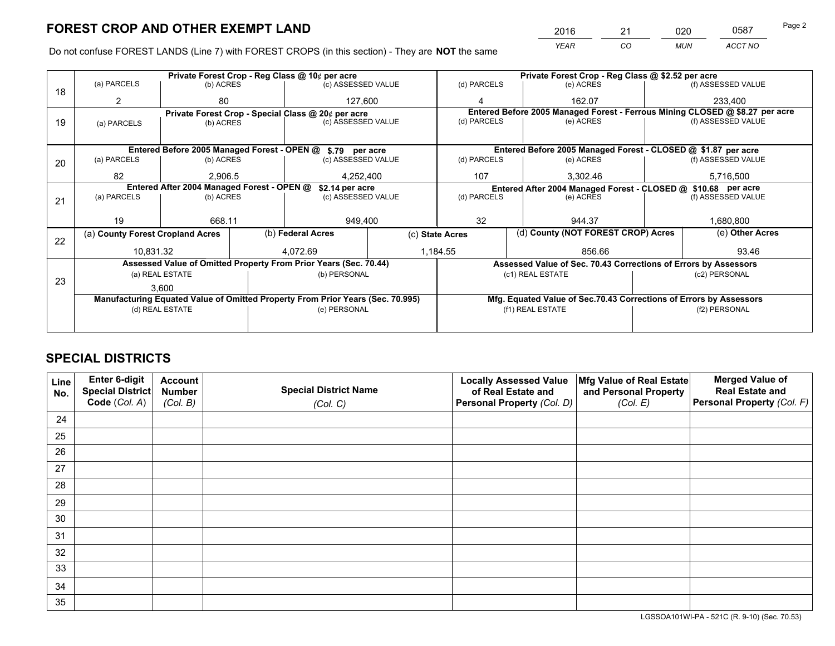*YEAR CO MUN ACCT NO* 2016 <u>21 020</u> 0587 Page 2

Do not confuse FOREST LANDS (Line 7) with FOREST CROPS (in this section) - They are **NOT** the same

|    |                                                               |                                             |  | Private Forest Crop - Reg Class @ 10¢ per acre                                 |                  |                                                       | Private Forest Crop - Reg Class @ \$2.52 per acre |           |                    |                                                                              |
|----|---------------------------------------------------------------|---------------------------------------------|--|--------------------------------------------------------------------------------|------------------|-------------------------------------------------------|---------------------------------------------------|-----------|--------------------|------------------------------------------------------------------------------|
| 18 | (a) PARCELS                                                   | (b) ACRES                                   |  | (c) ASSESSED VALUE                                                             |                  | (d) PARCELS                                           |                                                   | (e) ACRES |                    | (f) ASSESSED VALUE                                                           |
|    |                                                               | 80                                          |  | 127.600                                                                        |                  | Δ                                                     |                                                   | 162.07    |                    | 233.400                                                                      |
|    |                                                               |                                             |  | Private Forest Crop - Special Class @ 20¢ per acre                             |                  |                                                       |                                                   |           |                    | Entered Before 2005 Managed Forest - Ferrous Mining CLOSED @ \$8.27 per acre |
| 19 | (a) PARCELS                                                   | (b) ACRES                                   |  | (c) ASSESSED VALUE                                                             |                  | (d) PARCELS                                           |                                                   | (e) ACRES |                    | (f) ASSESSED VALUE                                                           |
|    |                                                               |                                             |  |                                                                                |                  |                                                       |                                                   |           |                    |                                                                              |
|    |                                                               | Entered Before 2005 Managed Forest - OPEN @ |  | \$.79 per acre                                                                 |                  |                                                       |                                                   |           |                    | Entered Before 2005 Managed Forest - CLOSED @ \$1.87 per acre                |
| 20 | (a) PARCELS                                                   | (b) ACRES                                   |  | (c) ASSESSED VALUE                                                             |                  | (d) PARCELS                                           |                                                   | (e) ACRES |                    | (f) ASSESSED VALUE                                                           |
|    | 82                                                            | 2,906.5                                     |  |                                                                                | 4,252,400<br>107 |                                                       |                                                   | 3,302.46  |                    | 5,716,500                                                                    |
|    | Entered After 2004 Managed Forest - OPEN @<br>\$2.14 per acre |                                             |  |                                                                                |                  |                                                       |                                                   |           |                    | Entered After 2004 Managed Forest - CLOSED @ \$10.68 per acre                |
| 21 | (a) PARCELS                                                   | (b) ACRES                                   |  | (c) ASSESSED VALUE                                                             |                  | (d) PARCELS<br>(e) ACRES                              |                                                   |           | (f) ASSESSED VALUE |                                                                              |
|    |                                                               |                                             |  |                                                                                |                  |                                                       |                                                   |           |                    |                                                                              |
|    | 19                                                            | 668.11                                      |  | 949,400                                                                        |                  | 32<br>944.37                                          |                                                   | 1,680,800 |                    |                                                                              |
| 22 | (a) County Forest Cropland Acres                              |                                             |  | (b) Federal Acres                                                              |                  | (d) County (NOT FOREST CROP) Acres<br>(c) State Acres |                                                   |           | (e) Other Acres    |                                                                              |
|    | 10,831.32                                                     |                                             |  | 4.072.69<br>1,184.55                                                           |                  |                                                       |                                                   | 856.66    |                    | 93.46                                                                        |
|    |                                                               |                                             |  | Assessed Value of Omitted Property From Prior Years (Sec. 70.44)               |                  |                                                       |                                                   |           |                    | Assessed Value of Sec. 70.43 Corrections of Errors by Assessors              |
|    |                                                               | (a) REAL ESTATE                             |  | (b) PERSONAL                                                                   |                  |                                                       | (c1) REAL ESTATE                                  |           |                    | (c2) PERSONAL                                                                |
| 23 |                                                               | 3.600                                       |  |                                                                                |                  |                                                       |                                                   |           |                    |                                                                              |
|    |                                                               |                                             |  | Manufacturing Equated Value of Omitted Property From Prior Years (Sec. 70.995) |                  |                                                       |                                                   |           |                    | Mfg. Equated Value of Sec.70.43 Corrections of Errors by Assessors           |
|    |                                                               | (d) REAL ESTATE                             |  | (e) PERSONAL                                                                   |                  | (f1) REAL ESTATE                                      |                                                   |           | (f2) PERSONAL      |                                                                              |
|    |                                                               |                                             |  |                                                                                |                  |                                                       |                                                   |           |                    |                                                                              |

# **SPECIAL DISTRICTS**

| Line<br>No. | Enter 6-digit<br>Special District<br>Code (Col. A) | <b>Account</b><br><b>Number</b><br>(Col. B) | <b>Special District Name</b><br>(Col. C) | <b>Locally Assessed Value</b><br>of Real Estate and<br>Personal Property (Col. D) | Mfg Value of Real Estate<br>and Personal Property<br>(Col. E) | <b>Merged Value of</b><br><b>Real Estate and</b><br>Personal Property (Col. F) |
|-------------|----------------------------------------------------|---------------------------------------------|------------------------------------------|-----------------------------------------------------------------------------------|---------------------------------------------------------------|--------------------------------------------------------------------------------|
| 24          |                                                    |                                             |                                          |                                                                                   |                                                               |                                                                                |
| 25          |                                                    |                                             |                                          |                                                                                   |                                                               |                                                                                |
| 26          |                                                    |                                             |                                          |                                                                                   |                                                               |                                                                                |
| 27          |                                                    |                                             |                                          |                                                                                   |                                                               |                                                                                |
| 28          |                                                    |                                             |                                          |                                                                                   |                                                               |                                                                                |
| 29          |                                                    |                                             |                                          |                                                                                   |                                                               |                                                                                |
| 30          |                                                    |                                             |                                          |                                                                                   |                                                               |                                                                                |
| 31          |                                                    |                                             |                                          |                                                                                   |                                                               |                                                                                |
| 32          |                                                    |                                             |                                          |                                                                                   |                                                               |                                                                                |
| 33          |                                                    |                                             |                                          |                                                                                   |                                                               |                                                                                |
| 34          |                                                    |                                             |                                          |                                                                                   |                                                               |                                                                                |
| 35          |                                                    |                                             |                                          |                                                                                   |                                                               |                                                                                |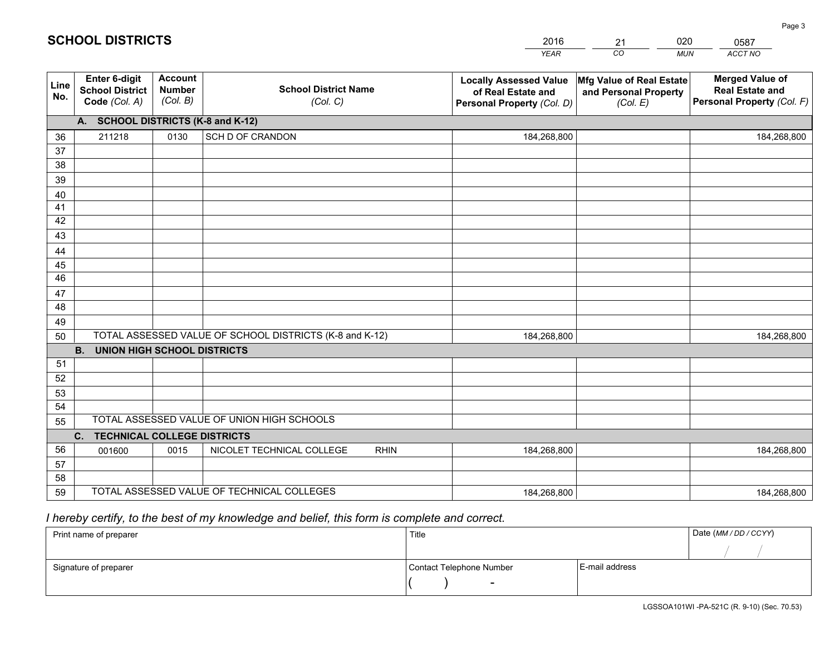|             |                                                          |                                             |                                                         | <b>YEAR</b>                                                                       | CO<br><b>MUN</b>                                              | ACCT NO                                                                        |
|-------------|----------------------------------------------------------|---------------------------------------------|---------------------------------------------------------|-----------------------------------------------------------------------------------|---------------------------------------------------------------|--------------------------------------------------------------------------------|
| Line<br>No. | Enter 6-digit<br><b>School District</b><br>Code (Col. A) | <b>Account</b><br><b>Number</b><br>(Col. B) | <b>School District Name</b><br>(Col. C)                 | <b>Locally Assessed Value</b><br>of Real Estate and<br>Personal Property (Col. D) | Mfg Value of Real Estate<br>and Personal Property<br>(Col. E) | <b>Merged Value of</b><br><b>Real Estate and</b><br>Personal Property (Col. F) |
|             | A. SCHOOL DISTRICTS (K-8 and K-12)                       |                                             |                                                         |                                                                                   |                                                               |                                                                                |
| 36          | 211218                                                   | 0130                                        | SCH D OF CRANDON                                        | 184,268,800                                                                       |                                                               | 184,268,800                                                                    |
| 37          |                                                          |                                             |                                                         |                                                                                   |                                                               |                                                                                |
| 38          |                                                          |                                             |                                                         |                                                                                   |                                                               |                                                                                |
| 39          |                                                          |                                             |                                                         |                                                                                   |                                                               |                                                                                |
| 40          |                                                          |                                             |                                                         |                                                                                   |                                                               |                                                                                |
| 41          |                                                          |                                             |                                                         |                                                                                   |                                                               |                                                                                |
| 42          |                                                          |                                             |                                                         |                                                                                   |                                                               |                                                                                |
| 43          |                                                          |                                             |                                                         |                                                                                   |                                                               |                                                                                |
| 44<br>45    |                                                          |                                             |                                                         |                                                                                   |                                                               |                                                                                |
| 46          |                                                          |                                             |                                                         |                                                                                   |                                                               |                                                                                |
| 47          |                                                          |                                             |                                                         |                                                                                   |                                                               |                                                                                |
| 48          |                                                          |                                             |                                                         |                                                                                   |                                                               |                                                                                |
| 49          |                                                          |                                             |                                                         |                                                                                   |                                                               |                                                                                |
| 50          |                                                          |                                             | TOTAL ASSESSED VALUE OF SCHOOL DISTRICTS (K-8 and K-12) | 184,268,800                                                                       |                                                               | 184,268,800                                                                    |
|             | <b>B.</b><br><b>UNION HIGH SCHOOL DISTRICTS</b>          |                                             |                                                         |                                                                                   |                                                               |                                                                                |
| 51          |                                                          |                                             |                                                         |                                                                                   |                                                               |                                                                                |
| 52          |                                                          |                                             |                                                         |                                                                                   |                                                               |                                                                                |
| 53          |                                                          |                                             |                                                         |                                                                                   |                                                               |                                                                                |
| 54          |                                                          |                                             |                                                         |                                                                                   |                                                               |                                                                                |
| 55          |                                                          |                                             | TOTAL ASSESSED VALUE OF UNION HIGH SCHOOLS              |                                                                                   |                                                               |                                                                                |
|             | $C_{1}$<br><b>TECHNICAL COLLEGE DISTRICTS</b>            |                                             |                                                         |                                                                                   |                                                               |                                                                                |
| 56          | 001600                                                   | 0015                                        | NICOLET TECHNICAL COLLEGE<br><b>RHIN</b>                | 184,268,800                                                                       |                                                               | 184,268,800                                                                    |
| 57          |                                                          |                                             |                                                         |                                                                                   |                                                               |                                                                                |
| 58          |                                                          |                                             |                                                         |                                                                                   |                                                               |                                                                                |
| 59          |                                                          |                                             | TOTAL ASSESSED VALUE OF TECHNICAL COLLEGES              | 184,268,800                                                                       |                                                               | 184,268,800                                                                    |

21

020

 *I hereby certify, to the best of my knowledge and belief, this form is complete and correct.*

**SCHOOL DISTRICTS**

| Print name of preparer | Title                    |                | Date (MM / DD / CCYY) |
|------------------------|--------------------------|----------------|-----------------------|
|                        |                          |                |                       |
| Signature of preparer  | Contact Telephone Number | E-mail address |                       |
|                        | $\sim$                   |                |                       |

0587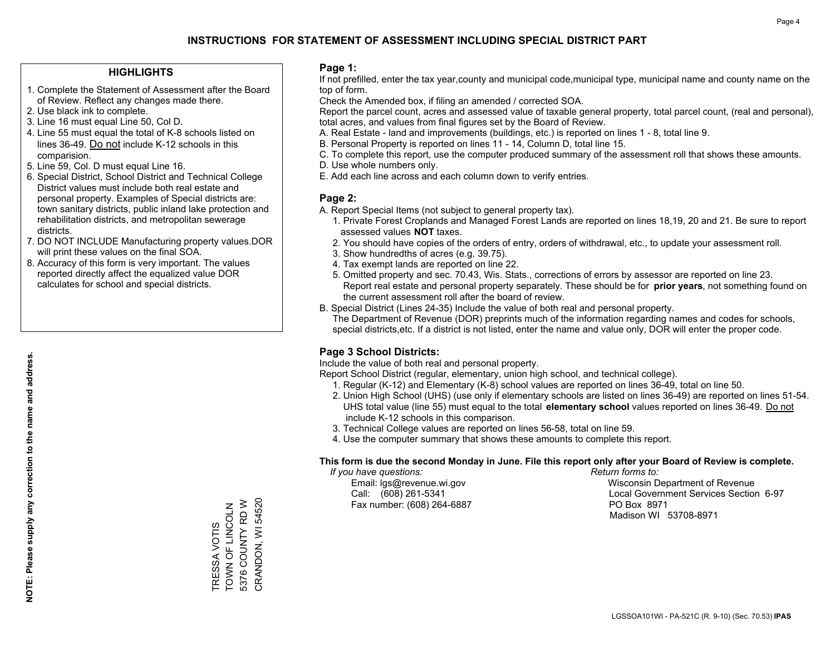### **HIGHLIGHTS**

- 1. Complete the Statement of Assessment after the Board of Review. Reflect any changes made there.
- 2. Use black ink to complete.
- 3. Line 16 must equal Line 50, Col D.
- 4. Line 55 must equal the total of K-8 schools listed on lines 36-49. Do not include K-12 schools in this comparision.
- 5. Line 59, Col. D must equal Line 16.
- 6. Special District, School District and Technical College District values must include both real estate and personal property. Examples of Special districts are: town sanitary districts, public inland lake protection and rehabilitation districts, and metropolitan sewerage districts.
- 7. DO NOT INCLUDE Manufacturing property values.DOR will print these values on the final SOA.
- 8. Accuracy of this form is very important. The values reported directly affect the equalized value DOR calculates for school and special districts.

### **Page 1:**

 If not prefilled, enter the tax year,county and municipal code,municipal type, municipal name and county name on the top of form.

Check the Amended box, if filing an amended / corrected SOA.

 Report the parcel count, acres and assessed value of taxable general property, total parcel count, (real and personal), total acres, and values from final figures set by the Board of Review.

- A. Real Estate land and improvements (buildings, etc.) is reported on lines 1 8, total line 9.
- B. Personal Property is reported on lines 11 14, Column D, total line 15.
- C. To complete this report, use the computer produced summary of the assessment roll that shows these amounts.
- D. Use whole numbers only.
- E. Add each line across and each column down to verify entries.

### **Page 2:**

- A. Report Special Items (not subject to general property tax).
- 1. Private Forest Croplands and Managed Forest Lands are reported on lines 18,19, 20 and 21. Be sure to report assessed values **NOT** taxes.
- 2. You should have copies of the orders of entry, orders of withdrawal, etc., to update your assessment roll.
	- 3. Show hundredths of acres (e.g. 39.75).
- 4. Tax exempt lands are reported on line 22.
- 5. Omitted property and sec. 70.43, Wis. Stats., corrections of errors by assessor are reported on line 23. Report real estate and personal property separately. These should be for **prior years**, not something found on the current assessment roll after the board of review.
- B. Special District (Lines 24-35) Include the value of both real and personal property.
- The Department of Revenue (DOR) preprints much of the information regarding names and codes for schools, special districts,etc. If a district is not listed, enter the name and value only, DOR will enter the proper code.

### **Page 3 School Districts:**

Include the value of both real and personal property.

Report School District (regular, elementary, union high school, and technical college).

- 1. Regular (K-12) and Elementary (K-8) school values are reported on lines 36-49, total on line 50.
- 2. Union High School (UHS) (use only if elementary schools are listed on lines 36-49) are reported on lines 51-54. UHS total value (line 55) must equal to the total **elementary school** values reported on lines 36-49. Do notinclude K-12 schools in this comparison.
- 3. Technical College values are reported on lines 56-58, total on line 59.
- 4. Use the computer summary that shows these amounts to complete this report.

#### **This form is due the second Monday in June. File this report only after your Board of Review is complete.**

 *If you have questions: Return forms to:*

Fax number: (608) 264-6887 PO Box 8971

 Email: lgs@revenue.wi.gov Wisconsin Department of Revenue Call: (608) 261-5341 Local Government Services Section 6-97Madison WI 53708-8971

CRANDON, WI 54520 CRANDON, WI 54520 5376 COUNTY RD W 5376 COUNTY RD W TRESSA VOTIS<br>TOWN OF LINCOLN TOWN OF LINCOLN TRESSA VOTIS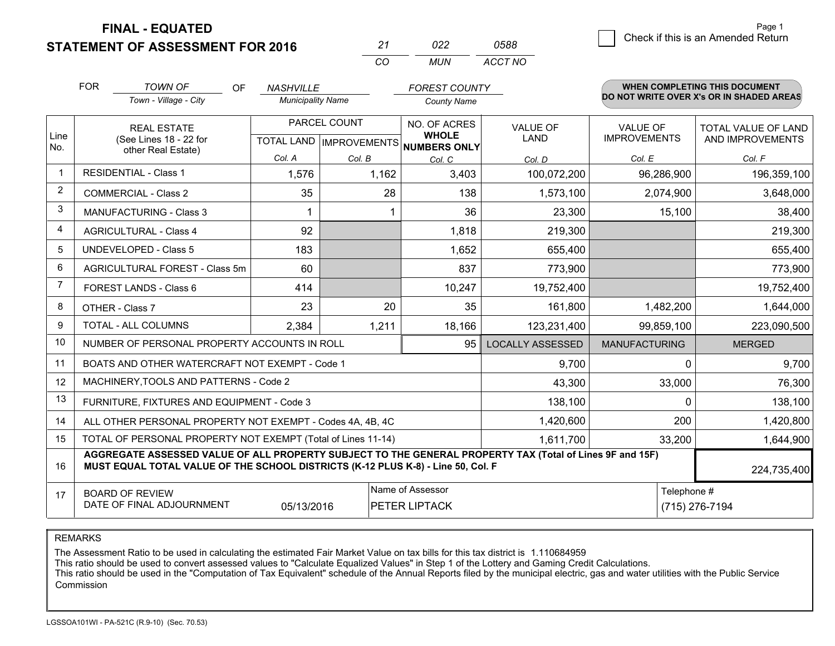**STATEMENT OF ASSESSMENT FOR 2016** 

| 27       | פפח   | 0588    |
|----------|-------|---------|
| $\cdots$ | MI IN | ACCT NO |

|                | <b>FOR</b>                                                                                                                                                                                   | <b>TOWN OF</b><br>OF.                                        | <b>NASHVILLE</b>         |              | <b>FOREST COUNTY</b>                 |                         |                      | <b>WHEN COMPLETING THIS DOCUMENT</b><br>DO NOT WRITE OVER X's OR IN SHADED AREAS |
|----------------|----------------------------------------------------------------------------------------------------------------------------------------------------------------------------------------------|--------------------------------------------------------------|--------------------------|--------------|--------------------------------------|-------------------------|----------------------|----------------------------------------------------------------------------------|
|                |                                                                                                                                                                                              | Town - Village - City                                        | <b>Municipality Name</b> |              | <b>County Name</b>                   |                         |                      |                                                                                  |
|                |                                                                                                                                                                                              | <b>REAL ESTATE</b>                                           |                          | PARCEL COUNT | NO. OF ACRES<br><b>WHOLE</b>         | <b>VALUE OF</b>         | <b>VALUE OF</b>      | TOTAL VALUE OF LAND                                                              |
| Line<br>No.    |                                                                                                                                                                                              | (See Lines 18 - 22 for<br>other Real Estate)                 |                          |              | TOTAL LAND IMPROVEMENTS NUMBERS ONLY | <b>LAND</b>             | <b>IMPROVEMENTS</b>  | AND IMPROVEMENTS                                                                 |
|                |                                                                                                                                                                                              |                                                              | Col. A                   | Col. B       | Col. C                               | Col. D                  | Col. E               | Col. F                                                                           |
| -1             |                                                                                                                                                                                              | <b>RESIDENTIAL - Class 1</b>                                 | 1,576                    | 1,162        | 3,403                                | 100,072,200             | 96,286,900           | 196,359,100                                                                      |
| 2              |                                                                                                                                                                                              | <b>COMMERCIAL - Class 2</b>                                  | 35                       | 28           | 138                                  | 1,573,100               | 2,074,900            | 3,648,000                                                                        |
| 3              |                                                                                                                                                                                              | <b>MANUFACTURING - Class 3</b>                               |                          |              | 36                                   | 23,300                  | 15,100               | 38,400                                                                           |
| 4              |                                                                                                                                                                                              | <b>AGRICULTURAL - Class 4</b>                                | 92                       |              | 1,818                                | 219,300                 |                      | 219,300                                                                          |
| 5              |                                                                                                                                                                                              | <b>UNDEVELOPED - Class 5</b>                                 | 183                      |              | 1,652                                | 655,400                 |                      | 655,400                                                                          |
| 6              |                                                                                                                                                                                              | AGRICULTURAL FOREST - Class 5m                               | 60                       |              | 837                                  | 773,900                 |                      | 773,900                                                                          |
| $\overline{7}$ |                                                                                                                                                                                              | FOREST LANDS - Class 6                                       | 414                      |              | 10,247                               | 19,752,400              |                      | 19,752,400                                                                       |
| 8              |                                                                                                                                                                                              | OTHER - Class 7                                              | 23                       | 20           | 35                                   | 161,800                 | 1,482,200            | 1,644,000                                                                        |
| 9              |                                                                                                                                                                                              | TOTAL - ALL COLUMNS                                          | 2,384                    | 1,211        | 18,166                               | 123,231,400             | 99,859,100           | 223,090,500                                                                      |
| 10             |                                                                                                                                                                                              | NUMBER OF PERSONAL PROPERTY ACCOUNTS IN ROLL                 |                          |              | 95                                   | <b>LOCALLY ASSESSED</b> | <b>MANUFACTURING</b> | <b>MERGED</b>                                                                    |
| 11             |                                                                                                                                                                                              | BOATS AND OTHER WATERCRAFT NOT EXEMPT - Code 1               |                          |              |                                      | 9,700                   | 0                    | 9,700                                                                            |
| 12             |                                                                                                                                                                                              | MACHINERY, TOOLS AND PATTERNS - Code 2                       |                          |              |                                      | 43,300                  | 33,000               | 76,300                                                                           |
| 13             |                                                                                                                                                                                              | FURNITURE, FIXTURES AND EQUIPMENT - Code 3                   |                          |              |                                      | 138,100                 | 0                    | 138,100                                                                          |
| 14             |                                                                                                                                                                                              | ALL OTHER PERSONAL PROPERTY NOT EXEMPT - Codes 4A, 4B, 4C    |                          |              |                                      | 1,420,600               | 200                  | 1,420,800                                                                        |
| 15             |                                                                                                                                                                                              | TOTAL OF PERSONAL PROPERTY NOT EXEMPT (Total of Lines 11-14) |                          |              | 1,611,700                            | 33,200                  | 1,644,900            |                                                                                  |
| 16             | AGGREGATE ASSESSED VALUE OF ALL PROPERTY SUBJECT TO THE GENERAL PROPERTY TAX (Total of Lines 9F and 15F)<br>MUST EQUAL TOTAL VALUE OF THE SCHOOL DISTRICTS (K-12 PLUS K-8) - Line 50, Col. F |                                                              |                          |              |                                      |                         |                      | 224,735,400                                                                      |
| 17             |                                                                                                                                                                                              | <b>BOARD OF REVIEW</b>                                       |                          |              | Name of Assessor                     |                         | Telephone #          |                                                                                  |
|                |                                                                                                                                                                                              | DATE OF FINAL ADJOURNMENT                                    | 05/13/2016               |              | PETER LIPTACK                        |                         |                      | (715) 276-7194                                                                   |

REMARKS

The Assessment Ratio to be used in calculating the estimated Fair Market Value on tax bills for this tax district is 1.110684959

This ratio should be used to convert assessed values to "Calculate Equalized Values" in Step 1 of the Lottery and Gaming Credit Calculations.<br>This ratio should be used in the "Computation of Tax Equivalent" schedule of the Commission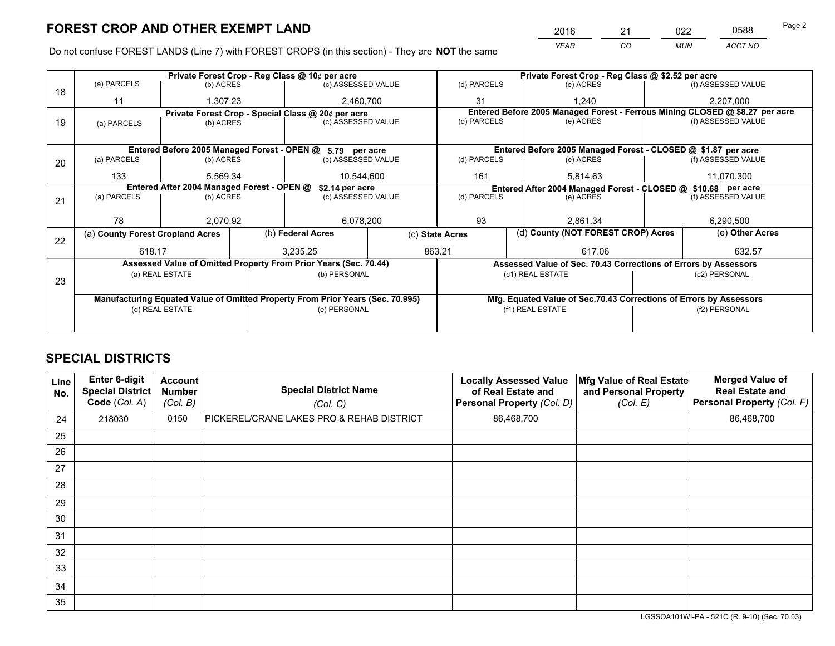*YEAR CO MUN ACCT NO* <sup>2016</sup> <sup>21</sup> <sup>022</sup> <sup>0588</sup> Page 2

Do not confuse FOREST LANDS (Line 7) with FOREST CROPS (in this section) - They are **NOT** the same

|    |                                  |           |                                                               | Private Forest Crop - Reg Class @ 10¢ per acre                                 |                  | Private Forest Crop - Reg Class @ \$2.52 per acre                        |                                                                 |                    |                                                                              |                                                                    |
|----|----------------------------------|-----------|---------------------------------------------------------------|--------------------------------------------------------------------------------|------------------|--------------------------------------------------------------------------|-----------------------------------------------------------------|--------------------|------------------------------------------------------------------------------|--------------------------------------------------------------------|
| 18 | (a) PARCELS                      | (b) ACRES |                                                               | (c) ASSESSED VALUE                                                             |                  | (d) PARCELS                                                              | (e) ACRES                                                       |                    |                                                                              | (f) ASSESSED VALUE                                                 |
|    | 11                               | 1,307.23  |                                                               | 2,460,700                                                                      |                  | 31                                                                       | 1.240                                                           |                    |                                                                              | 2,207,000                                                          |
|    |                                  |           |                                                               | Private Forest Crop - Special Class @ 20¢ per acre                             |                  |                                                                          |                                                                 |                    | Entered Before 2005 Managed Forest - Ferrous Mining CLOSED @ \$8.27 per acre |                                                                    |
| 19 | (a) PARCELS                      | (b) ACRES |                                                               | (c) ASSESSED VALUE                                                             |                  | (d) PARCELS                                                              | (e) ACRES                                                       |                    |                                                                              | (f) ASSESSED VALUE                                                 |
|    |                                  |           |                                                               |                                                                                |                  |                                                                          |                                                                 |                    |                                                                              |                                                                    |
|    |                                  |           |                                                               | Entered Before 2005 Managed Forest - OPEN @ \$.79 per acre                     |                  |                                                                          | Entered Before 2005 Managed Forest - CLOSED @ \$1.87 per acre   |                    |                                                                              |                                                                    |
| 20 | (a) PARCELS                      | (b) ACRES |                                                               | (c) ASSESSED VALUE                                                             |                  | (d) PARCELS                                                              | (e) ACRES                                                       |                    |                                                                              | (f) ASSESSED VALUE                                                 |
|    | 133                              | 5,569.34  |                                                               | 10,544,600                                                                     |                  | 161                                                                      | 5.814.63                                                        |                    |                                                                              | 11,070,300                                                         |
|    |                                  |           | Entered After 2004 Managed Forest - OPEN @<br>\$2.14 per acre |                                                                                |                  |                                                                          | Entered After 2004 Managed Forest - CLOSED @ \$10.68 per acre   |                    |                                                                              |                                                                    |
| 21 | (a) PARCELS                      | (b) ACRES |                                                               | (c) ASSESSED VALUE                                                             |                  | (d) PARCELS<br>(e) ACRES                                                 |                                                                 | (f) ASSESSED VALUE |                                                                              |                                                                    |
|    |                                  |           |                                                               |                                                                                |                  |                                                                          |                                                                 |                    |                                                                              |                                                                    |
|    | 78                               | 2.070.92  |                                                               | 6,078,200                                                                      |                  | 93<br>2.861.34                                                           |                                                                 |                    | 6,290,500                                                                    |                                                                    |
| 22 | (a) County Forest Cropland Acres |           |                                                               | (b) Federal Acres                                                              |                  | (d) County (NOT FOREST CROP) Acres<br>(e) Other Acres<br>(c) State Acres |                                                                 |                    |                                                                              |                                                                    |
|    | 618.17                           |           |                                                               | 3,235.25                                                                       |                  | 863.21<br>617.06                                                         |                                                                 |                    |                                                                              | 632.57                                                             |
|    |                                  |           |                                                               | Assessed Value of Omitted Property From Prior Years (Sec. 70.44)               |                  |                                                                          | Assessed Value of Sec. 70.43 Corrections of Errors by Assessors |                    |                                                                              |                                                                    |
|    | (a) REAL ESTATE                  |           |                                                               | (b) PERSONAL                                                                   |                  |                                                                          | (c1) REAL ESTATE                                                |                    |                                                                              | (c2) PERSONAL                                                      |
| 23 |                                  |           |                                                               |                                                                                |                  |                                                                          |                                                                 |                    |                                                                              |                                                                    |
|    |                                  |           |                                                               | Manufacturing Equated Value of Omitted Property From Prior Years (Sec. 70.995) |                  |                                                                          |                                                                 |                    |                                                                              | Mfg. Equated Value of Sec.70.43 Corrections of Errors by Assessors |
|    | (e) PERSONAL<br>(d) REAL ESTATE  |           |                                                               |                                                                                | (f1) REAL ESTATE |                                                                          |                                                                 | (f2) PERSONAL      |                                                                              |                                                                    |
|    |                                  |           |                                                               |                                                                                |                  |                                                                          |                                                                 |                    |                                                                              |                                                                    |

# **SPECIAL DISTRICTS**

| Line<br>No. | Enter 6-digit<br>Special District<br>Code (Col. A) | <b>Account</b><br><b>Number</b><br>(Col. B) | <b>Special District Name</b><br>(Col. C)  | <b>Locally Assessed Value</b><br>of Real Estate and<br>Personal Property (Col. D) | Mfg Value of Real Estate<br>and Personal Property<br>(Col. E) | <b>Merged Value of</b><br><b>Real Estate and</b><br>Personal Property (Col. F) |
|-------------|----------------------------------------------------|---------------------------------------------|-------------------------------------------|-----------------------------------------------------------------------------------|---------------------------------------------------------------|--------------------------------------------------------------------------------|
| 24          | 218030                                             | 0150                                        | PICKEREL/CRANE LAKES PRO & REHAB DISTRICT | 86,468,700                                                                        |                                                               | 86,468,700                                                                     |
| 25          |                                                    |                                             |                                           |                                                                                   |                                                               |                                                                                |
| 26          |                                                    |                                             |                                           |                                                                                   |                                                               |                                                                                |
| 27          |                                                    |                                             |                                           |                                                                                   |                                                               |                                                                                |
| 28          |                                                    |                                             |                                           |                                                                                   |                                                               |                                                                                |
| 29          |                                                    |                                             |                                           |                                                                                   |                                                               |                                                                                |
| 30          |                                                    |                                             |                                           |                                                                                   |                                                               |                                                                                |
| 31          |                                                    |                                             |                                           |                                                                                   |                                                               |                                                                                |
| 32          |                                                    |                                             |                                           |                                                                                   |                                                               |                                                                                |
| 33          |                                                    |                                             |                                           |                                                                                   |                                                               |                                                                                |
| 34          |                                                    |                                             |                                           |                                                                                   |                                                               |                                                                                |
| 35          |                                                    |                                             |                                           |                                                                                   |                                                               |                                                                                |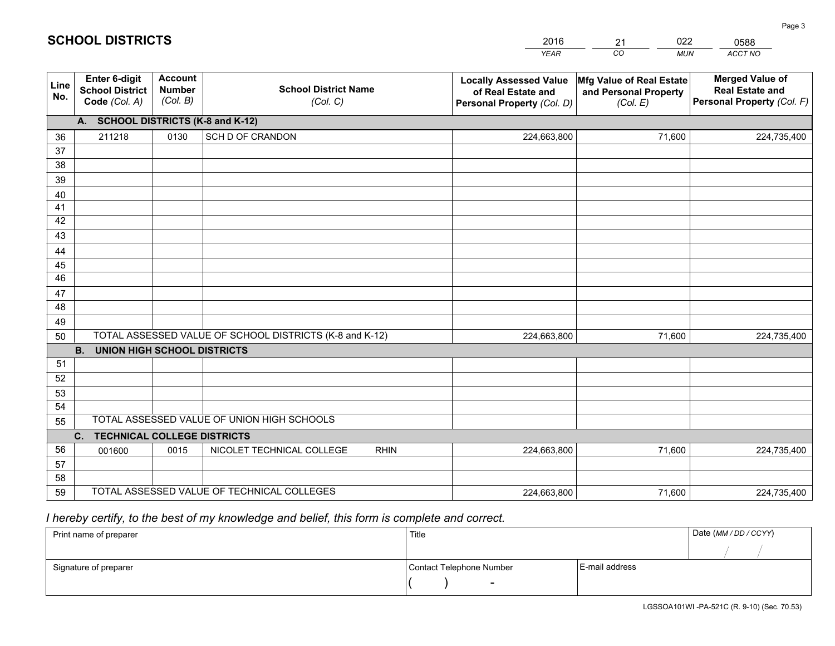|                 |                                                                 |                                             |                                                         | <b>YEAR</b>                                                                       | CO<br><b>MUN</b>                                              | ACCT NO                                                                        |
|-----------------|-----------------------------------------------------------------|---------------------------------------------|---------------------------------------------------------|-----------------------------------------------------------------------------------|---------------------------------------------------------------|--------------------------------------------------------------------------------|
| Line<br>No.     | <b>Enter 6-digit</b><br><b>School District</b><br>Code (Col. A) | <b>Account</b><br><b>Number</b><br>(Col. B) | <b>School District Name</b><br>(Col. C)                 | <b>Locally Assessed Value</b><br>of Real Estate and<br>Personal Property (Col. D) | Mfg Value of Real Estate<br>and Personal Property<br>(Col. E) | <b>Merged Value of</b><br><b>Real Estate and</b><br>Personal Property (Col. F) |
|                 | A. SCHOOL DISTRICTS (K-8 and K-12)                              |                                             |                                                         |                                                                                   |                                                               |                                                                                |
| 36              | 211218                                                          | 0130                                        | SCH D OF CRANDON                                        | 224,663,800                                                                       | 71,600                                                        | 224,735,400                                                                    |
| 37              |                                                                 |                                             |                                                         |                                                                                   |                                                               |                                                                                |
| 38              |                                                                 |                                             |                                                         |                                                                                   |                                                               |                                                                                |
| 39              |                                                                 |                                             |                                                         |                                                                                   |                                                               |                                                                                |
| 40              |                                                                 |                                             |                                                         |                                                                                   |                                                               |                                                                                |
| 41              |                                                                 |                                             |                                                         |                                                                                   |                                                               |                                                                                |
| 42<br>43        |                                                                 |                                             |                                                         |                                                                                   |                                                               |                                                                                |
| 44              |                                                                 |                                             |                                                         |                                                                                   |                                                               |                                                                                |
| 45              |                                                                 |                                             |                                                         |                                                                                   |                                                               |                                                                                |
| $\overline{46}$ |                                                                 |                                             |                                                         |                                                                                   |                                                               |                                                                                |
| 47              |                                                                 |                                             |                                                         |                                                                                   |                                                               |                                                                                |
| 48              |                                                                 |                                             |                                                         |                                                                                   |                                                               |                                                                                |
| 49              |                                                                 |                                             |                                                         |                                                                                   |                                                               |                                                                                |
| 50              |                                                                 |                                             | TOTAL ASSESSED VALUE OF SCHOOL DISTRICTS (K-8 and K-12) | 224,663,800                                                                       | 71,600                                                        | 224,735,400                                                                    |
|                 | <b>B.</b><br><b>UNION HIGH SCHOOL DISTRICTS</b>                 |                                             |                                                         |                                                                                   |                                                               |                                                                                |
| 51              |                                                                 |                                             |                                                         |                                                                                   |                                                               |                                                                                |
| 52              |                                                                 |                                             |                                                         |                                                                                   |                                                               |                                                                                |
| 53              |                                                                 |                                             |                                                         |                                                                                   |                                                               |                                                                                |
| 54              |                                                                 |                                             |                                                         |                                                                                   |                                                               |                                                                                |
| 55              |                                                                 |                                             | TOTAL ASSESSED VALUE OF UNION HIGH SCHOOLS              |                                                                                   |                                                               |                                                                                |
|                 | C.<br><b>TECHNICAL COLLEGE DISTRICTS</b>                        |                                             |                                                         |                                                                                   |                                                               |                                                                                |
| 56              | 001600                                                          | 0015                                        | NICOLET TECHNICAL COLLEGE<br><b>RHIN</b>                | 224,663,800                                                                       | 71,600                                                        | 224,735,400                                                                    |
| 57<br>58        |                                                                 |                                             |                                                         |                                                                                   |                                                               |                                                                                |
| 59              |                                                                 |                                             | TOTAL ASSESSED VALUE OF TECHNICAL COLLEGES              | 224,663,800                                                                       | 71,600                                                        | 224,735,400                                                                    |
|                 |                                                                 |                                             |                                                         |                                                                                   |                                                               |                                                                                |

21

022

 *I hereby certify, to the best of my knowledge and belief, this form is complete and correct.*

**SCHOOL DISTRICTS**

| Print name of preparer | Title                    |                | Date (MM / DD / CCYY) |
|------------------------|--------------------------|----------------|-----------------------|
|                        |                          |                |                       |
| Signature of preparer  | Contact Telephone Number | E-mail address |                       |
|                        | $\sim$                   |                |                       |

0588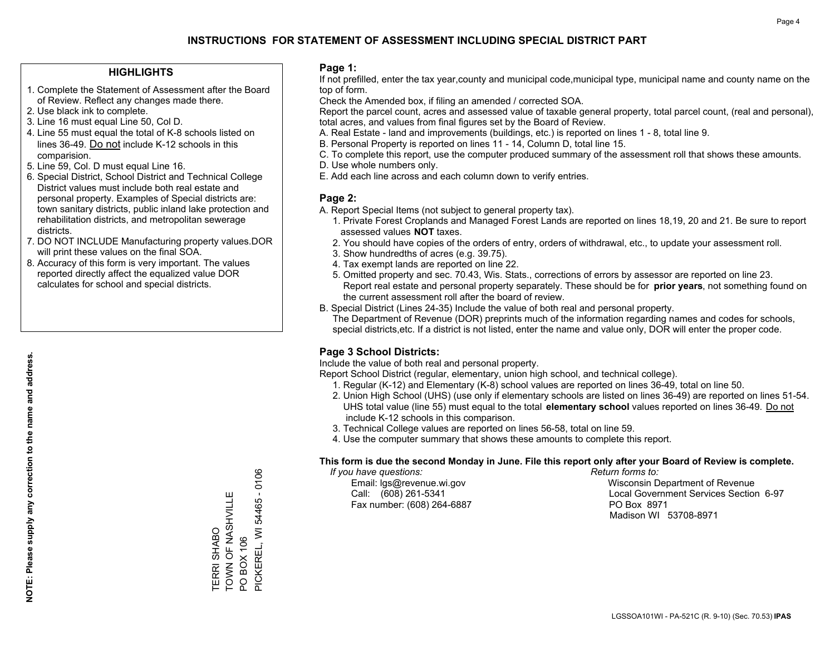### **HIGHLIGHTS**

- 1. Complete the Statement of Assessment after the Board of Review. Reflect any changes made there.
- 2. Use black ink to complete.
- 3. Line 16 must equal Line 50, Col D.
- 4. Line 55 must equal the total of K-8 schools listed on lines 36-49. Do not include K-12 schools in this comparision.
- 5. Line 59, Col. D must equal Line 16.
- 6. Special District, School District and Technical College District values must include both real estate and personal property. Examples of Special districts are: town sanitary districts, public inland lake protection and rehabilitation districts, and metropolitan sewerage districts.
- 7. DO NOT INCLUDE Manufacturing property values.DOR will print these values on the final SOA.

TERRI SHABO

TOWN OF NASHVILLE

TERRI SHABO<br>TOWN OF NASHVILLE

PO BOX 106

PO BOX 106

PICKEREL, WI 54465 - 0106

PICKEREL, WI 54465 - 0106

 8. Accuracy of this form is very important. The values reported directly affect the equalized value DOR calculates for school and special districts.

### **Page 1:**

 If not prefilled, enter the tax year,county and municipal code,municipal type, municipal name and county name on the top of form.

Check the Amended box, if filing an amended / corrected SOA.

 Report the parcel count, acres and assessed value of taxable general property, total parcel count, (real and personal), total acres, and values from final figures set by the Board of Review.

- A. Real Estate land and improvements (buildings, etc.) is reported on lines 1 8, total line 9.
- B. Personal Property is reported on lines 11 14, Column D, total line 15.
- C. To complete this report, use the computer produced summary of the assessment roll that shows these amounts.
- D. Use whole numbers only.
- E. Add each line across and each column down to verify entries.

### **Page 2:**

- A. Report Special Items (not subject to general property tax).
- 1. Private Forest Croplands and Managed Forest Lands are reported on lines 18,19, 20 and 21. Be sure to report assessed values **NOT** taxes.
- 2. You should have copies of the orders of entry, orders of withdrawal, etc., to update your assessment roll.
	- 3. Show hundredths of acres (e.g. 39.75).
- 4. Tax exempt lands are reported on line 22.
- 5. Omitted property and sec. 70.43, Wis. Stats., corrections of errors by assessor are reported on line 23. Report real estate and personal property separately. These should be for **prior years**, not something found on the current assessment roll after the board of review.
- B. Special District (Lines 24-35) Include the value of both real and personal property.
- The Department of Revenue (DOR) preprints much of the information regarding names and codes for schools, special districts,etc. If a district is not listed, enter the name and value only, DOR will enter the proper code.

### **Page 3 School Districts:**

Include the value of both real and personal property.

Report School District (regular, elementary, union high school, and technical college).

- 1. Regular (K-12) and Elementary (K-8) school values are reported on lines 36-49, total on line 50.
- 2. Union High School (UHS) (use only if elementary schools are listed on lines 36-49) are reported on lines 51-54. UHS total value (line 55) must equal to the total **elementary school** values reported on lines 36-49. Do notinclude K-12 schools in this comparison.
- 3. Technical College values are reported on lines 56-58, total on line 59.
- 4. Use the computer summary that shows these amounts to complete this report.

#### **This form is due the second Monday in June. File this report only after your Board of Review is complete.**

 *If you have questions: Return forms to:*

Fax number: (608) 264-6887 PO Box 8971

 Email: lgs@revenue.wi.gov Wisconsin Department of Revenue Call: (608) 261-5341 Local Government Services Section 6-97Madison WI 53708-8971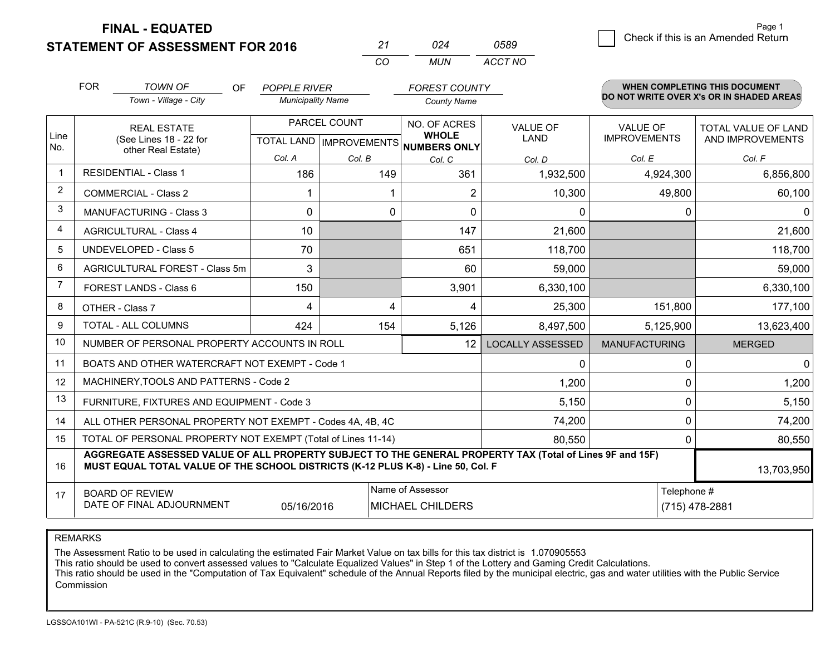**STATEMENT OF ASSESSMENT FOR 2016 FINAL - EQUATED**

g **Check if this is an Amended Return** Page 1

|                | <b>FOR</b>                              | <b>TOWN OF</b><br>OF                                                                                                                                                                         | <b>POPPLE RIVER</b>      |              | <b>FOREST COUNTY</b>                 |                         |                      | <b>WHEN COMPLETING THIS DOCUMENT</b><br>DO NOT WRITE OVER X's OR IN SHADED AREAS |  |
|----------------|-----------------------------------------|----------------------------------------------------------------------------------------------------------------------------------------------------------------------------------------------|--------------------------|--------------|--------------------------------------|-------------------------|----------------------|----------------------------------------------------------------------------------|--|
|                |                                         | Town - Village - City                                                                                                                                                                        | <b>Municipality Name</b> |              | <b>County Name</b>                   |                         |                      |                                                                                  |  |
|                |                                         | <b>REAL ESTATE</b>                                                                                                                                                                           |                          | PARCEL COUNT | NO. OF ACRES<br><b>WHOLE</b>         | <b>VALUE OF</b>         | <b>VALUE OF</b>      | TOTAL VALUE OF LAND                                                              |  |
| Line<br>No.    |                                         | (See Lines 18 - 22 for<br>other Real Estate)                                                                                                                                                 |                          |              | TOTAL LAND IMPROVEMENTS NUMBERS ONLY | <b>LAND</b>             | <b>IMPROVEMENTS</b>  | AND IMPROVEMENTS                                                                 |  |
|                |                                         |                                                                                                                                                                                              | Col. A                   | Col. B       | Col. C                               | Col. D                  | Col. E               | Col. F                                                                           |  |
| $\mathbf 1$    |                                         | <b>RESIDENTIAL - Class 1</b>                                                                                                                                                                 | 186                      | 149          | 361                                  | 1,932,500               | 4,924,300            | 6,856,800                                                                        |  |
| $\overline{2}$ |                                         | <b>COMMERCIAL - Class 2</b>                                                                                                                                                                  | 1                        |              | 2                                    | 10,300                  | 49,800               | 60,100                                                                           |  |
| 3              |                                         | <b>MANUFACTURING - Class 3</b>                                                                                                                                                               | 0                        | $\mathbf 0$  | $\Omega$                             | 0                       | 0                    | $\mathbf{0}$                                                                     |  |
| 4              |                                         | <b>AGRICULTURAL - Class 4</b>                                                                                                                                                                | 10                       |              | 147                                  | 21,600                  |                      | 21,600                                                                           |  |
| 5              |                                         | <b>UNDEVELOPED - Class 5</b>                                                                                                                                                                 | 70                       |              | 651                                  | 118,700                 |                      | 118,700                                                                          |  |
| 6              |                                         | AGRICULTURAL FOREST - Class 5m                                                                                                                                                               | 3                        |              | 60                                   | 59,000                  |                      | 59,000                                                                           |  |
| 7              |                                         | <b>FOREST LANDS - Class 6</b>                                                                                                                                                                | 150                      |              | 3,901                                | 6,330,100               |                      | 6,330,100                                                                        |  |
| 8              |                                         | OTHER - Class 7                                                                                                                                                                              | 4                        | 4            | 4                                    | 25,300                  | 151,800              | 177,100                                                                          |  |
| 9              |                                         | <b>TOTAL - ALL COLUMNS</b>                                                                                                                                                                   | 424                      | 154          | 5,126                                | 8,497,500               | 5,125,900            | 13,623,400                                                                       |  |
| 10             |                                         | NUMBER OF PERSONAL PROPERTY ACCOUNTS IN ROLL                                                                                                                                                 |                          |              | 12                                   | <b>LOCALLY ASSESSED</b> | <b>MANUFACTURING</b> | <b>MERGED</b>                                                                    |  |
| 11             |                                         | BOATS AND OTHER WATERCRAFT NOT EXEMPT - Code 1                                                                                                                                               |                          |              |                                      | 0                       | $\Omega$             | $\mathbf{0}$                                                                     |  |
| 12             |                                         | MACHINERY, TOOLS AND PATTERNS - Code 2                                                                                                                                                       |                          |              |                                      | 1,200                   | 0                    | 1,200                                                                            |  |
| 13             |                                         | FURNITURE, FIXTURES AND EQUIPMENT - Code 3                                                                                                                                                   |                          |              |                                      | 5,150                   | 0                    | 5,150                                                                            |  |
| 14             |                                         | ALL OTHER PERSONAL PROPERTY NOT EXEMPT - Codes 4A, 4B, 4C                                                                                                                                    |                          |              |                                      | 74,200                  | $\Omega$             | 74,200                                                                           |  |
| 15             |                                         | TOTAL OF PERSONAL PROPERTY NOT EXEMPT (Total of Lines 11-14)                                                                                                                                 |                          |              |                                      | 80,550                  | $\mathbf{0}$         | 80,550                                                                           |  |
| 16             |                                         | AGGREGATE ASSESSED VALUE OF ALL PROPERTY SUBJECT TO THE GENERAL PROPERTY TAX (Total of Lines 9F and 15F)<br>MUST EQUAL TOTAL VALUE OF THE SCHOOL DISTRICTS (K-12 PLUS K-8) - Line 50, Col. F |                          |              |                                      |                         |                      | 13,703,950                                                                       |  |
| 17             |                                         | <b>BOARD OF REVIEW</b>                                                                                                                                                                       |                          |              | Name of Assessor                     |                         | Telephone #          |                                                                                  |  |
|                | DATE OF FINAL ADJOURNMENT<br>05/16/2016 |                                                                                                                                                                                              |                          |              | <b>MICHAEL CHILDERS</b>              |                         |                      | (715) 478-2881                                                                   |  |

*CO*

*MUN*

*ACCT NO0589*

*<sup>21</sup> <sup>024</sup>*

REMARKS

The Assessment Ratio to be used in calculating the estimated Fair Market Value on tax bills for this tax district is 1.070905553<br>This ratio should be used to convert assessed values to "Calculate Equalized Values" in Step Commission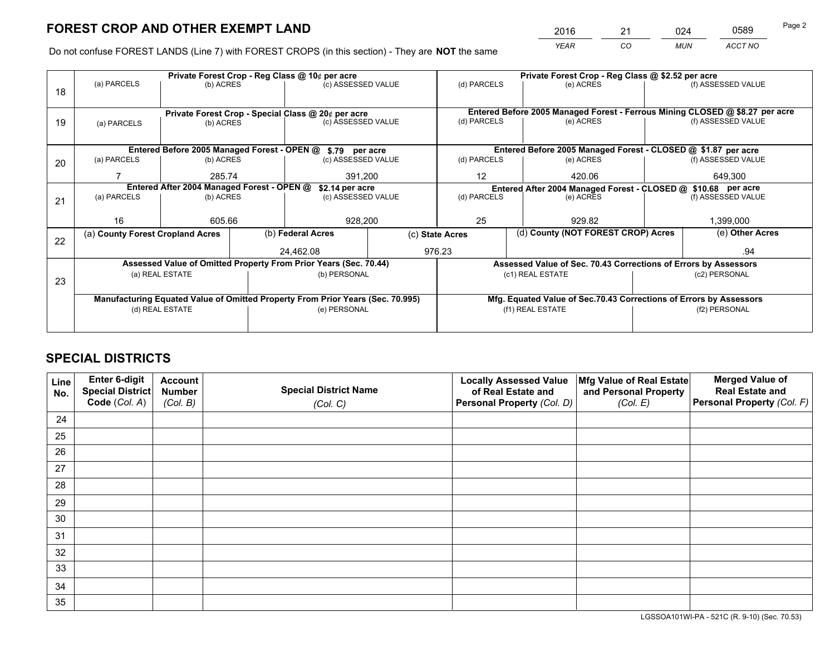*YEAR CO MUN ACCT NO* 2016 <u>21 024</u> 0589

Do not confuse FOREST LANDS (Line 7) with FOREST CROPS (in this section) - They are **NOT** the same

|    |                                                                                |                                                               |              | Private Forest Crop - Reg Class @ 10¢ per acre                   |                 | Private Forest Crop - Reg Class @ \$2.52 per acre                            |                                                                 |                    |                    |  |
|----|--------------------------------------------------------------------------------|---------------------------------------------------------------|--------------|------------------------------------------------------------------|-----------------|------------------------------------------------------------------------------|-----------------------------------------------------------------|--------------------|--------------------|--|
| 18 | (a) PARCELS                                                                    | (b) ACRES                                                     |              | (c) ASSESSED VALUE                                               |                 | (d) PARCELS                                                                  | (e) ACRES                                                       |                    | (f) ASSESSED VALUE |  |
|    |                                                                                |                                                               |              |                                                                  |                 |                                                                              |                                                                 |                    |                    |  |
|    |                                                                                | Private Forest Crop - Special Class @ 20¢ per acre            |              |                                                                  |                 | Entered Before 2005 Managed Forest - Ferrous Mining CLOSED @ \$8.27 per acre |                                                                 |                    |                    |  |
| 19 | (a) PARCELS                                                                    | (b) ACRES                                                     |              | (c) ASSESSED VALUE                                               |                 | (d) PARCELS                                                                  | (e) ACRES                                                       |                    | (f) ASSESSED VALUE |  |
|    |                                                                                |                                                               |              |                                                                  |                 |                                                                              |                                                                 |                    |                    |  |
|    |                                                                                |                                                               |              | Entered Before 2005 Managed Forest - OPEN @ \$.79 per acre       |                 |                                                                              | Entered Before 2005 Managed Forest - CLOSED @ \$1.87 per acre   |                    |                    |  |
| 20 | (a) PARCELS                                                                    | (b) ACRES                                                     |              | (c) ASSESSED VALUE                                               |                 | (d) PARCELS                                                                  | (e) ACRES                                                       |                    | (f) ASSESSED VALUE |  |
|    |                                                                                | 285.74                                                        |              | 391.200                                                          |                 | $12 \overline{ }$                                                            | 420.06                                                          |                    | 649.300            |  |
|    |                                                                                | Entered After 2004 Managed Forest - OPEN @<br>\$2.14 per acre |              |                                                                  |                 |                                                                              | Entered After 2004 Managed Forest - CLOSED @ \$10.68 per acre   |                    |                    |  |
| 21 | (a) PARCELS                                                                    | (b) ACRES                                                     |              | (c) ASSESSED VALUE                                               |                 | (d) PARCELS<br>(e) ACRES                                                     |                                                                 | (f) ASSESSED VALUE |                    |  |
|    |                                                                                |                                                               |              |                                                                  |                 |                                                                              |                                                                 |                    |                    |  |
|    | 16                                                                             | 605.66                                                        |              | 928,200                                                          |                 | 25<br>929.82                                                                 |                                                                 |                    | 1,399,000          |  |
| 22 | (a) County Forest Cropland Acres                                               |                                                               |              | (b) Federal Acres                                                | (c) State Acres |                                                                              | (d) County (NOT FOREST CROP) Acres                              |                    | (e) Other Acres    |  |
|    |                                                                                |                                                               |              | 24,462.08                                                        |                 | 976.23                                                                       |                                                                 |                    | .94                |  |
|    |                                                                                |                                                               |              | Assessed Value of Omitted Property From Prior Years (Sec. 70.44) |                 |                                                                              | Assessed Value of Sec. 70.43 Corrections of Errors by Assessors |                    |                    |  |
| 23 |                                                                                | (a) REAL ESTATE                                               |              | (b) PERSONAL                                                     |                 | (c1) REAL ESTATE                                                             |                                                                 |                    | (c2) PERSONAL      |  |
|    |                                                                                |                                                               |              |                                                                  |                 |                                                                              |                                                                 |                    |                    |  |
|    | Manufacturing Equated Value of Omitted Property From Prior Years (Sec. 70.995) |                                                               |              |                                                                  |                 | Mfg. Equated Value of Sec.70.43 Corrections of Errors by Assessors           |                                                                 |                    |                    |  |
|    | (d) REAL ESTATE                                                                |                                                               | (e) PERSONAL |                                                                  |                 | (f1) REAL ESTATE                                                             |                                                                 | (f2) PERSONAL      |                    |  |
|    |                                                                                |                                                               |              |                                                                  |                 |                                                                              |                                                                 |                    |                    |  |

# **SPECIAL DISTRICTS**

| Line<br>No. | Enter 6-digit<br>Special District<br>Code (Col. A) | <b>Account</b><br><b>Number</b> | <b>Special District Name</b> | <b>Locally Assessed Value</b><br>of Real Estate and | Mfg Value of Real Estate<br>and Personal Property | <b>Merged Value of</b><br><b>Real Estate and</b><br>Personal Property (Col. F) |
|-------------|----------------------------------------------------|---------------------------------|------------------------------|-----------------------------------------------------|---------------------------------------------------|--------------------------------------------------------------------------------|
|             |                                                    | (Col. B)                        | (Col. C)                     | Personal Property (Col. D)                          | (Col. E)                                          |                                                                                |
| 24          |                                                    |                                 |                              |                                                     |                                                   |                                                                                |
| 25          |                                                    |                                 |                              |                                                     |                                                   |                                                                                |
| 26          |                                                    |                                 |                              |                                                     |                                                   |                                                                                |
| 27          |                                                    |                                 |                              |                                                     |                                                   |                                                                                |
| 28          |                                                    |                                 |                              |                                                     |                                                   |                                                                                |
| 29          |                                                    |                                 |                              |                                                     |                                                   |                                                                                |
| 30          |                                                    |                                 |                              |                                                     |                                                   |                                                                                |
| 31          |                                                    |                                 |                              |                                                     |                                                   |                                                                                |
| 32          |                                                    |                                 |                              |                                                     |                                                   |                                                                                |
| 33          |                                                    |                                 |                              |                                                     |                                                   |                                                                                |
| 34          |                                                    |                                 |                              |                                                     |                                                   |                                                                                |
| 35          |                                                    |                                 |                              |                                                     |                                                   |                                                                                |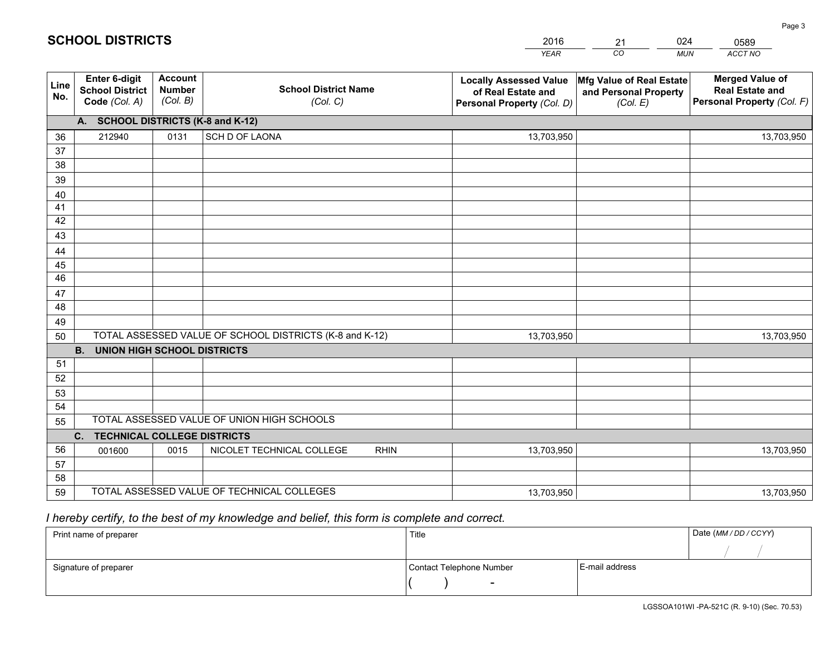|             |                                                          |                                             |                                                         | <b>YEAR</b>                                                                       | CO<br><b>MUN</b>                                              | ACCT NO                                                                        |
|-------------|----------------------------------------------------------|---------------------------------------------|---------------------------------------------------------|-----------------------------------------------------------------------------------|---------------------------------------------------------------|--------------------------------------------------------------------------------|
| Line<br>No. | Enter 6-digit<br><b>School District</b><br>Code (Col. A) | <b>Account</b><br><b>Number</b><br>(Col. B) | <b>School District Name</b><br>(Col. C)                 | <b>Locally Assessed Value</b><br>of Real Estate and<br>Personal Property (Col. D) | Mfg Value of Real Estate<br>and Personal Property<br>(Col. E) | <b>Merged Value of</b><br><b>Real Estate and</b><br>Personal Property (Col. F) |
|             | A. SCHOOL DISTRICTS (K-8 and K-12)                       |                                             |                                                         |                                                                                   |                                                               |                                                                                |
| 36          | 212940                                                   | 0131                                        | SCH D OF LAONA                                          | 13,703,950                                                                        |                                                               | 13,703,950                                                                     |
| 37          |                                                          |                                             |                                                         |                                                                                   |                                                               |                                                                                |
| 38          |                                                          |                                             |                                                         |                                                                                   |                                                               |                                                                                |
| 39          |                                                          |                                             |                                                         |                                                                                   |                                                               |                                                                                |
| 40          |                                                          |                                             |                                                         |                                                                                   |                                                               |                                                                                |
| 41          |                                                          |                                             |                                                         |                                                                                   |                                                               |                                                                                |
| 42          |                                                          |                                             |                                                         |                                                                                   |                                                               |                                                                                |
| 43          |                                                          |                                             |                                                         |                                                                                   |                                                               |                                                                                |
| 44<br>45    |                                                          |                                             |                                                         |                                                                                   |                                                               |                                                                                |
| 46          |                                                          |                                             |                                                         |                                                                                   |                                                               |                                                                                |
| 47          |                                                          |                                             |                                                         |                                                                                   |                                                               |                                                                                |
| 48          |                                                          |                                             |                                                         |                                                                                   |                                                               |                                                                                |
| 49          |                                                          |                                             |                                                         |                                                                                   |                                                               |                                                                                |
| 50          |                                                          |                                             | TOTAL ASSESSED VALUE OF SCHOOL DISTRICTS (K-8 and K-12) | 13,703,950                                                                        |                                                               | 13,703,950                                                                     |
|             | <b>B.</b><br><b>UNION HIGH SCHOOL DISTRICTS</b>          |                                             |                                                         |                                                                                   |                                                               |                                                                                |
| 51          |                                                          |                                             |                                                         |                                                                                   |                                                               |                                                                                |
| 52          |                                                          |                                             |                                                         |                                                                                   |                                                               |                                                                                |
| 53          |                                                          |                                             |                                                         |                                                                                   |                                                               |                                                                                |
| 54          |                                                          |                                             |                                                         |                                                                                   |                                                               |                                                                                |
| 55          |                                                          |                                             | TOTAL ASSESSED VALUE OF UNION HIGH SCHOOLS              |                                                                                   |                                                               |                                                                                |
|             | C. TECHNICAL COLLEGE DISTRICTS                           |                                             |                                                         |                                                                                   |                                                               |                                                                                |
| 56          | 001600                                                   | 0015                                        | NICOLET TECHNICAL COLLEGE<br><b>RHIN</b>                | 13,703,950                                                                        |                                                               | 13,703,950                                                                     |
| 57          |                                                          |                                             |                                                         |                                                                                   |                                                               |                                                                                |
| 58          |                                                          |                                             | TOTAL ASSESSED VALUE OF TECHNICAL COLLEGES              |                                                                                   |                                                               |                                                                                |
| 59          |                                                          |                                             |                                                         | 13,703,950                                                                        |                                                               | 13,703,950                                                                     |

21

024

0589

Page 3

# *I hereby certify, to the best of my knowledge and belief, this form is complete and correct.*

**SCHOOL DISTRICTS**

| Print name of preparer | Title                    |                | Date (MM / DD / CCYY) |
|------------------------|--------------------------|----------------|-----------------------|
|                        |                          |                |                       |
| Signature of preparer  | Contact Telephone Number | E-mail address |                       |
|                        | $\overline{\phantom{0}}$ |                |                       |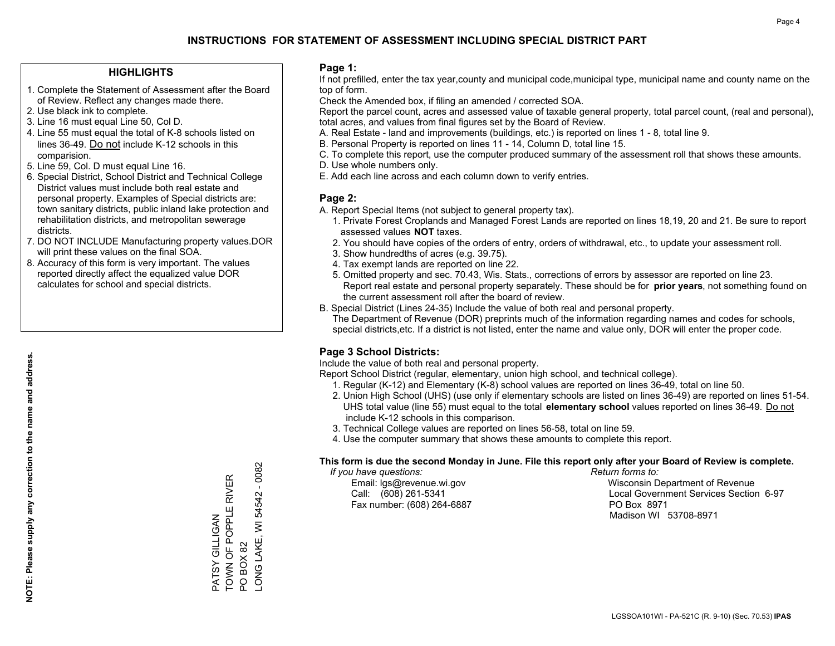### **HIGHLIGHTS**

- 1. Complete the Statement of Assessment after the Board of Review. Reflect any changes made there.
- 2. Use black ink to complete.
- 3. Line 16 must equal Line 50, Col D.
- 4. Line 55 must equal the total of K-8 schools listed on lines 36-49. Do not include K-12 schools in this comparision.
- 5. Line 59, Col. D must equal Line 16.
- 6. Special District, School District and Technical College District values must include both real estate and personal property. Examples of Special districts are: town sanitary districts, public inland lake protection and rehabilitation districts, and metropolitan sewerage districts.
- 7. DO NOT INCLUDE Manufacturing property values.DOR will print these values on the final SOA.

PATSY GILLIGAN

PATSY GILLIGAN

TOWN OF POPPLE RIVER

TOWN OF POPPLE RIVER

PO BOX 82

LONG LAKE, WI 54542 - 0082

LONG LAKE, WI PO BOX 82

54542 - 0082

 8. Accuracy of this form is very important. The values reported directly affect the equalized value DOR calculates for school and special districts.

### **Page 1:**

 If not prefilled, enter the tax year,county and municipal code,municipal type, municipal name and county name on the top of form.

Check the Amended box, if filing an amended / corrected SOA.

 Report the parcel count, acres and assessed value of taxable general property, total parcel count, (real and personal), total acres, and values from final figures set by the Board of Review.

- A. Real Estate land and improvements (buildings, etc.) is reported on lines 1 8, total line 9.
- B. Personal Property is reported on lines 11 14, Column D, total line 15.
- C. To complete this report, use the computer produced summary of the assessment roll that shows these amounts.
- D. Use whole numbers only.
- E. Add each line across and each column down to verify entries.

### **Page 2:**

- A. Report Special Items (not subject to general property tax).
- 1. Private Forest Croplands and Managed Forest Lands are reported on lines 18,19, 20 and 21. Be sure to report assessed values **NOT** taxes.
- 2. You should have copies of the orders of entry, orders of withdrawal, etc., to update your assessment roll.
	- 3. Show hundredths of acres (e.g. 39.75).
- 4. Tax exempt lands are reported on line 22.
- 5. Omitted property and sec. 70.43, Wis. Stats., corrections of errors by assessor are reported on line 23. Report real estate and personal property separately. These should be for **prior years**, not something found on the current assessment roll after the board of review.
- B. Special District (Lines 24-35) Include the value of both real and personal property.
- The Department of Revenue (DOR) preprints much of the information regarding names and codes for schools, special districts,etc. If a district is not listed, enter the name and value only, DOR will enter the proper code.

### **Page 3 School Districts:**

Include the value of both real and personal property.

Report School District (regular, elementary, union high school, and technical college).

- 1. Regular (K-12) and Elementary (K-8) school values are reported on lines 36-49, total on line 50.
- 2. Union High School (UHS) (use only if elementary schools are listed on lines 36-49) are reported on lines 51-54. UHS total value (line 55) must equal to the total **elementary school** values reported on lines 36-49. Do notinclude K-12 schools in this comparison.
- 3. Technical College values are reported on lines 56-58, total on line 59.
- 4. Use the computer summary that shows these amounts to complete this report.

#### **This form is due the second Monday in June. File this report only after your Board of Review is complete.**

 *If you have questions: Return forms to:*

Fax number: (608) 264-6887 PO Box 8971

 Email: lgs@revenue.wi.gov Wisconsin Department of Revenue Call: (608) 261-5341 Local Government Services Section 6-97Madison WI 53708-8971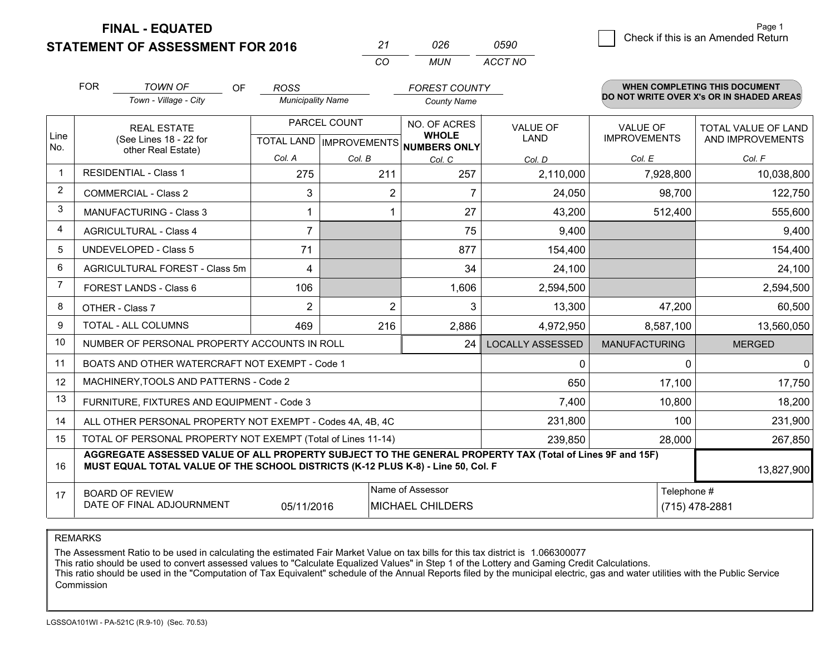**STATEMENT OF ASSESSMENT FOR 2016** 

| ンツ         | กวค  | n590    |
|------------|------|---------|
| $\sqrt{2}$ | MUN. | ACCT NO |

|                | <b>FOR</b> | <b>TOWN OF</b><br>OF                                                                                                                                                                         | <b>ROSS</b>              |                           | <b>FOREST COUNTY</b>         |                         |                      | <b>WHEN COMPLETING THIS DOCUMENT</b>     |
|----------------|------------|----------------------------------------------------------------------------------------------------------------------------------------------------------------------------------------------|--------------------------|---------------------------|------------------------------|-------------------------|----------------------|------------------------------------------|
|                |            | Town - Village - City                                                                                                                                                                        | <b>Municipality Name</b> |                           | <b>County Name</b>           |                         |                      | DO NOT WRITE OVER X's OR IN SHADED AREAS |
|                |            | <b>REAL ESTATE</b>                                                                                                                                                                           |                          | PARCEL COUNT              | NO. OF ACRES                 | <b>VALUE OF</b>         | <b>VALUE OF</b>      | TOTAL VALUE OF LAND                      |
| Line<br>No.    |            | (See Lines 18 - 22 for<br>other Real Estate)                                                                                                                                                 |                          | TOTAL LAND   IMPROVEMENTS | <b>WHOLE</b><br>NUMBERS ONLY | <b>LAND</b>             | <b>IMPROVEMENTS</b>  | AND IMPROVEMENTS                         |
|                |            |                                                                                                                                                                                              | Col. A                   | Col. B                    | Col. C                       | Col. D                  | Col. E               | Col. F                                   |
| $\mathbf 1$    |            | <b>RESIDENTIAL - Class 1</b>                                                                                                                                                                 | 275                      | 211                       | 257                          | 2,110,000               | 7,928,800            | 10,038,800                               |
| $\overline{2}$ |            | <b>COMMERCIAL - Class 2</b>                                                                                                                                                                  | 3                        | $\overline{2}$            | 7                            | 24,050                  | 98,700               | 122,750                                  |
| 3              |            | <b>MANUFACTURING - Class 3</b>                                                                                                                                                               | 1                        | 1                         | 27                           | 43,200                  | 512,400              | 555,600                                  |
| 4              |            | <b>AGRICULTURAL - Class 4</b>                                                                                                                                                                | $\overline{7}$           |                           | 75                           | 9,400                   |                      | 9,400                                    |
| 5              |            | <b>UNDEVELOPED - Class 5</b>                                                                                                                                                                 | 71                       |                           | 877                          | 154,400                 |                      | 154,400                                  |
| 6              |            | AGRICULTURAL FOREST - Class 5m                                                                                                                                                               | 4                        |                           | 34                           | 24,100                  |                      | 24,100                                   |
| $\overline{7}$ |            | FOREST LANDS - Class 6                                                                                                                                                                       | 106                      |                           | 1,606                        | 2,594,500               |                      | 2,594,500                                |
| 8              |            | OTHER - Class 7                                                                                                                                                                              | $\overline{2}$           | $\overline{2}$            | 3                            | 13,300                  | 47,200               | 60,500                                   |
| 9              |            | TOTAL - ALL COLUMNS                                                                                                                                                                          | 469                      | 216                       | 2,886                        | 4,972,950               | 8,587,100            | 13,560,050                               |
| 10             |            | NUMBER OF PERSONAL PROPERTY ACCOUNTS IN ROLL                                                                                                                                                 |                          |                           | 24                           | <b>LOCALLY ASSESSED</b> | <b>MANUFACTURING</b> | <b>MERGED</b>                            |
| 11             |            | BOATS AND OTHER WATERCRAFT NOT EXEMPT - Code 1                                                                                                                                               |                          |                           |                              | $\mathbf{0}$            | 0                    | 0                                        |
| 12             |            | MACHINERY, TOOLS AND PATTERNS - Code 2                                                                                                                                                       |                          |                           |                              | 650                     | 17,100               | 17,750                                   |
| 13             |            | FURNITURE, FIXTURES AND EQUIPMENT - Code 3                                                                                                                                                   |                          |                           |                              | 7,400                   | 10,800               | 18,200                                   |
| 14             |            | ALL OTHER PERSONAL PROPERTY NOT EXEMPT - Codes 4A, 4B, 4C                                                                                                                                    |                          |                           |                              | 231,800                 | 100                  | 231,900                                  |
| 15             |            | TOTAL OF PERSONAL PROPERTY NOT EXEMPT (Total of Lines 11-14)                                                                                                                                 |                          |                           |                              | 239,850                 | 28,000               | 267,850                                  |
| 16             |            | AGGREGATE ASSESSED VALUE OF ALL PROPERTY SUBJECT TO THE GENERAL PROPERTY TAX (Total of Lines 9F and 15F)<br>MUST EQUAL TOTAL VALUE OF THE SCHOOL DISTRICTS (K-12 PLUS K-8) - Line 50, Col. F |                          |                           |                              |                         |                      | 13,827,900                               |
| 17             |            | <b>BOARD OF REVIEW</b>                                                                                                                                                                       |                          |                           | Name of Assessor             |                         | Telephone #          |                                          |
|                |            | DATE OF FINAL ADJOURNMENT                                                                                                                                                                    | 05/11/2016               |                           | <b>MICHAEL CHILDERS</b>      |                         |                      | (715) 478-2881                           |

REMARKS

The Assessment Ratio to be used in calculating the estimated Fair Market Value on tax bills for this tax district is 1.066300077

This ratio should be used to convert assessed values to "Calculate Equalized Values" in Step 1 of the Lottery and Gaming Credit Calculations.<br>This ratio should be used in the "Computation of Tax Equivalent" schedule of the Commission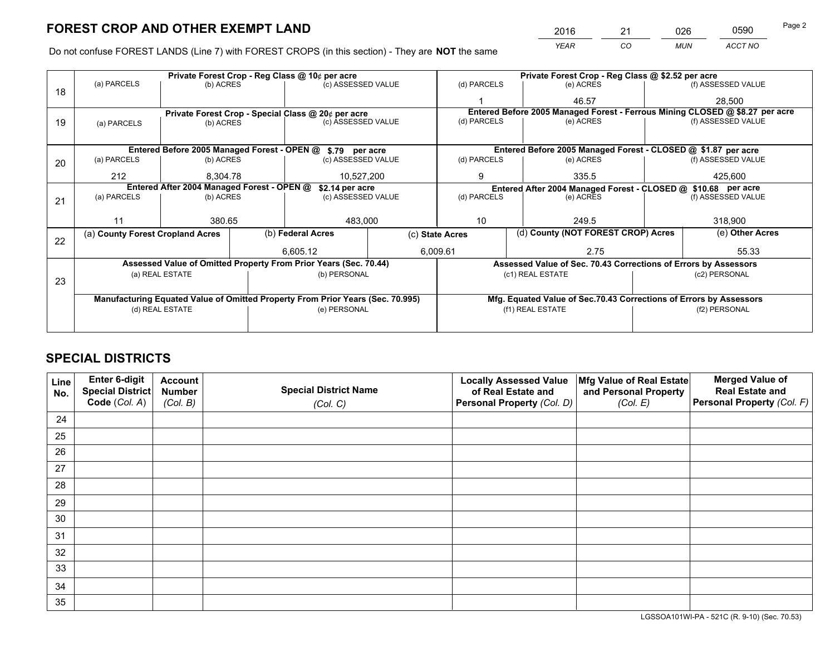*YEAR CO MUN ACCT NO* <sup>2016</sup> <sup>21</sup> <sup>026</sup> <sup>0590</sup>

Do not confuse FOREST LANDS (Line 7) with FOREST CROPS (in this section) - They are **NOT** the same

|    |                                                                                |                 |  | Private Forest Crop - Reg Class @ 10¢ per acre                   |                                                               | Private Forest Crop - Reg Class @ \$2.52 per acre             |                                                                    |                                    |         |                                                                              |  |
|----|--------------------------------------------------------------------------------|-----------------|--|------------------------------------------------------------------|---------------------------------------------------------------|---------------------------------------------------------------|--------------------------------------------------------------------|------------------------------------|---------|------------------------------------------------------------------------------|--|
| 18 | (a) PARCELS                                                                    | (b) ACRES       |  | (c) ASSESSED VALUE                                               |                                                               | (d) PARCELS                                                   |                                                                    | (e) ACRES                          |         | (f) ASSESSED VALUE                                                           |  |
|    |                                                                                |                 |  |                                                                  |                                                               |                                                               |                                                                    | 46.57                              |         | 28,500                                                                       |  |
|    |                                                                                |                 |  | Private Forest Crop - Special Class @ 20¢ per acre               |                                                               |                                                               |                                                                    |                                    |         | Entered Before 2005 Managed Forest - Ferrous Mining CLOSED @ \$8.27 per acre |  |
| 19 | (a) PARCELS                                                                    | (b) ACRES       |  | (c) ASSESSED VALUE                                               |                                                               | (d) PARCELS                                                   |                                                                    | (e) ACRES                          |         | (f) ASSESSED VALUE                                                           |  |
|    |                                                                                |                 |  |                                                                  |                                                               |                                                               |                                                                    |                                    |         |                                                                              |  |
|    | Entered Before 2005 Managed Forest - OPEN @ \$.79 per acre                     |                 |  |                                                                  | Entered Before 2005 Managed Forest - CLOSED @ \$1.87 per acre |                                                               |                                                                    |                                    |         |                                                                              |  |
| 20 | (a) PARCELS                                                                    | (b) ACRES       |  | (c) ASSESSED VALUE                                               |                                                               | (d) PARCELS                                                   |                                                                    | (e) ACRES                          |         | (f) ASSESSED VALUE                                                           |  |
|    | 212                                                                            | 8.304.78        |  | 10,527,200                                                       |                                                               | 9                                                             |                                                                    | 335.5<br>425,600                   |         |                                                                              |  |
|    | Entered After 2004 Managed Forest - OPEN @<br>\$2.14 per acre                  |                 |  |                                                                  |                                                               | Entered After 2004 Managed Forest - CLOSED @ \$10.68 per acre |                                                                    |                                    |         |                                                                              |  |
| 21 | (a) PARCELS                                                                    | (b) ACRES       |  | (c) ASSESSED VALUE                                               |                                                               | (d) PARCELS                                                   |                                                                    | (e) ACRES                          |         | (f) ASSESSED VALUE                                                           |  |
|    |                                                                                |                 |  |                                                                  |                                                               |                                                               |                                                                    |                                    |         |                                                                              |  |
|    | 11                                                                             | 380.65          |  | 483,000                                                          |                                                               | 10                                                            |                                                                    | 249.5                              | 318,900 |                                                                              |  |
|    | (a) County Forest Cropland Acres                                               |                 |  | (b) Federal Acres                                                |                                                               | (c) State Acres                                               |                                                                    | (d) County (NOT FOREST CROP) Acres |         | (e) Other Acres                                                              |  |
| 22 |                                                                                |                 |  |                                                                  |                                                               |                                                               |                                                                    |                                    |         |                                                                              |  |
|    |                                                                                |                 |  | 6.605.12                                                         |                                                               | 6,009.61                                                      |                                                                    | 2.75                               |         | 55.33                                                                        |  |
|    |                                                                                |                 |  | Assessed Value of Omitted Property From Prior Years (Sec. 70.44) |                                                               |                                                               | Assessed Value of Sec. 70.43 Corrections of Errors by Assessors    |                                    |         |                                                                              |  |
| 23 |                                                                                | (a) REAL ESTATE |  | (b) PERSONAL                                                     |                                                               |                                                               |                                                                    | (c1) REAL ESTATE                   |         | (c2) PERSONAL                                                                |  |
|    |                                                                                |                 |  |                                                                  |                                                               |                                                               |                                                                    |                                    |         |                                                                              |  |
|    | Manufacturing Equated Value of Omitted Property From Prior Years (Sec. 70.995) |                 |  |                                                                  |                                                               |                                                               | Mfg. Equated Value of Sec.70.43 Corrections of Errors by Assessors |                                    |         |                                                                              |  |
|    | (e) PERSONAL<br>(d) REAL ESTATE                                                |                 |  | (f1) REAL ESTATE<br>(f2) PERSONAL                                |                                                               |                                                               |                                                                    |                                    |         |                                                                              |  |
|    |                                                                                |                 |  |                                                                  |                                                               |                                                               |                                                                    |                                    |         |                                                                              |  |

# **SPECIAL DISTRICTS**

| Line<br>No. | Enter 6-digit<br>Special District<br>Code (Col. A) | <b>Account</b><br><b>Number</b><br>(Col. B) | <b>Special District Name</b><br>(Col. C) | <b>Locally Assessed Value</b><br>of Real Estate and<br>Personal Property (Col. D) | Mfg Value of Real Estate<br>and Personal Property<br>(Col. E) | <b>Merged Value of</b><br><b>Real Estate and</b><br>Personal Property (Col. F) |
|-------------|----------------------------------------------------|---------------------------------------------|------------------------------------------|-----------------------------------------------------------------------------------|---------------------------------------------------------------|--------------------------------------------------------------------------------|
| 24          |                                                    |                                             |                                          |                                                                                   |                                                               |                                                                                |
| 25          |                                                    |                                             |                                          |                                                                                   |                                                               |                                                                                |
| 26          |                                                    |                                             |                                          |                                                                                   |                                                               |                                                                                |
| 27          |                                                    |                                             |                                          |                                                                                   |                                                               |                                                                                |
| 28          |                                                    |                                             |                                          |                                                                                   |                                                               |                                                                                |
| 29          |                                                    |                                             |                                          |                                                                                   |                                                               |                                                                                |
| 30          |                                                    |                                             |                                          |                                                                                   |                                                               |                                                                                |
| 31          |                                                    |                                             |                                          |                                                                                   |                                                               |                                                                                |
| 32          |                                                    |                                             |                                          |                                                                                   |                                                               |                                                                                |
| 33          |                                                    |                                             |                                          |                                                                                   |                                                               |                                                                                |
| 34          |                                                    |                                             |                                          |                                                                                   |                                                               |                                                                                |
| 35          |                                                    |                                             |                                          |                                                                                   |                                                               |                                                                                |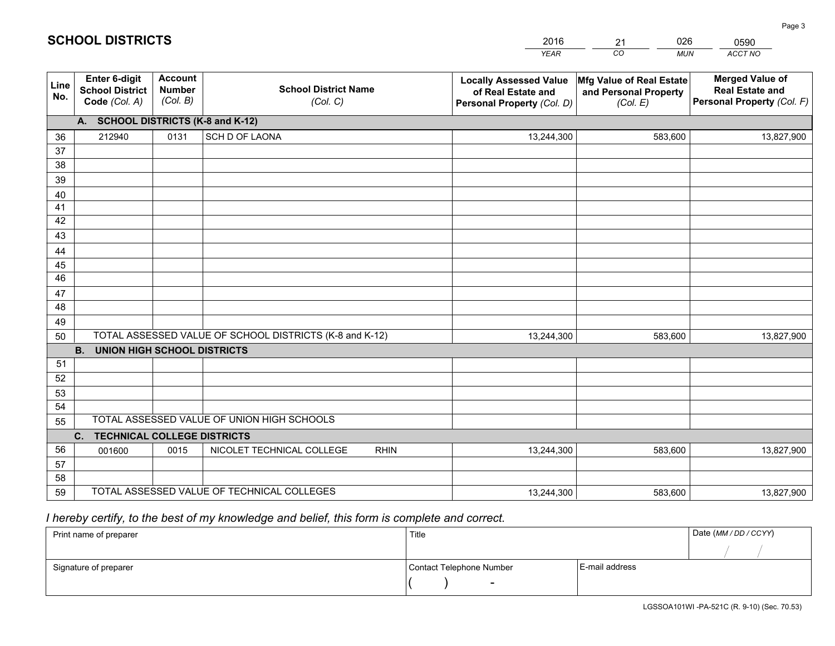|                       |                                                                 |                                             |                                                         | <b>YEAR</b>                                                                       | CO<br><b>MUN</b>                                              | ACCT NO                                                                        |
|-----------------------|-----------------------------------------------------------------|---------------------------------------------|---------------------------------------------------------|-----------------------------------------------------------------------------------|---------------------------------------------------------------|--------------------------------------------------------------------------------|
| Line<br>No.           | <b>Enter 6-digit</b><br><b>School District</b><br>Code (Col. A) | <b>Account</b><br><b>Number</b><br>(Col. B) | <b>School District Name</b><br>(Col. C)                 | <b>Locally Assessed Value</b><br>of Real Estate and<br>Personal Property (Col. D) | Mfg Value of Real Estate<br>and Personal Property<br>(Col. E) | <b>Merged Value of</b><br><b>Real Estate and</b><br>Personal Property (Col. F) |
|                       | A. SCHOOL DISTRICTS (K-8 and K-12)                              |                                             |                                                         |                                                                                   |                                                               |                                                                                |
| 36                    | 212940                                                          | 0131                                        | SCH D OF LAONA                                          | 13,244,300                                                                        | 583,600                                                       | 13,827,900                                                                     |
| 37                    |                                                                 |                                             |                                                         |                                                                                   |                                                               |                                                                                |
| 38                    |                                                                 |                                             |                                                         |                                                                                   |                                                               |                                                                                |
| 39                    |                                                                 |                                             |                                                         |                                                                                   |                                                               |                                                                                |
| 40                    |                                                                 |                                             |                                                         |                                                                                   |                                                               |                                                                                |
| 41                    |                                                                 |                                             |                                                         |                                                                                   |                                                               |                                                                                |
| 42                    |                                                                 |                                             |                                                         |                                                                                   |                                                               |                                                                                |
| 43                    |                                                                 |                                             |                                                         |                                                                                   |                                                               |                                                                                |
| 44                    |                                                                 |                                             |                                                         |                                                                                   |                                                               |                                                                                |
| 45<br>$\overline{46}$ |                                                                 |                                             |                                                         |                                                                                   |                                                               |                                                                                |
| 47                    |                                                                 |                                             |                                                         |                                                                                   |                                                               |                                                                                |
| 48                    |                                                                 |                                             |                                                         |                                                                                   |                                                               |                                                                                |
| 49                    |                                                                 |                                             |                                                         |                                                                                   |                                                               |                                                                                |
| 50                    |                                                                 |                                             | TOTAL ASSESSED VALUE OF SCHOOL DISTRICTS (K-8 and K-12) | 13,244,300                                                                        | 583,600                                                       | 13,827,900                                                                     |
|                       | <b>B.</b><br><b>UNION HIGH SCHOOL DISTRICTS</b>                 |                                             |                                                         |                                                                                   |                                                               |                                                                                |
| 51                    |                                                                 |                                             |                                                         |                                                                                   |                                                               |                                                                                |
| 52                    |                                                                 |                                             |                                                         |                                                                                   |                                                               |                                                                                |
| 53                    |                                                                 |                                             |                                                         |                                                                                   |                                                               |                                                                                |
| 54                    |                                                                 |                                             |                                                         |                                                                                   |                                                               |                                                                                |
| 55                    |                                                                 |                                             | TOTAL ASSESSED VALUE OF UNION HIGH SCHOOLS              |                                                                                   |                                                               |                                                                                |
|                       | C.<br><b>TECHNICAL COLLEGE DISTRICTS</b>                        |                                             |                                                         |                                                                                   |                                                               |                                                                                |
| 56                    | 001600                                                          | 0015                                        | NICOLET TECHNICAL COLLEGE<br><b>RHIN</b>                | 13,244,300                                                                        | 583,600                                                       | 13,827,900                                                                     |
| 57                    |                                                                 |                                             |                                                         |                                                                                   |                                                               |                                                                                |
| 58                    |                                                                 |                                             |                                                         |                                                                                   |                                                               |                                                                                |
| 59                    |                                                                 |                                             | TOTAL ASSESSED VALUE OF TECHNICAL COLLEGES              | 13,244,300                                                                        | 583,600                                                       | 13,827,900                                                                     |

21

026

 *I hereby certify, to the best of my knowledge and belief, this form is complete and correct.*

**SCHOOL DISTRICTS**

| Print name of preparer | Title                    |                | Date (MM / DD / CCYY) |
|------------------------|--------------------------|----------------|-----------------------|
|                        |                          |                |                       |
| Signature of preparer  | Contact Telephone Number | E-mail address |                       |
|                        | $\sim$                   |                |                       |

0590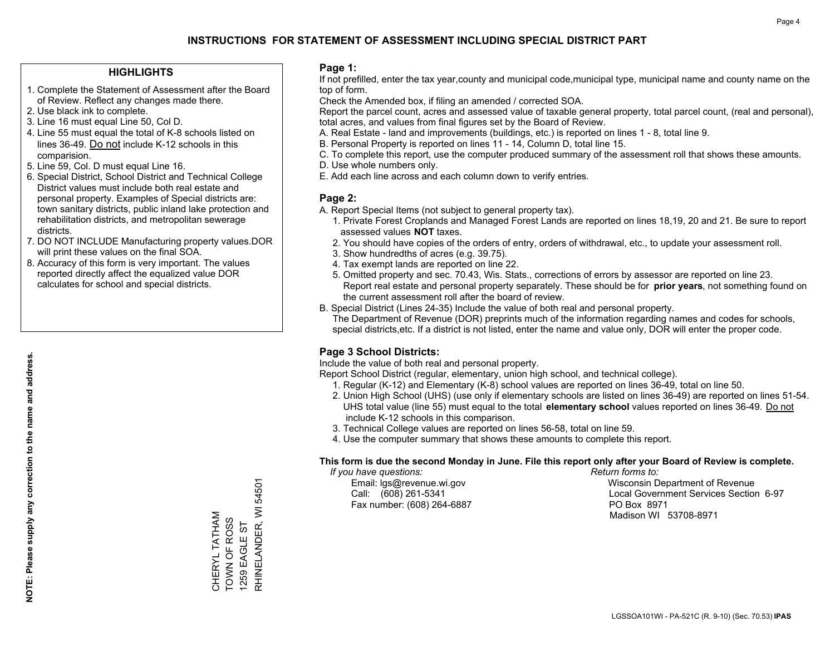### **HIGHLIGHTS**

- 1. Complete the Statement of Assessment after the Board of Review. Reflect any changes made there.
- 2. Use black ink to complete.
- 3. Line 16 must equal Line 50, Col D.
- 4. Line 55 must equal the total of K-8 schools listed on lines 36-49. Do not include K-12 schools in this comparision.
- 5. Line 59, Col. D must equal Line 16.
- 6. Special District, School District and Technical College District values must include both real estate and personal property. Examples of Special districts are: town sanitary districts, public inland lake protection and rehabilitation districts, and metropolitan sewerage districts.
- 7. DO NOT INCLUDE Manufacturing property values.DOR will print these values on the final SOA.

CHERYL TATHAM TOWN OF ROSS 1259 EAGLE ST

CHERYL TATHAM<br>TOWN OF ROSS<br>1259 EAGLE ST

RHINELANDER, WI 54501

RHINELANDER, WI

54501

 8. Accuracy of this form is very important. The values reported directly affect the equalized value DOR calculates for school and special districts.

### **Page 1:**

 If not prefilled, enter the tax year,county and municipal code,municipal type, municipal name and county name on the top of form.

Check the Amended box, if filing an amended / corrected SOA.

 Report the parcel count, acres and assessed value of taxable general property, total parcel count, (real and personal), total acres, and values from final figures set by the Board of Review.

- A. Real Estate land and improvements (buildings, etc.) is reported on lines 1 8, total line 9.
- B. Personal Property is reported on lines 11 14, Column D, total line 15.
- C. To complete this report, use the computer produced summary of the assessment roll that shows these amounts.
- D. Use whole numbers only.
- E. Add each line across and each column down to verify entries.

### **Page 2:**

- A. Report Special Items (not subject to general property tax).
- 1. Private Forest Croplands and Managed Forest Lands are reported on lines 18,19, 20 and 21. Be sure to report assessed values **NOT** taxes.
- 2. You should have copies of the orders of entry, orders of withdrawal, etc., to update your assessment roll.
	- 3. Show hundredths of acres (e.g. 39.75).
- 4. Tax exempt lands are reported on line 22.
- 5. Omitted property and sec. 70.43, Wis. Stats., corrections of errors by assessor are reported on line 23. Report real estate and personal property separately. These should be for **prior years**, not something found on the current assessment roll after the board of review.
- B. Special District (Lines 24-35) Include the value of both real and personal property.
- The Department of Revenue (DOR) preprints much of the information regarding names and codes for schools, special districts,etc. If a district is not listed, enter the name and value only, DOR will enter the proper code.

### **Page 3 School Districts:**

Include the value of both real and personal property.

Report School District (regular, elementary, union high school, and technical college).

- 1. Regular (K-12) and Elementary (K-8) school values are reported on lines 36-49, total on line 50.
- 2. Union High School (UHS) (use only if elementary schools are listed on lines 36-49) are reported on lines 51-54. UHS total value (line 55) must equal to the total **elementary school** values reported on lines 36-49. Do notinclude K-12 schools in this comparison.
- 3. Technical College values are reported on lines 56-58, total on line 59.
- 4. Use the computer summary that shows these amounts to complete this report.

#### **This form is due the second Monday in June. File this report only after your Board of Review is complete.**

 *If you have questions: Return forms to:*

Fax number: (608) 264-6887 PO Box 8971

 Email: lgs@revenue.wi.gov Wisconsin Department of Revenue Call: (608) 261-5341 Local Government Services Section 6-97Madison WI 53708-8971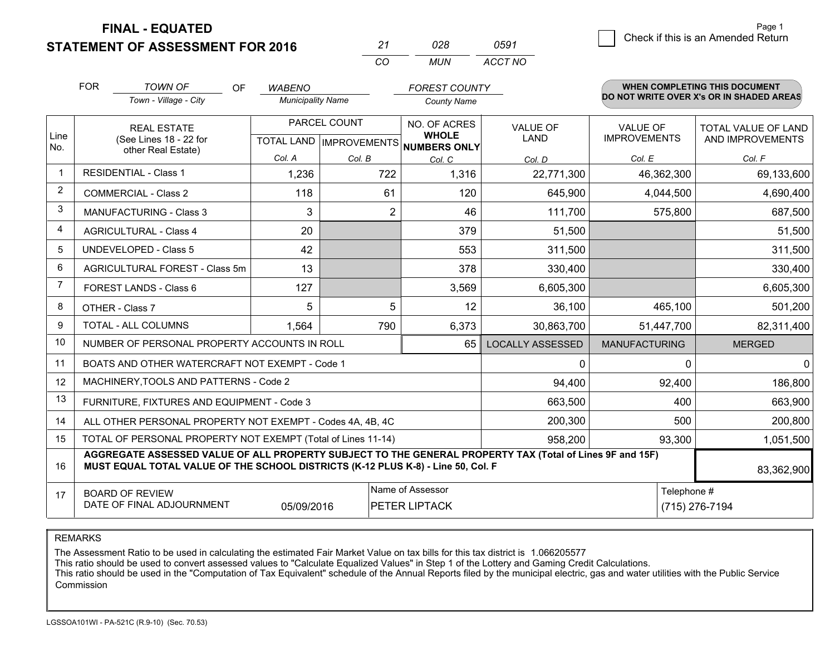**STATEMENT OF ASSESSMENT FOR 2016** 

| 27       | กวล | 0591    |
|----------|-----|---------|
| $\cdots$ | MUN | ACCT NO |

|                | <b>FOR</b>                                   | <b>TOWN OF</b><br><b>OF</b><br>Town - Village - City                                                                                                                                         | <b>WABENO</b><br><b>Municipality Name</b>                                                 |                | <b>FOREST COUNTY</b><br><b>County Name</b> |                                        |                                         | WHEN COMPLETING THIS DOCUMENT<br>DO NOT WRITE OVER X's OR IN SHADED AREAS |
|----------------|----------------------------------------------|----------------------------------------------------------------------------------------------------------------------------------------------------------------------------------------------|-------------------------------------------------------------------------------------------|----------------|--------------------------------------------|----------------------------------------|-----------------------------------------|---------------------------------------------------------------------------|
| Line<br>No.    | <b>REAL ESTATE</b><br>(See Lines 18 - 22 for |                                                                                                                                                                                              | PARCEL COUNT<br>NO. OF ACRES<br><b>WHOLE</b><br>TOTAL LAND   IMPROVEMENTS<br>NUMBERS ONLY |                | <b>VALUE OF</b><br><b>LAND</b>             | <b>VALUE OF</b><br><b>IMPROVEMENTS</b> | TOTAL VALUE OF LAND<br>AND IMPROVEMENTS |                                                                           |
|                |                                              | other Real Estate)                                                                                                                                                                           | Col. A                                                                                    | Col. B         | Col. C                                     | Col. D                                 | Col. E                                  | Col. F                                                                    |
| 1              |                                              | <b>RESIDENTIAL - Class 1</b>                                                                                                                                                                 | 1,236                                                                                     | 722            | 1,316                                      | 22,771,300                             | 46,362,300                              | 69,133,600                                                                |
| 2              |                                              | <b>COMMERCIAL - Class 2</b>                                                                                                                                                                  | 118                                                                                       | 61             | 120                                        | 645,900                                | 4,044,500                               | 4,690,400                                                                 |
| 3              |                                              | <b>MANUFACTURING - Class 3</b>                                                                                                                                                               | 3                                                                                         | $\overline{2}$ | 46                                         | 111,700                                | 575,800                                 | 687,500                                                                   |
| 4              |                                              | <b>AGRICULTURAL - Class 4</b>                                                                                                                                                                | 20                                                                                        |                | 379                                        | 51,500                                 |                                         | 51,500                                                                    |
| 5              |                                              | <b>UNDEVELOPED - Class 5</b>                                                                                                                                                                 | 42                                                                                        |                | 553                                        | 311,500                                |                                         | 311,500                                                                   |
| 6              | AGRICULTURAL FOREST - Class 5m               |                                                                                                                                                                                              | 13                                                                                        |                | 378                                        | 330,400                                |                                         | 330,400                                                                   |
| $\overline{7}$ |                                              | FOREST LANDS - Class 6                                                                                                                                                                       | 127                                                                                       |                | 3,569                                      | 6,605,300                              |                                         | 6,605,300                                                                 |
| 8              |                                              | OTHER - Class 7                                                                                                                                                                              | 5                                                                                         | 5              | 12                                         | 36,100                                 | 465,100                                 | 501,200                                                                   |
| 9              |                                              | TOTAL - ALL COLUMNS                                                                                                                                                                          | 1,564                                                                                     | 790            | 6,373                                      | 30,863,700                             | 51,447,700                              | 82,311,400                                                                |
| 10             |                                              | NUMBER OF PERSONAL PROPERTY ACCOUNTS IN ROLL                                                                                                                                                 |                                                                                           |                | 65                                         | <b>LOCALLY ASSESSED</b>                | <b>MANUFACTURING</b>                    | <b>MERGED</b>                                                             |
| 11             |                                              | BOATS AND OTHER WATERCRAFT NOT EXEMPT - Code 1                                                                                                                                               |                                                                                           |                |                                            | 0                                      | 0                                       | 0                                                                         |
| 12             |                                              | MACHINERY, TOOLS AND PATTERNS - Code 2                                                                                                                                                       |                                                                                           |                |                                            | 94,400                                 | 92,400                                  | 186,800                                                                   |
| 13             |                                              | FURNITURE, FIXTURES AND EQUIPMENT - Code 3                                                                                                                                                   |                                                                                           |                |                                            | 663,500                                | 400                                     | 663,900                                                                   |
| 14             |                                              | ALL OTHER PERSONAL PROPERTY NOT EXEMPT - Codes 4A, 4B, 4C                                                                                                                                    |                                                                                           |                |                                            | 200,300                                | 500                                     | 200,800                                                                   |
| 15             |                                              | TOTAL OF PERSONAL PROPERTY NOT EXEMPT (Total of Lines 11-14)                                                                                                                                 |                                                                                           |                |                                            | 958,200                                | 93,300                                  | 1,051,500                                                                 |
| 16             |                                              | AGGREGATE ASSESSED VALUE OF ALL PROPERTY SUBJECT TO THE GENERAL PROPERTY TAX (Total of Lines 9F and 15F)<br>MUST EQUAL TOTAL VALUE OF THE SCHOOL DISTRICTS (K-12 PLUS K-8) - Line 50, Col. F |                                                                                           |                |                                            |                                        |                                         | 83,362,900                                                                |
| 17             |                                              | <b>BOARD OF REVIEW</b>                                                                                                                                                                       |                                                                                           |                | Name of Assessor                           |                                        | Telephone #                             |                                                                           |
|                |                                              | DATE OF FINAL ADJOURNMENT                                                                                                                                                                    | 05/09/2016                                                                                |                | PETER LIPTACK                              |                                        |                                         | (715) 276-7194                                                            |

REMARKS

The Assessment Ratio to be used in calculating the estimated Fair Market Value on tax bills for this tax district is 1.066205577

This ratio should be used to convert assessed values to "Calculate Equalized Values" in Step 1 of the Lottery and Gaming Credit Calculations.<br>This ratio should be used in the "Computation of Tax Equivalent" schedule of the Commission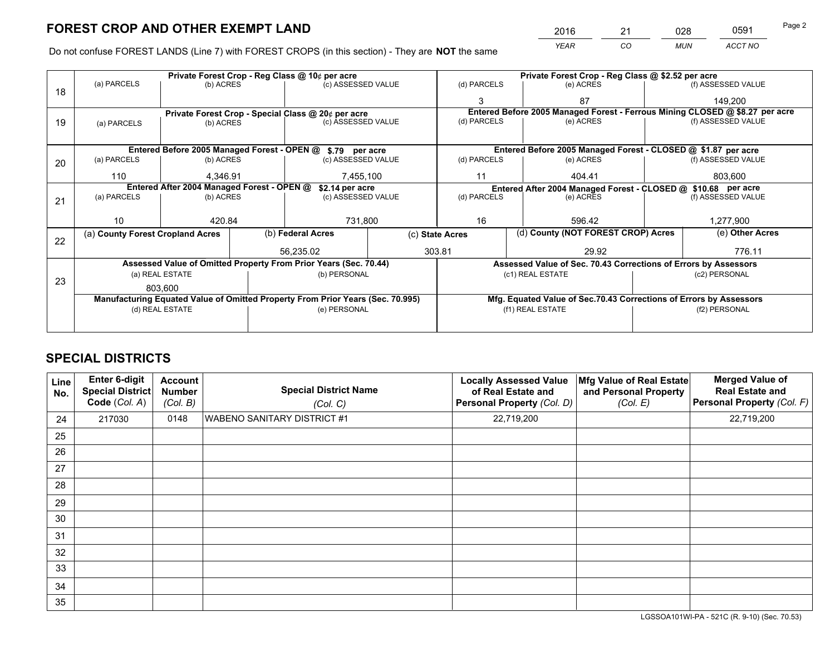*YEAR CO MUN ACCT NO* <sup>2016</sup> <sup>21</sup> <sup>028</sup> <sup>0591</sup>

Do not confuse FOREST LANDS (Line 7) with FOREST CROPS (in this section) - They are **NOT** the same

|    |                                                                                |                 |  | Private Forest Crop - Reg Class @ 10¢ per acre                   |  | Private Forest Crop - Reg Class @ \$2.52 per acre |                                                                    |                                                               |               |                                                                              |
|----|--------------------------------------------------------------------------------|-----------------|--|------------------------------------------------------------------|--|---------------------------------------------------|--------------------------------------------------------------------|---------------------------------------------------------------|---------------|------------------------------------------------------------------------------|
| 18 | (a) PARCELS                                                                    | (b) ACRES       |  | (c) ASSESSED VALUE                                               |  | (d) PARCELS                                       |                                                                    | (e) ACRES                                                     |               | (f) ASSESSED VALUE                                                           |
|    |                                                                                |                 |  |                                                                  |  |                                                   |                                                                    | 87                                                            |               | 149,200                                                                      |
|    |                                                                                |                 |  | Private Forest Crop - Special Class @ 20¢ per acre               |  |                                                   |                                                                    |                                                               |               | Entered Before 2005 Managed Forest - Ferrous Mining CLOSED @ \$8.27 per acre |
| 19 | (a) PARCELS                                                                    | (b) ACRES       |  | (c) ASSESSED VALUE                                               |  | (d) PARCELS                                       |                                                                    | (e) ACRES                                                     |               | (f) ASSESSED VALUE                                                           |
|    |                                                                                |                 |  |                                                                  |  |                                                   |                                                                    |                                                               |               |                                                                              |
|    |                                                                                |                 |  | Entered Before 2005 Managed Forest - OPEN @ \$.79 per acre       |  |                                                   |                                                                    | Entered Before 2005 Managed Forest - CLOSED @ \$1.87 per acre |               |                                                                              |
| 20 | (a) PARCELS                                                                    | (b) ACRES       |  | (c) ASSESSED VALUE                                               |  | (d) PARCELS                                       |                                                                    | (e) ACRES                                                     |               | (f) ASSESSED VALUE                                                           |
|    | 110                                                                            | 4,346.91        |  | 7,455,100                                                        |  | 11                                                |                                                                    | 404.41<br>803,600                                             |               |                                                                              |
|    | Entered After 2004 Managed Forest - OPEN @<br>\$2.14 per acre                  |                 |  |                                                                  |  |                                                   | Entered After 2004 Managed Forest - CLOSED @ \$10.68 per acre      |                                                               |               |                                                                              |
| 21 | (a) PARCELS                                                                    | (b) ACRES       |  | (c) ASSESSED VALUE                                               |  | (d) PARCELS                                       | (e) ACRES                                                          |                                                               |               | (f) ASSESSED VALUE                                                           |
|    |                                                                                |                 |  |                                                                  |  |                                                   |                                                                    |                                                               |               |                                                                              |
|    | 10                                                                             | 420.84          |  | 731,800                                                          |  | 16                                                | 596.42                                                             |                                                               | 1,277,900     |                                                                              |
|    | (a) County Forest Cropland Acres                                               |                 |  | (b) Federal Acres                                                |  | (c) State Acres                                   |                                                                    | (d) County (NOT FOREST CROP) Acres                            |               | (e) Other Acres                                                              |
| 22 |                                                                                |                 |  | 56.235.02                                                        |  | 303.81                                            |                                                                    | 29.92                                                         |               | 776.11                                                                       |
|    |                                                                                |                 |  |                                                                  |  |                                                   |                                                                    |                                                               |               |                                                                              |
|    |                                                                                |                 |  | Assessed Value of Omitted Property From Prior Years (Sec. 70.44) |  |                                                   | Assessed Value of Sec. 70.43 Corrections of Errors by Assessors    |                                                               |               |                                                                              |
| 23 |                                                                                | (a) REAL ESTATE |  | (b) PERSONAL                                                     |  |                                                   |                                                                    | (c1) REAL ESTATE                                              |               | (c2) PERSONAL                                                                |
|    |                                                                                | 803.600         |  |                                                                  |  |                                                   |                                                                    |                                                               |               |                                                                              |
|    | Manufacturing Equated Value of Omitted Property From Prior Years (Sec. 70.995) |                 |  |                                                                  |  |                                                   | Mfg. Equated Value of Sec.70.43 Corrections of Errors by Assessors |                                                               |               |                                                                              |
|    | (d) REAL ESTATE                                                                |                 |  | (e) PERSONAL                                                     |  |                                                   |                                                                    | (f1) REAL ESTATE                                              | (f2) PERSONAL |                                                                              |
|    |                                                                                |                 |  |                                                                  |  |                                                   |                                                                    |                                                               |               |                                                                              |

# **SPECIAL DISTRICTS**

| <b>Line</b><br>No. | Enter 6-digit<br><b>Special District</b><br>Code (Col. A) | <b>Account</b><br><b>Number</b><br>(Col. B) | <b>Special District Name</b><br>(Col. C) | <b>Locally Assessed Value</b><br>of Real Estate and<br>Personal Property (Col. D) | Mfg Value of Real Estate<br>and Personal Property<br>(Col. E) | <b>Merged Value of</b><br><b>Real Estate and</b><br>Personal Property (Col. F) |
|--------------------|-----------------------------------------------------------|---------------------------------------------|------------------------------------------|-----------------------------------------------------------------------------------|---------------------------------------------------------------|--------------------------------------------------------------------------------|
| 24                 | 217030                                                    | 0148                                        | <b>WABENO SANITARY DISTRICT #1</b>       | 22,719,200                                                                        |                                                               | 22,719,200                                                                     |
| 25                 |                                                           |                                             |                                          |                                                                                   |                                                               |                                                                                |
| 26                 |                                                           |                                             |                                          |                                                                                   |                                                               |                                                                                |
| 27                 |                                                           |                                             |                                          |                                                                                   |                                                               |                                                                                |
| 28                 |                                                           |                                             |                                          |                                                                                   |                                                               |                                                                                |
| 29                 |                                                           |                                             |                                          |                                                                                   |                                                               |                                                                                |
| 30                 |                                                           |                                             |                                          |                                                                                   |                                                               |                                                                                |
| 31                 |                                                           |                                             |                                          |                                                                                   |                                                               |                                                                                |
| 32                 |                                                           |                                             |                                          |                                                                                   |                                                               |                                                                                |
| 33                 |                                                           |                                             |                                          |                                                                                   |                                                               |                                                                                |
| 34                 |                                                           |                                             |                                          |                                                                                   |                                                               |                                                                                |
| 35                 |                                                           |                                             |                                          |                                                                                   |                                                               |                                                                                |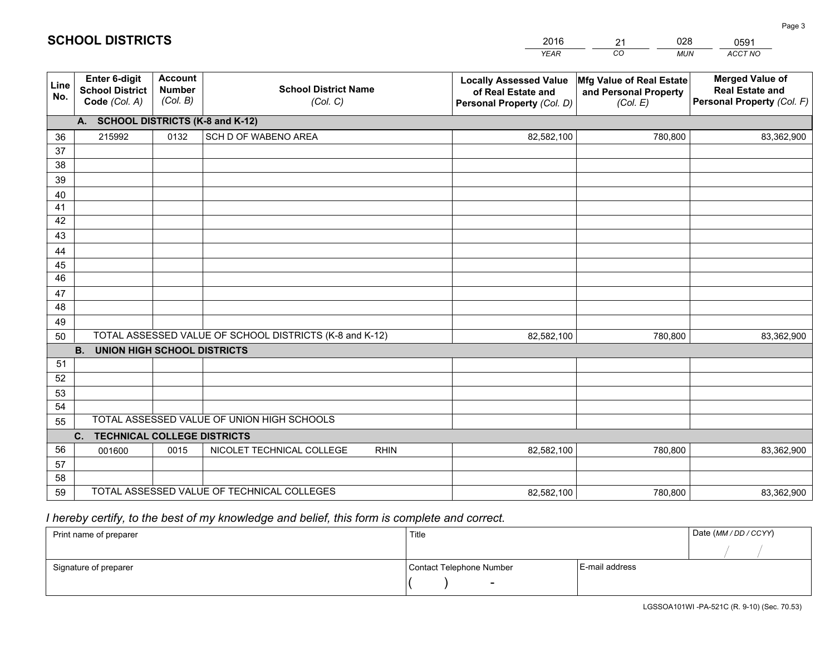|             |                                                                 |                                             |                                                         | <b>YEAR</b>                                                                       | CO<br><b>MUN</b>                                              | ACCT NO                                                                        |
|-------------|-----------------------------------------------------------------|---------------------------------------------|---------------------------------------------------------|-----------------------------------------------------------------------------------|---------------------------------------------------------------|--------------------------------------------------------------------------------|
| Line<br>No. | <b>Enter 6-digit</b><br><b>School District</b><br>Code (Col. A) | <b>Account</b><br><b>Number</b><br>(Col. B) | <b>School District Name</b><br>(Col. C)                 | <b>Locally Assessed Value</b><br>of Real Estate and<br>Personal Property (Col. D) | Mfg Value of Real Estate<br>and Personal Property<br>(Col. E) | <b>Merged Value of</b><br><b>Real Estate and</b><br>Personal Property (Col. F) |
|             | A. SCHOOL DISTRICTS (K-8 and K-12)                              |                                             |                                                         |                                                                                   |                                                               |                                                                                |
| 36          | 215992                                                          | 0132                                        | SCH D OF WABENO AREA                                    | 82,582,100                                                                        | 780,800                                                       | 83,362,900                                                                     |
| 37          |                                                                 |                                             |                                                         |                                                                                   |                                                               |                                                                                |
| 38          |                                                                 |                                             |                                                         |                                                                                   |                                                               |                                                                                |
| 39          |                                                                 |                                             |                                                         |                                                                                   |                                                               |                                                                                |
| 40          |                                                                 |                                             |                                                         |                                                                                   |                                                               |                                                                                |
| 41          |                                                                 |                                             |                                                         |                                                                                   |                                                               |                                                                                |
| 42          |                                                                 |                                             |                                                         |                                                                                   |                                                               |                                                                                |
| 43          |                                                                 |                                             |                                                         |                                                                                   |                                                               |                                                                                |
| 44          |                                                                 |                                             |                                                         |                                                                                   |                                                               |                                                                                |
| 45<br>46    |                                                                 |                                             |                                                         |                                                                                   |                                                               |                                                                                |
| 47          |                                                                 |                                             |                                                         |                                                                                   |                                                               |                                                                                |
| 48          |                                                                 |                                             |                                                         |                                                                                   |                                                               |                                                                                |
| 49          |                                                                 |                                             |                                                         |                                                                                   |                                                               |                                                                                |
| 50          |                                                                 |                                             | TOTAL ASSESSED VALUE OF SCHOOL DISTRICTS (K-8 and K-12) | 82,582,100                                                                        | 780,800                                                       | 83,362,900                                                                     |
|             | <b>B.</b><br><b>UNION HIGH SCHOOL DISTRICTS</b>                 |                                             |                                                         |                                                                                   |                                                               |                                                                                |
| 51          |                                                                 |                                             |                                                         |                                                                                   |                                                               |                                                                                |
| 52          |                                                                 |                                             |                                                         |                                                                                   |                                                               |                                                                                |
| 53          |                                                                 |                                             |                                                         |                                                                                   |                                                               |                                                                                |
| 54          |                                                                 |                                             |                                                         |                                                                                   |                                                               |                                                                                |
| 55          |                                                                 |                                             | TOTAL ASSESSED VALUE OF UNION HIGH SCHOOLS              |                                                                                   |                                                               |                                                                                |
|             | C.<br><b>TECHNICAL COLLEGE DISTRICTS</b>                        |                                             |                                                         |                                                                                   |                                                               |                                                                                |
| 56          | 001600                                                          | 0015                                        | NICOLET TECHNICAL COLLEGE<br><b>RHIN</b>                | 82,582,100                                                                        | 780,800                                                       | 83,362,900                                                                     |
| 57          |                                                                 |                                             |                                                         |                                                                                   |                                                               |                                                                                |
| 58          |                                                                 |                                             |                                                         |                                                                                   |                                                               |                                                                                |
| 59          |                                                                 |                                             | TOTAL ASSESSED VALUE OF TECHNICAL COLLEGES              | 82,582,100                                                                        | 780,800                                                       | 83,362,900                                                                     |

21

028

 *I hereby certify, to the best of my knowledge and belief, this form is complete and correct.*

**SCHOOL DISTRICTS**

| Print name of preparer | Title                    |                | Date (MM / DD / CCYY) |
|------------------------|--------------------------|----------------|-----------------------|
|                        |                          |                |                       |
| Signature of preparer  | Contact Telephone Number | E-mail address |                       |
|                        |                          |                |                       |

0591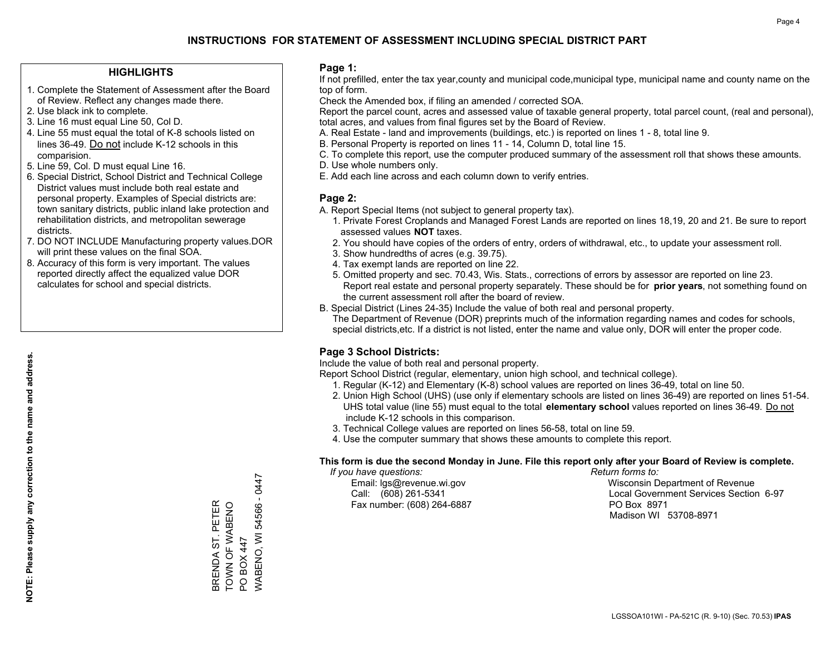### **HIGHLIGHTS**

- 1. Complete the Statement of Assessment after the Board of Review. Reflect any changes made there.
- 2. Use black ink to complete.
- 3. Line 16 must equal Line 50, Col D.
- 4. Line 55 must equal the total of K-8 schools listed on lines 36-49. Do not include K-12 schools in this comparision.
- 5. Line 59, Col. D must equal Line 16.
- 6. Special District, School District and Technical College District values must include both real estate and personal property. Examples of Special districts are: town sanitary districts, public inland lake protection and rehabilitation districts, and metropolitan sewerage districts.
- 7. DO NOT INCLUDE Manufacturing property values.DOR will print these values on the final SOA.

BRENDA ST. PETER TOWN OF WABENO

BRENDA ST. PETER<br>TOWN OF WABENO

PO BOX 447

PO BOX 447

WABENO, WI 54566 - 0447

WABENO, WI 54566 - 0447

 8. Accuracy of this form is very important. The values reported directly affect the equalized value DOR calculates for school and special districts.

### **Page 1:**

 If not prefilled, enter the tax year,county and municipal code,municipal type, municipal name and county name on the top of form.

Check the Amended box, if filing an amended / corrected SOA.

 Report the parcel count, acres and assessed value of taxable general property, total parcel count, (real and personal), total acres, and values from final figures set by the Board of Review.

- A. Real Estate land and improvements (buildings, etc.) is reported on lines 1 8, total line 9.
- B. Personal Property is reported on lines 11 14, Column D, total line 15.
- C. To complete this report, use the computer produced summary of the assessment roll that shows these amounts.
- D. Use whole numbers only.
- E. Add each line across and each column down to verify entries.

### **Page 2:**

- A. Report Special Items (not subject to general property tax).
- 1. Private Forest Croplands and Managed Forest Lands are reported on lines 18,19, 20 and 21. Be sure to report assessed values **NOT** taxes.
- 2. You should have copies of the orders of entry, orders of withdrawal, etc., to update your assessment roll.
	- 3. Show hundredths of acres (e.g. 39.75).
- 4. Tax exempt lands are reported on line 22.
- 5. Omitted property and sec. 70.43, Wis. Stats., corrections of errors by assessor are reported on line 23. Report real estate and personal property separately. These should be for **prior years**, not something found on the current assessment roll after the board of review.
- B. Special District (Lines 24-35) Include the value of both real and personal property.
- The Department of Revenue (DOR) preprints much of the information regarding names and codes for schools, special districts,etc. If a district is not listed, enter the name and value only, DOR will enter the proper code.

### **Page 3 School Districts:**

Include the value of both real and personal property.

Report School District (regular, elementary, union high school, and technical college).

- 1. Regular (K-12) and Elementary (K-8) school values are reported on lines 36-49, total on line 50.
- 2. Union High School (UHS) (use only if elementary schools are listed on lines 36-49) are reported on lines 51-54. UHS total value (line 55) must equal to the total **elementary school** values reported on lines 36-49. Do notinclude K-12 schools in this comparison.
- 3. Technical College values are reported on lines 56-58, total on line 59.
- 4. Use the computer summary that shows these amounts to complete this report.

#### **This form is due the second Monday in June. File this report only after your Board of Review is complete.**

 *If you have questions: Return forms to:*

Fax number: (608) 264-6887 PO Box 8971

 Email: lgs@revenue.wi.gov Wisconsin Department of Revenue Call: (608) 261-5341 Local Government Services Section 6-97Madison WI 53708-8971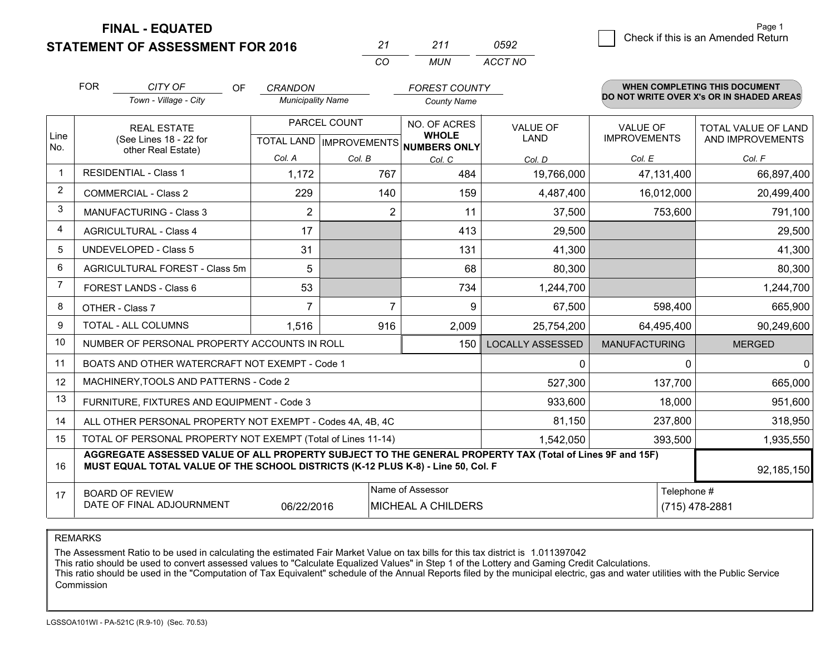**STATEMENT OF ASSESSMENT FOR 2016** 

|          | ン11   | ハロン     |  |
|----------|-------|---------|--|
| $\cdots$ | MI IN | ACCT NO |  |

|                | <b>FOR</b>                                                                                                                                                                                                 | CITY OF<br><b>OF</b><br>Town - Village - City                                                                                     | <b>CRANDON</b><br><b>Municipality Name</b>           |               | <b>FOREST COUNTY</b><br><b>County Name</b> |                                |                                        | WHEN COMPLETING THIS DOCUMENT<br>DO NOT WRITE OVER X's OR IN SHADED AREAS |
|----------------|------------------------------------------------------------------------------------------------------------------------------------------------------------------------------------------------------------|-----------------------------------------------------------------------------------------------------------------------------------|------------------------------------------------------|---------------|--------------------------------------------|--------------------------------|----------------------------------------|---------------------------------------------------------------------------|
| Line<br>No.    | <b>REAL ESTATE</b><br>(See Lines 18 - 22 for<br>other Real Estate)                                                                                                                                         |                                                                                                                                   | PARCEL COUNT<br>TOTAL LAND IMPROVEMENTS NUMBERS ONLY |               | NO. OF ACRES<br><b>WHOLE</b>               | <b>VALUE OF</b><br><b>LAND</b> | <b>VALUE OF</b><br><b>IMPROVEMENTS</b> | TOTAL VALUE OF LAND<br>AND IMPROVEMENTS                                   |
| $\mathbf{1}$   | <b>RESIDENTIAL - Class 1</b>                                                                                                                                                                               |                                                                                                                                   | Col. A<br>1,172                                      | Col. B<br>767 | Col. C<br>484                              | Col. D<br>19,766,000           | Col. E<br>47,131,400                   | Col. F<br>66,897,400                                                      |
| $\overline{2}$ | <b>COMMERCIAL - Class 2</b>                                                                                                                                                                                |                                                                                                                                   | 229                                                  | 140           | 159                                        | 4,487,400                      | 16,012,000                             | 20,499,400                                                                |
| 3              | <b>MANUFACTURING - Class 3</b>                                                                                                                                                                             |                                                                                                                                   | $\overline{2}$                                       | 2             | 11                                         | 37,500                         | 753,600                                | 791,100                                                                   |
| 4              | <b>AGRICULTURAL - Class 4</b>                                                                                                                                                                              |                                                                                                                                   | 17                                                   |               | 413                                        | 29,500                         |                                        | 29,500                                                                    |
| 5              | <b>UNDEVELOPED - Class 5</b>                                                                                                                                                                               |                                                                                                                                   | 31                                                   |               | 131                                        | 41,300                         |                                        | 41,300                                                                    |
| 6              |                                                                                                                                                                                                            | AGRICULTURAL FOREST - Class 5m                                                                                                    | 5                                                    |               | 68                                         | 80,300                         |                                        | 80,300                                                                    |
| $\overline{7}$ | FOREST LANDS - Class 6                                                                                                                                                                                     |                                                                                                                                   | 53                                                   |               | 734                                        | 1,244,700                      |                                        | 1,244,700                                                                 |
| 8              | OTHER - Class 7                                                                                                                                                                                            |                                                                                                                                   | $\overline{7}$                                       | 7             | 9                                          | 67,500                         | 598,400                                | 665,900                                                                   |
| 9              | TOTAL - ALL COLUMNS                                                                                                                                                                                        |                                                                                                                                   | 1,516                                                | 916           | 2,009                                      | 25,754,200                     | 64,495,400                             | 90,249,600                                                                |
| 10             | NUMBER OF PERSONAL PROPERTY ACCOUNTS IN ROLL                                                                                                                                                               |                                                                                                                                   |                                                      |               | 150                                        | <b>LOCALLY ASSESSED</b>        | <b>MANUFACTURING</b>                   | <b>MERGED</b>                                                             |
| 11             |                                                                                                                                                                                                            | BOATS AND OTHER WATERCRAFT NOT EXEMPT - Code 1                                                                                    |                                                      |               | 0                                          | 0                              | $\overline{0}$                         |                                                                           |
| 12             |                                                                                                                                                                                                            | MACHINERY, TOOLS AND PATTERNS - Code 2                                                                                            |                                                      |               |                                            | 527,300                        | 137,700                                | 665,000                                                                   |
| 13             |                                                                                                                                                                                                            | FURNITURE, FIXTURES AND EQUIPMENT - Code 3                                                                                        |                                                      |               | 933,600                                    | 18,000                         | 951,600                                |                                                                           |
| 14             |                                                                                                                                                                                                            | ALL OTHER PERSONAL PROPERTY NOT EXEMPT - Codes 4A, 4B, 4C                                                                         |                                                      |               | 81,150                                     | 237,800                        | 318,950                                |                                                                           |
| 15             |                                                                                                                                                                                                            | TOTAL OF PERSONAL PROPERTY NOT EXEMPT (Total of Lines 11-14)                                                                      |                                                      |               | 1,542,050                                  | 393,500                        | 1,935,550                              |                                                                           |
| 16             | AGGREGATE ASSESSED VALUE OF ALL PROPERTY SUBJECT TO THE GENERAL PROPERTY TAX (Total of Lines 9F and 15F)<br>MUST EQUAL TOTAL VALUE OF THE SCHOOL DISTRICTS (K-12 PLUS K-8) - Line 50, Col. F<br>92,185,150 |                                                                                                                                   |                                                      |               |                                            |                                |                                        |                                                                           |
| 17             |                                                                                                                                                                                                            | Name of Assessor<br>Telephone #<br><b>BOARD OF REVIEW</b><br>DATE OF FINAL ADJOURNMENT<br><b>MICHEAL A CHILDERS</b><br>06/22/2016 |                                                      |               |                                            |                                | (715) 478-2881                         |                                                                           |

REMARKS

The Assessment Ratio to be used in calculating the estimated Fair Market Value on tax bills for this tax district is 1.011397042

This ratio should be used to convert assessed values to "Calculate Equalized Values" in Step 1 of the Lottery and Gaming Credit Calculations.<br>This ratio should be used in the "Computation of Tax Equivalent" schedule of the Commission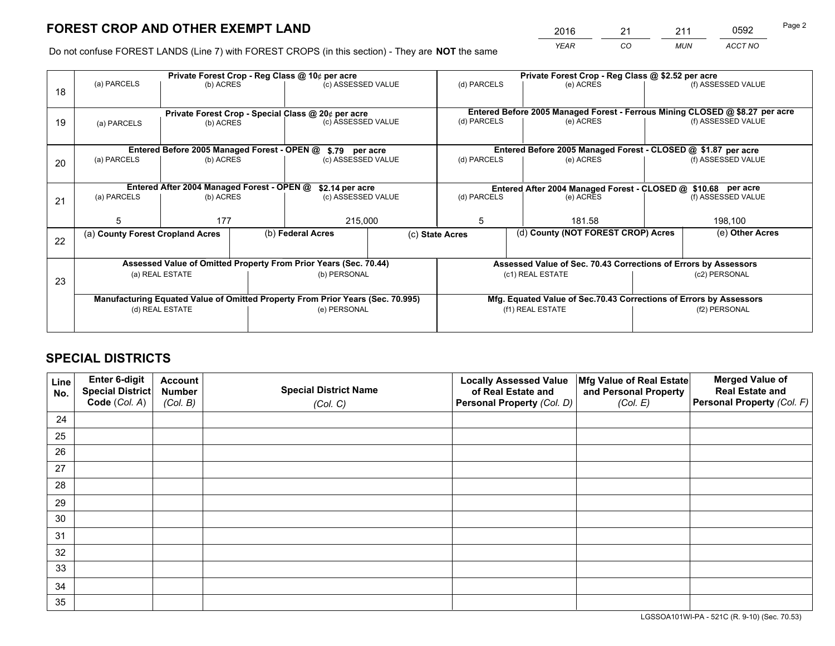*YEAR CO MUN ACCT NO* <sup>2016</sup> <sup>21</sup> <sup>211</sup> <sup>0592</sup>

Do not confuse FOREST LANDS (Line 7) with FOREST CROPS (in this section) - They are **NOT** the same

|    |                                                                                     |                                                    |  | Private Forest Crop - Reg Class @ 10¢ per acre |  | Private Forest Crop - Reg Class @ \$2.52 per acre                                                    |                                    |                                                               |                    |  |
|----|-------------------------------------------------------------------------------------|----------------------------------------------------|--|------------------------------------------------|--|------------------------------------------------------------------------------------------------------|------------------------------------|---------------------------------------------------------------|--------------------|--|
| 18 | (a) PARCELS                                                                         | (b) ACRES                                          |  | (c) ASSESSED VALUE                             |  | (d) PARCELS                                                                                          | (e) ACRES                          |                                                               | (f) ASSESSED VALUE |  |
|    |                                                                                     | Private Forest Crop - Special Class @ 20¢ per acre |  |                                                |  | Entered Before 2005 Managed Forest - Ferrous Mining CLOSED @ \$8.27 per acre                         |                                    |                                                               |                    |  |
| 19 | (a) PARCELS                                                                         | (b) ACRES                                          |  | (c) ASSESSED VALUE                             |  | (d) PARCELS                                                                                          | (e) ACRES                          |                                                               | (f) ASSESSED VALUE |  |
|    |                                                                                     | Entered Before 2005 Managed Forest - OPEN @        |  | \$.79 per acre                                 |  | Entered Before 2005 Managed Forest - CLOSED @ \$1.87 per acre                                        |                                    |                                                               |                    |  |
| 20 | (a) PARCELS                                                                         | (b) ACRES                                          |  | (c) ASSESSED VALUE                             |  | (d) PARCELS                                                                                          | (e) ACRES                          |                                                               | (f) ASSESSED VALUE |  |
|    | Entered After 2004 Managed Forest - OPEN @<br>\$2.14 per acre                       |                                                    |  |                                                |  |                                                                                                      |                                    | Entered After 2004 Managed Forest - CLOSED @ \$10.68 per acre |                    |  |
| 21 | (a) PARCELS                                                                         | (b) ACRES                                          |  | (c) ASSESSED VALUE                             |  | (d) PARCELS                                                                                          | (e) ACRES                          |                                                               | (f) ASSESSED VALUE |  |
|    | 5                                                                                   | 177                                                |  | 215,000                                        |  | 5<br>181.58                                                                                          |                                    | 198,100                                                       |                    |  |
| 22 | (a) County Forest Cropland Acres                                                    |                                                    |  | (b) Federal Acres                              |  | (c) State Acres                                                                                      | (d) County (NOT FOREST CROP) Acres |                                                               | (e) Other Acres    |  |
|    |                                                                                     |                                                    |  |                                                |  |                                                                                                      |                                    |                                                               |                    |  |
| 23 | Assessed Value of Omitted Property From Prior Years (Sec. 70.44)<br>(a) REAL ESTATE |                                                    |  | (b) PERSONAL                                   |  | Assessed Value of Sec. 70.43 Corrections of Errors by Assessors<br>(c1) REAL ESTATE<br>(c2) PERSONAL |                                    |                                                               |                    |  |
|    | Manufacturing Equated Value of Omitted Property From Prior Years (Sec. 70.995)      |                                                    |  |                                                |  | Mfg. Equated Value of Sec.70.43 Corrections of Errors by Assessors                                   |                                    |                                                               |                    |  |
|    | (d) REAL ESTATE                                                                     |                                                    |  | (e) PERSONAL                                   |  | (f1) REAL ESTATE                                                                                     |                                    | (f2) PERSONAL                                                 |                    |  |
|    |                                                                                     |                                                    |  |                                                |  |                                                                                                      |                                    |                                                               |                    |  |

# **SPECIAL DISTRICTS**

| Line<br>No. | Enter 6-digit<br><b>Special District</b> | <b>Account</b><br><b>Number</b> | <b>Special District Name</b> | <b>Locally Assessed Value</b><br>of Real Estate and | Mfg Value of Real Estate<br>and Personal Property | <b>Merged Value of</b><br><b>Real Estate and</b> |
|-------------|------------------------------------------|---------------------------------|------------------------------|-----------------------------------------------------|---------------------------------------------------|--------------------------------------------------|
|             | Code (Col. A)                            | (Col. B)                        | (Col. C)                     | Personal Property (Col. D)                          | (Col. E)                                          | Personal Property (Col. F)                       |
| 24          |                                          |                                 |                              |                                                     |                                                   |                                                  |
| 25          |                                          |                                 |                              |                                                     |                                                   |                                                  |
| 26          |                                          |                                 |                              |                                                     |                                                   |                                                  |
| 27          |                                          |                                 |                              |                                                     |                                                   |                                                  |
| 28          |                                          |                                 |                              |                                                     |                                                   |                                                  |
| 29          |                                          |                                 |                              |                                                     |                                                   |                                                  |
| 30          |                                          |                                 |                              |                                                     |                                                   |                                                  |
| 31          |                                          |                                 |                              |                                                     |                                                   |                                                  |
| 32          |                                          |                                 |                              |                                                     |                                                   |                                                  |
| 33          |                                          |                                 |                              |                                                     |                                                   |                                                  |
| 34          |                                          |                                 |                              |                                                     |                                                   |                                                  |
| 35          |                                          |                                 |                              |                                                     |                                                   |                                                  |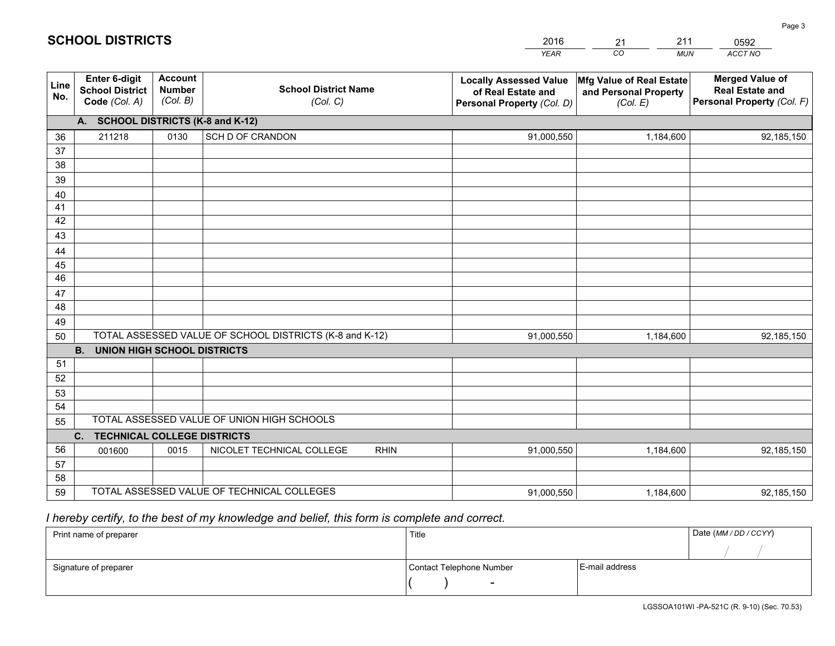|             |                                                                 |                                             |                                                         | <b>YEAR</b>                                                                       | CO<br><b>MUN</b>                                              | <b>ACCT NO</b>                                                                 |  |  |
|-------------|-----------------------------------------------------------------|---------------------------------------------|---------------------------------------------------------|-----------------------------------------------------------------------------------|---------------------------------------------------------------|--------------------------------------------------------------------------------|--|--|
| Line<br>No. | <b>Enter 6-digit</b><br><b>School District</b><br>Code (Col. A) | <b>Account</b><br><b>Number</b><br>(Col. B) | <b>School District Name</b><br>(Col. C)                 | <b>Locally Assessed Value</b><br>of Real Estate and<br>Personal Property (Col. D) | Mfg Value of Real Estate<br>and Personal Property<br>(Col. E) | <b>Merged Value of</b><br><b>Real Estate and</b><br>Personal Property (Col. F) |  |  |
|             | A. SCHOOL DISTRICTS (K-8 and K-12)                              |                                             |                                                         |                                                                                   |                                                               |                                                                                |  |  |
| 36          | 211218                                                          | 0130                                        | SCH D OF CRANDON                                        | 91,000,550                                                                        | 1,184,600                                                     | 92,185,150                                                                     |  |  |
| 37          |                                                                 |                                             |                                                         |                                                                                   |                                                               |                                                                                |  |  |
| 38          |                                                                 |                                             |                                                         |                                                                                   |                                                               |                                                                                |  |  |
| 39          |                                                                 |                                             |                                                         |                                                                                   |                                                               |                                                                                |  |  |
| 40          |                                                                 |                                             |                                                         |                                                                                   |                                                               |                                                                                |  |  |
| 41          |                                                                 |                                             |                                                         |                                                                                   |                                                               |                                                                                |  |  |
| 42          |                                                                 |                                             |                                                         |                                                                                   |                                                               |                                                                                |  |  |
| 43          |                                                                 |                                             |                                                         |                                                                                   |                                                               |                                                                                |  |  |
| 44          |                                                                 |                                             |                                                         |                                                                                   |                                                               |                                                                                |  |  |
| 45<br>46    |                                                                 |                                             |                                                         |                                                                                   |                                                               |                                                                                |  |  |
| 47          |                                                                 |                                             |                                                         |                                                                                   |                                                               |                                                                                |  |  |
| 48          |                                                                 |                                             |                                                         |                                                                                   |                                                               |                                                                                |  |  |
| 49          |                                                                 |                                             |                                                         |                                                                                   |                                                               |                                                                                |  |  |
| 50          |                                                                 |                                             | TOTAL ASSESSED VALUE OF SCHOOL DISTRICTS (K-8 and K-12) | 91,000,550                                                                        | 1,184,600                                                     | 92,185,150                                                                     |  |  |
|             | <b>B.</b><br><b>UNION HIGH SCHOOL DISTRICTS</b>                 |                                             |                                                         |                                                                                   |                                                               |                                                                                |  |  |
| 51          |                                                                 |                                             |                                                         |                                                                                   |                                                               |                                                                                |  |  |
| 52          |                                                                 |                                             |                                                         |                                                                                   |                                                               |                                                                                |  |  |
| 53          |                                                                 |                                             |                                                         |                                                                                   |                                                               |                                                                                |  |  |
| 54          |                                                                 |                                             |                                                         |                                                                                   |                                                               |                                                                                |  |  |
| 55          |                                                                 |                                             | TOTAL ASSESSED VALUE OF UNION HIGH SCHOOLS              |                                                                                   |                                                               |                                                                                |  |  |
|             | C.<br><b>TECHNICAL COLLEGE DISTRICTS</b>                        |                                             |                                                         |                                                                                   |                                                               |                                                                                |  |  |
| 56          | 001600                                                          | 0015                                        | NICOLET TECHNICAL COLLEGE<br><b>RHIN</b>                | 91,000,550                                                                        | 1,184,600                                                     | 92,185,150                                                                     |  |  |
| 57          |                                                                 |                                             |                                                         |                                                                                   |                                                               |                                                                                |  |  |
| 58          |                                                                 |                                             |                                                         |                                                                                   |                                                               |                                                                                |  |  |
| 59          |                                                                 |                                             | TOTAL ASSESSED VALUE OF TECHNICAL COLLEGES              | 91,000,550                                                                        | 1,184,600                                                     | 92,185,150                                                                     |  |  |

# *I hereby certify, to the best of my knowledge and belief, this form is complete and correct.*

| Print name of preparer | Title                    |                | Date (MM / DD / CCYY) |
|------------------------|--------------------------|----------------|-----------------------|
|                        |                          |                |                       |
| Signature of preparer  | Contact Telephone Number | E-mail address |                       |
|                        | $\overline{\phantom{0}}$ |                |                       |

# **SCHOOL DISTRICTS**

201621 2110592 Page 3